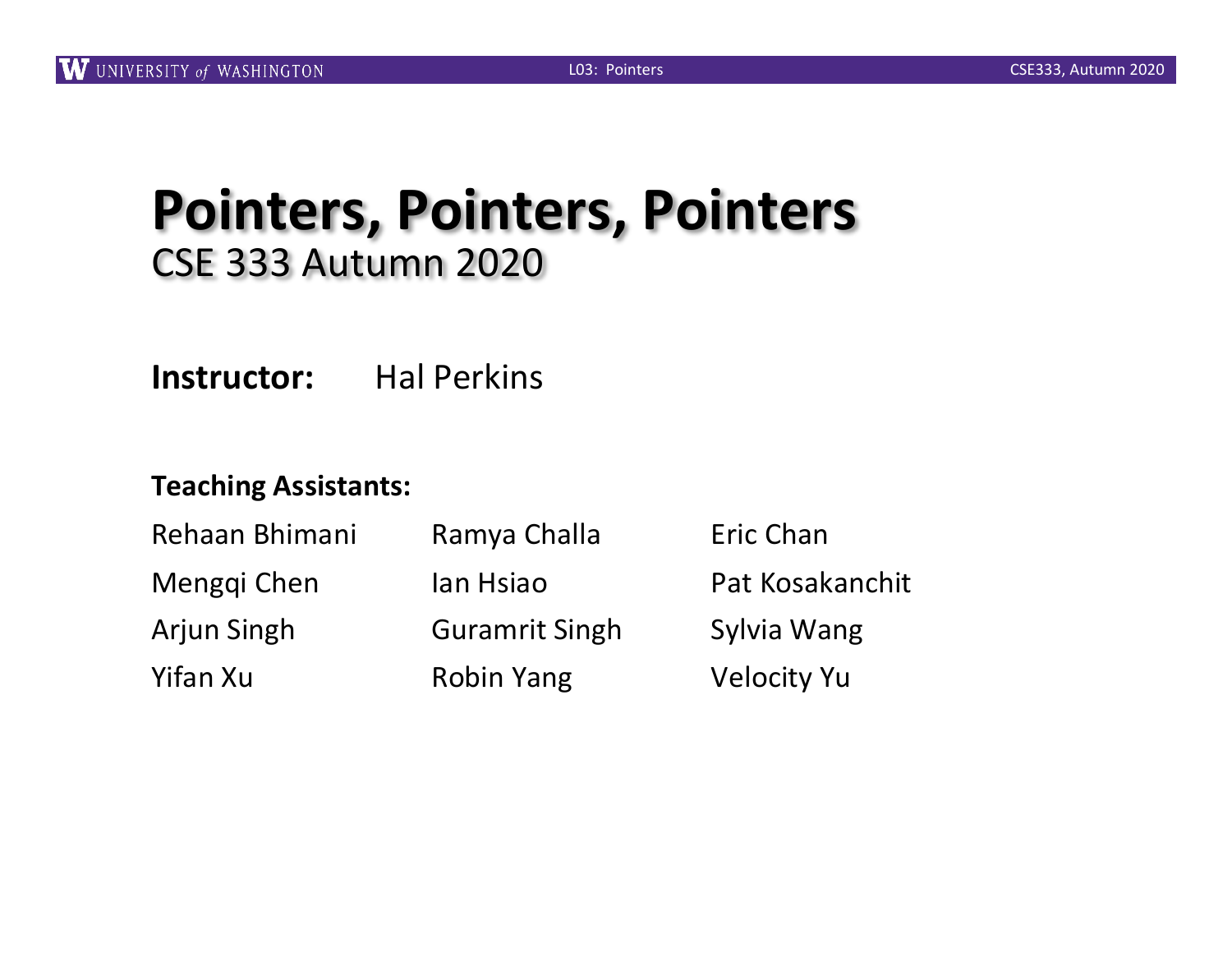### **Pointers, Pointers, Pointers** CSE 333 Autumn 2020

**Instructor:** Hal Perkins

#### **Teaching Assistants:**

| Rehaan Bhimani     | Ramya Challa          | Eric Chan          |
|--------------------|-----------------------|--------------------|
| Menggi Chen        | lan Hsiao             | Pat Kosakanchit    |
| <b>Arjun Singh</b> | <b>Guramrit Singh</b> | Sylvia Wang        |
| Yifan Xu           | <b>Robin Yang</b>     | <b>Velocity Yu</b> |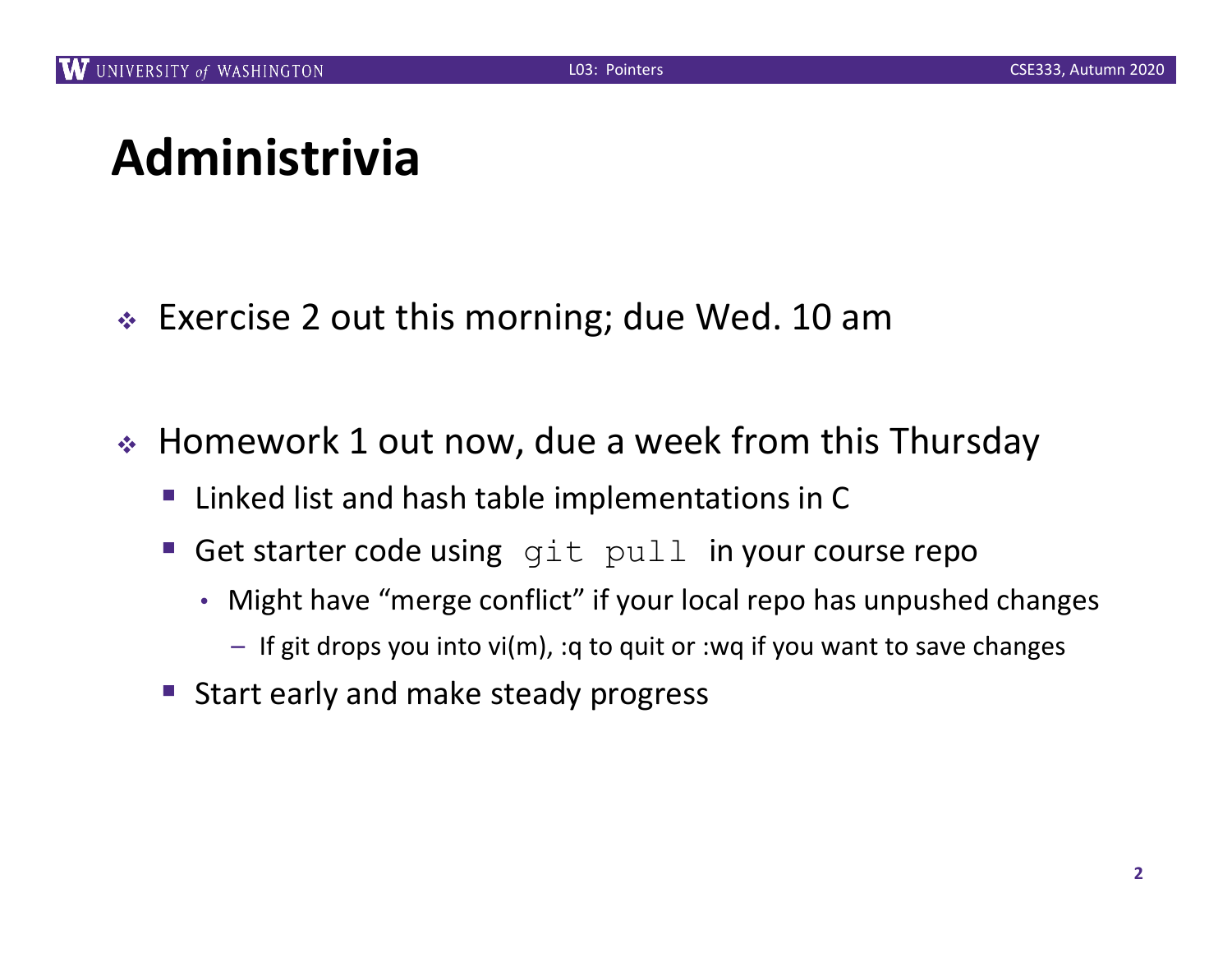### **Administrivia**

- $\div$  Exercise 2 out this morning; due Wed. 10 am
- ◆ Homework 1 out now, due a week from this Thursday
	- Linked list and hash table implementations in C
	- Get starter code using git pull in your course repo
		- Might have "merge conflict" if your local repo has unpushed changes
			- If git drops you into vi(m), :q to quit or :wq if you want to save changes
	- Start early and make steady progress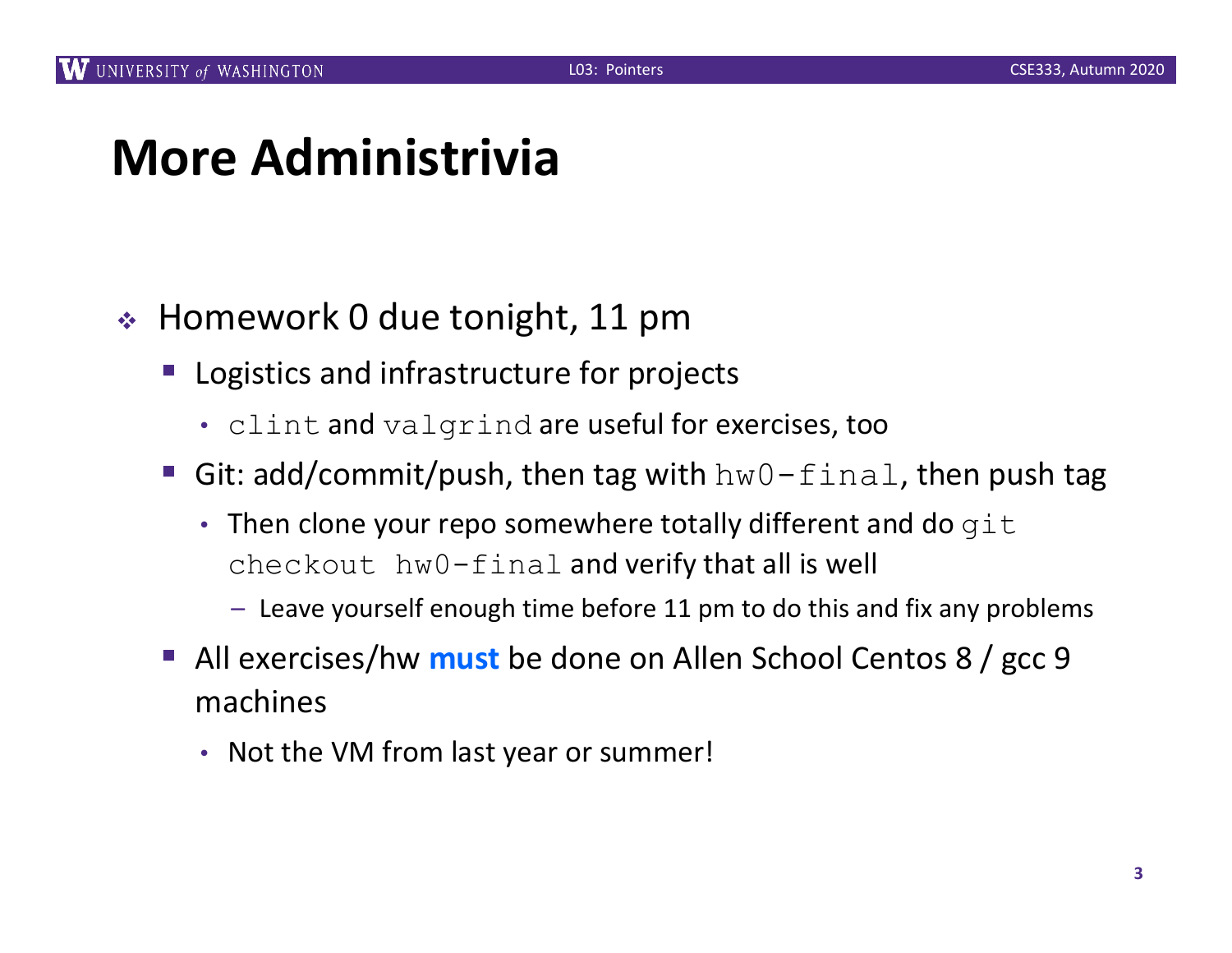### **More Administrivia**

- $\div$  Homework 0 due tonight, 11 pm
	- Logistics and infrastructure for projects
		- clint and valgrind are useful for exercises, too
	- Git: add/commit/push, then tag with  $hw0-final$ , then push tag
		- Then clone your repo somewhere totally different and do  $q$ it checkout hw0-final and verify that all is well
			- Leave yourself enough time before 11 pm to do this and fix any problems
	- All exercises/hw **must** be done on Allen School Centos 8 / gcc 9 machines
		- Not the VM from last year or summer!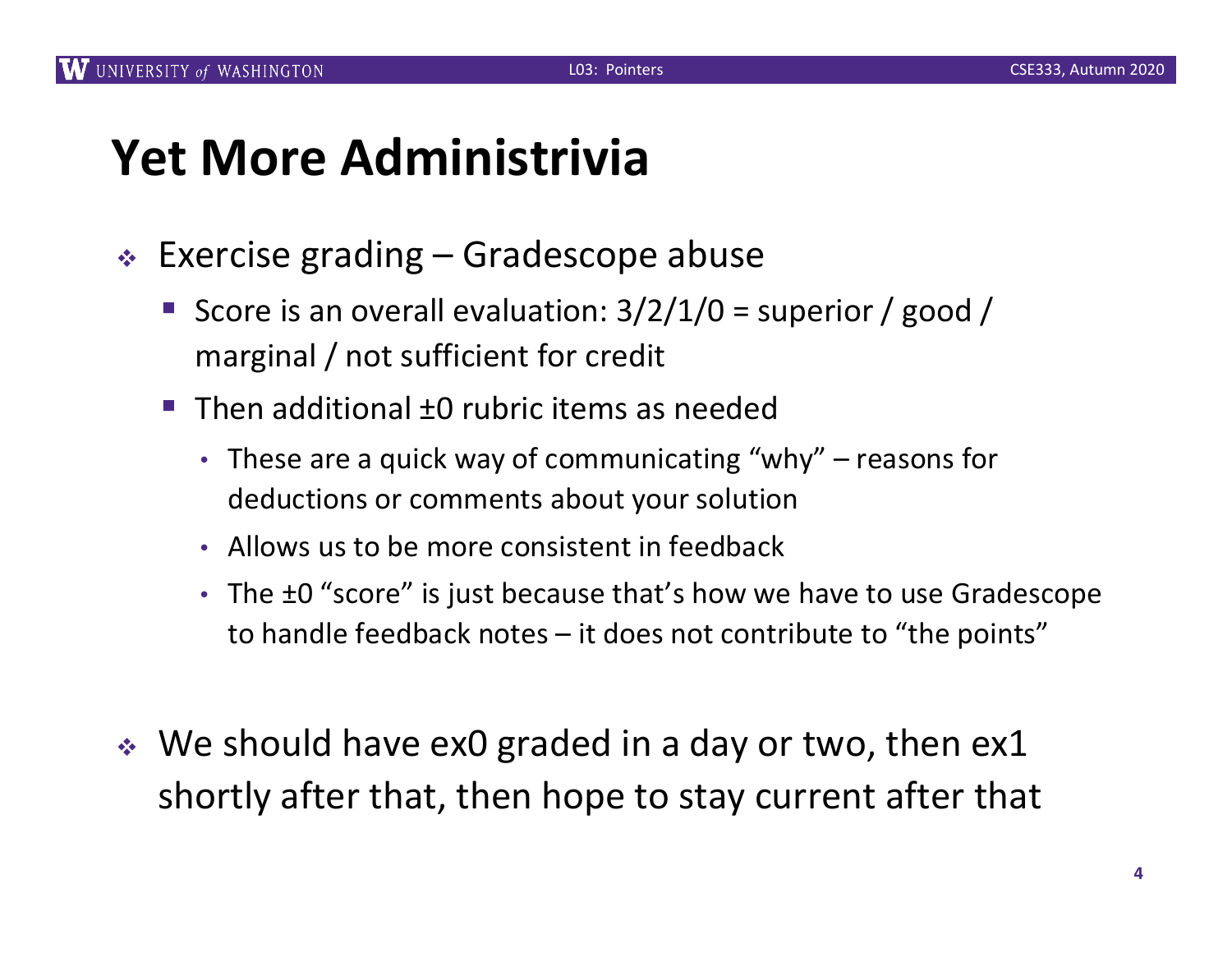### **Yet More Administrivia**

- $\div$  Exercise grading Gradescope abuse
	- Score is an overall evaluation:  $3/2/1/0$  = superior / good / marginal / not sufficient for credit
	- $\blacksquare$  Then additional  $\pm 0$  rubric items as needed
		- These are a quick way of communicating "why" reasons for deductions or comments about your solution
		- Allows us to be more consistent in feedback
		- The  $\pm 0$  "score" is just because that's how we have to use Gradescope to handle feedback notes – it does not contribute to "the points"
- $\cdot$  We should have ex0 graded in a day or two, then ex1 shortly after that, then hope to stay current after that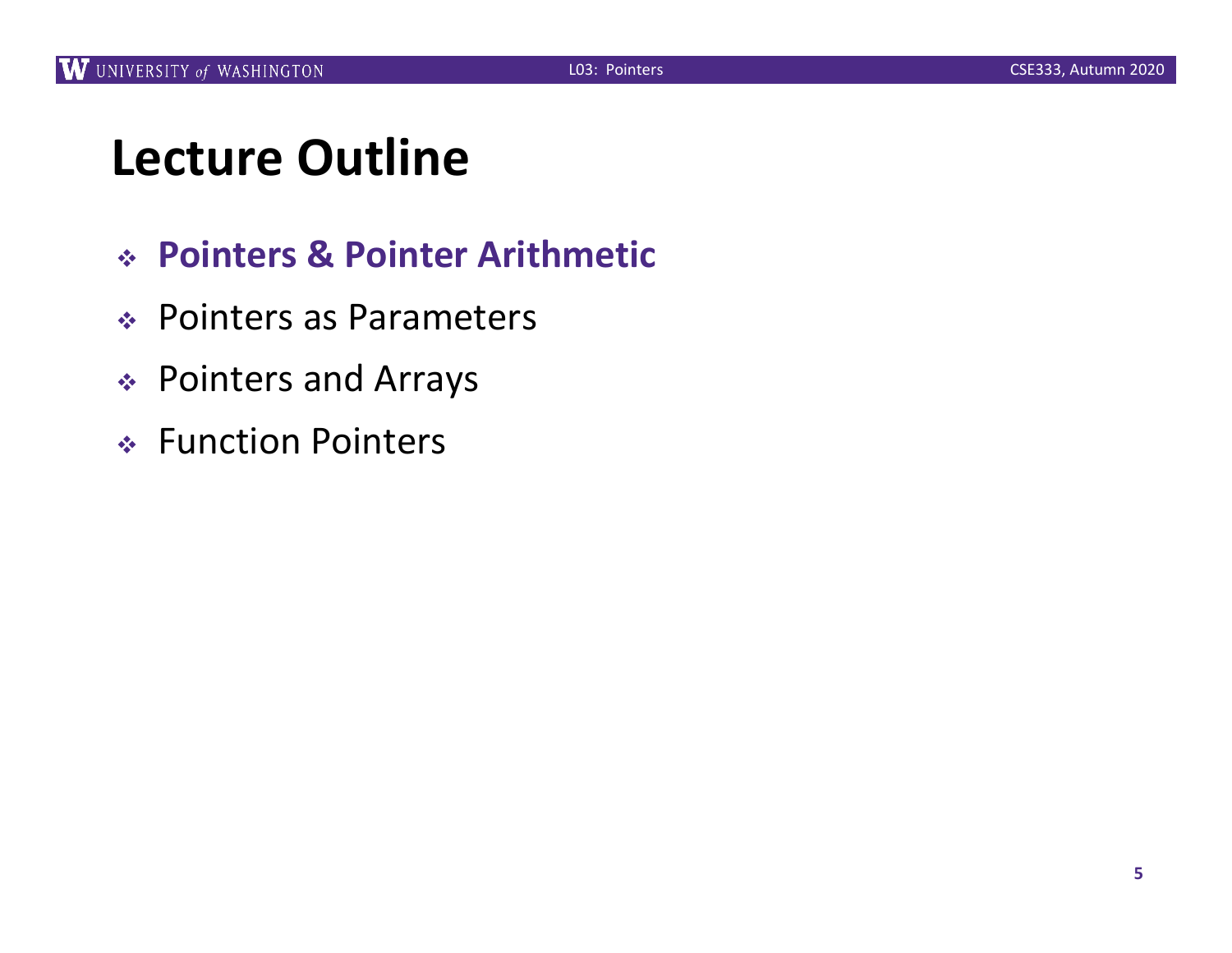# **Lecture Outline**

- <sup>v</sup> **Pointers & Pointer Arithmetic**
- ◆ Pointers as Parameters
- <sup>v</sup> Pointers and Arrays
- ◆ Function Pointers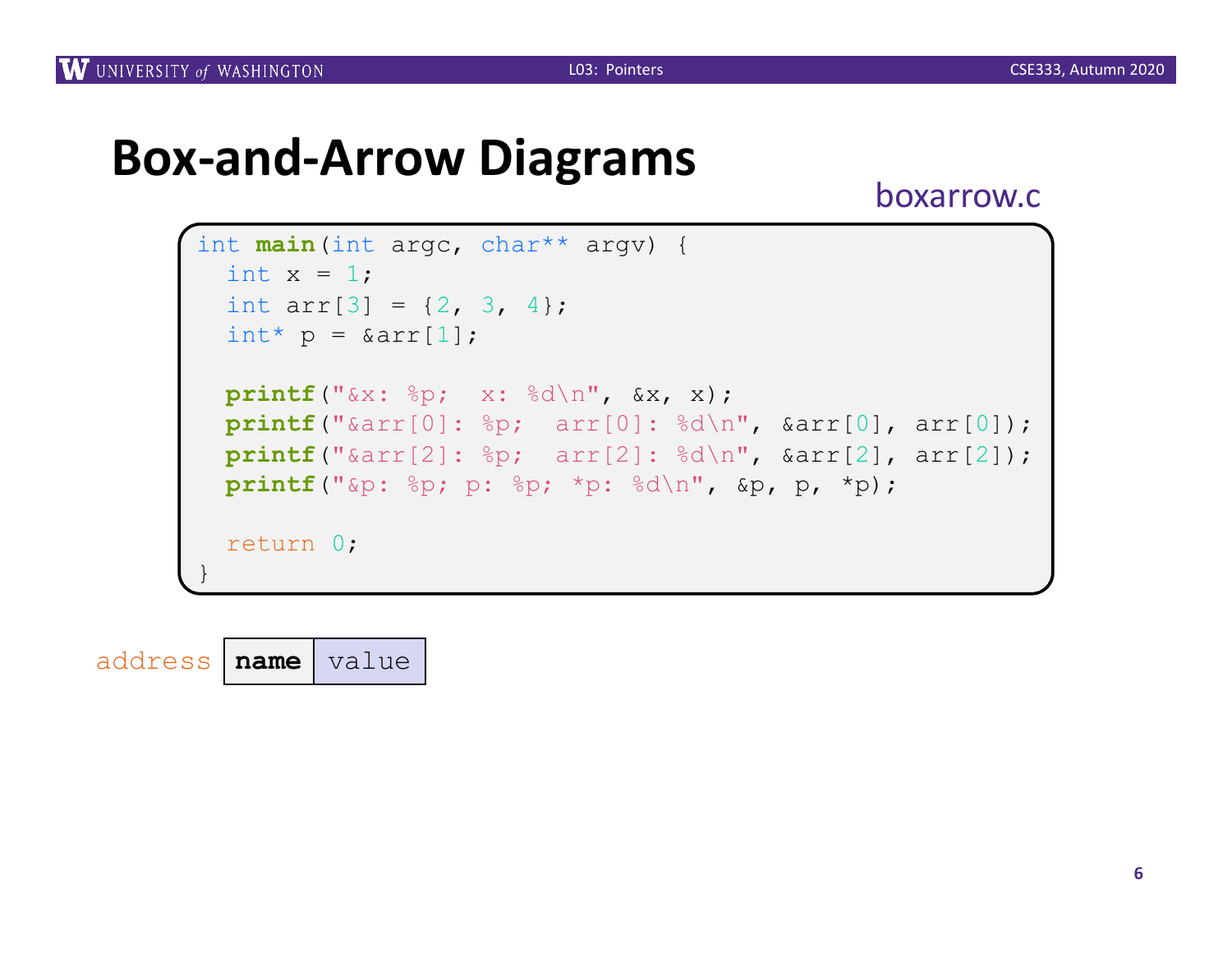### **Box-and-Arrow Diagrams**

boxarrow.c

```
int main(int argc, char** argv) {
 int x = 1;
 int arr[3] = \{2, 3, 4\};
 int^* p = \delta arr[1];printf("&x: %p; x: %d\n", &x, x);
 printf("&arr[0]: %p; arr[0]: %d\n", &arr[0], arr[0]);
 printf("&arr[2]: %p; arr[2]: %d\n", &arr[2], arr[2]);
 printf("&p: %p; p: %p; *p: %d\n", &p, p, *p);
  return 0;
}
```
address **name** value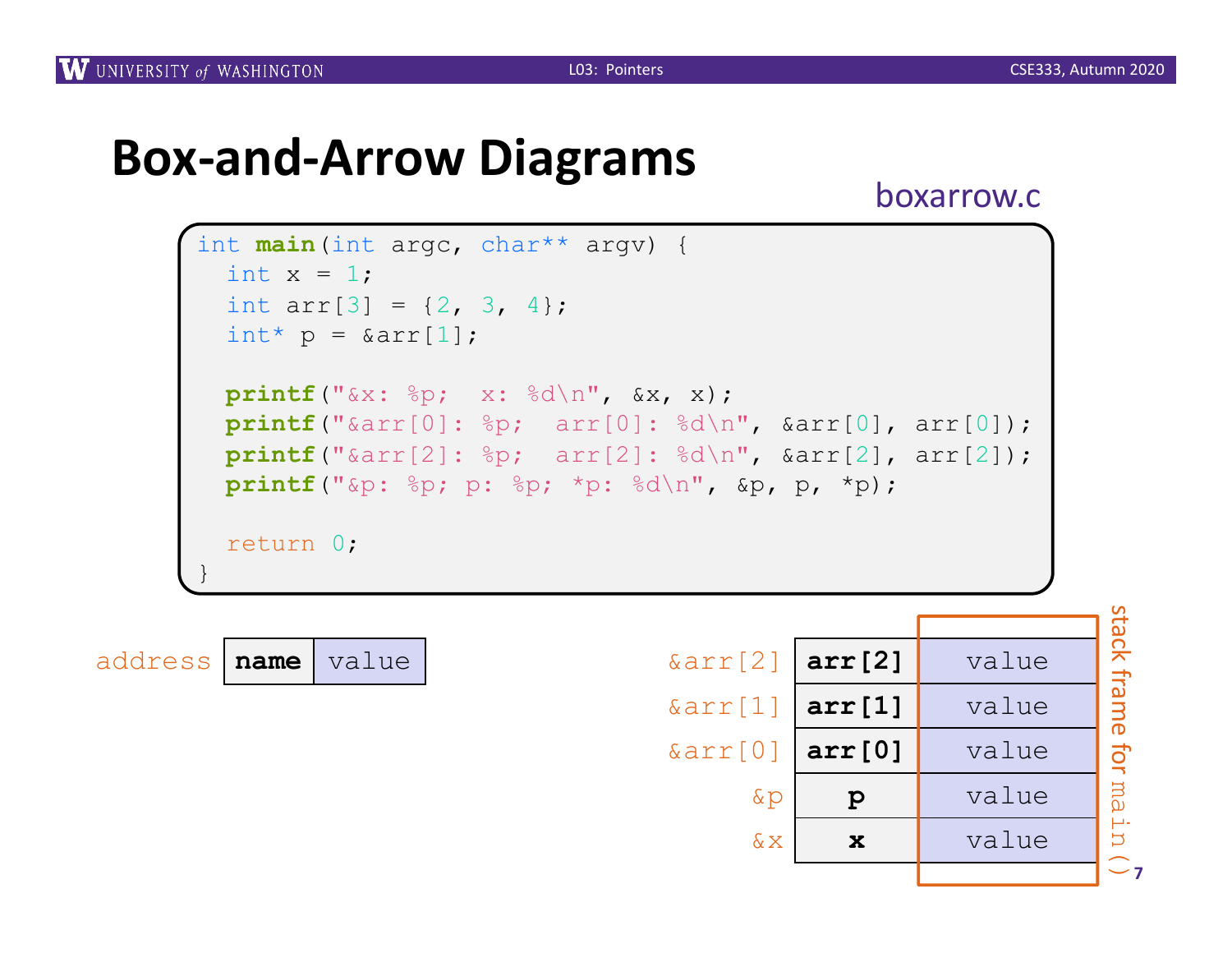# **Box-and-Arrow Diagrams** boxarrow.c

```
int main(int argc, char** argv) {
 int x = 1;
 int arr[3] = \{2, 3, 4\};
 int^* p = \delta arr[1];printf("&x: %p; x: %d\n", &x, x);
 printf("&arr[0]: %p; arr[0]: %d\n", &arr[0], arr[0]);
 printf("&arr[2]: %p; arr[2]: %d\n", &arr[2], arr[2]);
 printf("&p: %p; p: %p; *p: %d\n", &p, p, *p);
 return 0;
}
```

| address   name   value |  |  |
|------------------------|--|--|
|------------------------|--|--|

|         |      |       |                         |              |       | S                                               |
|---------|------|-------|-------------------------|--------------|-------|-------------------------------------------------|
|         |      |       |                         |              |       | <u>ଟ</u>                                        |
| address | name | value | $\text{Karr}[2]$ arr[2] |              | value | $\Omega$<br>$\overline{\frown}$<br>⇥            |
|         |      |       | $\&array[1]$ arr[1]     |              | value | മ                                               |
|         |      |       | $\&array[0]$ arr [0]    |              | value | $\sigma$<br>$\vec{o}$                           |
|         |      |       | $\&p$                   | $\mathbf{p}$ | value | $\overline{a}$<br>$\alpha$                      |
|         |      |       | $\&\,X$                 | $\mathbf x$  | value | μ.<br>$\overline{D}$<br>$\widehat{\phantom{m}}$ |
|         |      |       |                         |              |       | $\sim$ 7                                        |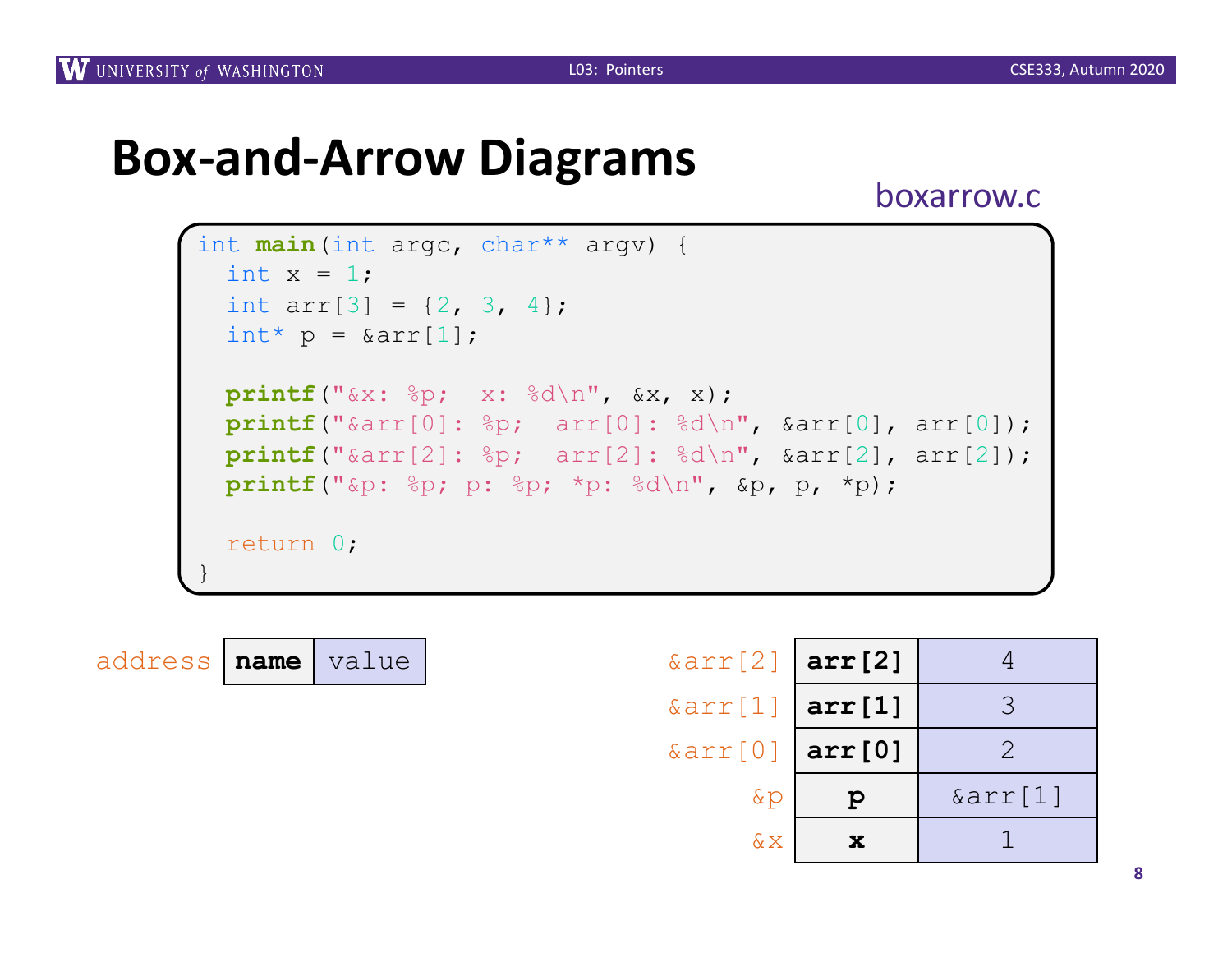# **Box-and-Arrow Diagrams** boxarrow.c

```
int main(int argc, char** argv) {
 int x = 1;
 int arr[3] = \{2, 3, 4\};
 int^* p = \delta arr[1];printf("&x: %p; x: %d\n", &x, x);
 printf("&arr[0]: %p; arr[0]: %d\n", &arr[0], arr[0]);
 printf("&arr[2]: %p; arr[2]: %d\n", &arr[2], arr[2]);
 printf("&p: %p; p: %p; *p: %d\n", &p, p, *p);
 return 0;
}
```

| address   name   value |  |  |
|------------------------|--|--|
|------------------------|--|--|

| address   name | value | $\text{Karr}[2]$ arr[2] |              |         |
|----------------|-------|-------------------------|--------------|---------|
|                |       | $\&array[1]$ arr[1]     |              |         |
|                |       | $\&array[0]$ arr[0]     |              |         |
|                |       | $\&p$                   | $\mathbf{p}$ | &arr[1] |
|                |       | $\&\,\mathrm{X}$        | $\mathbf x$  |         |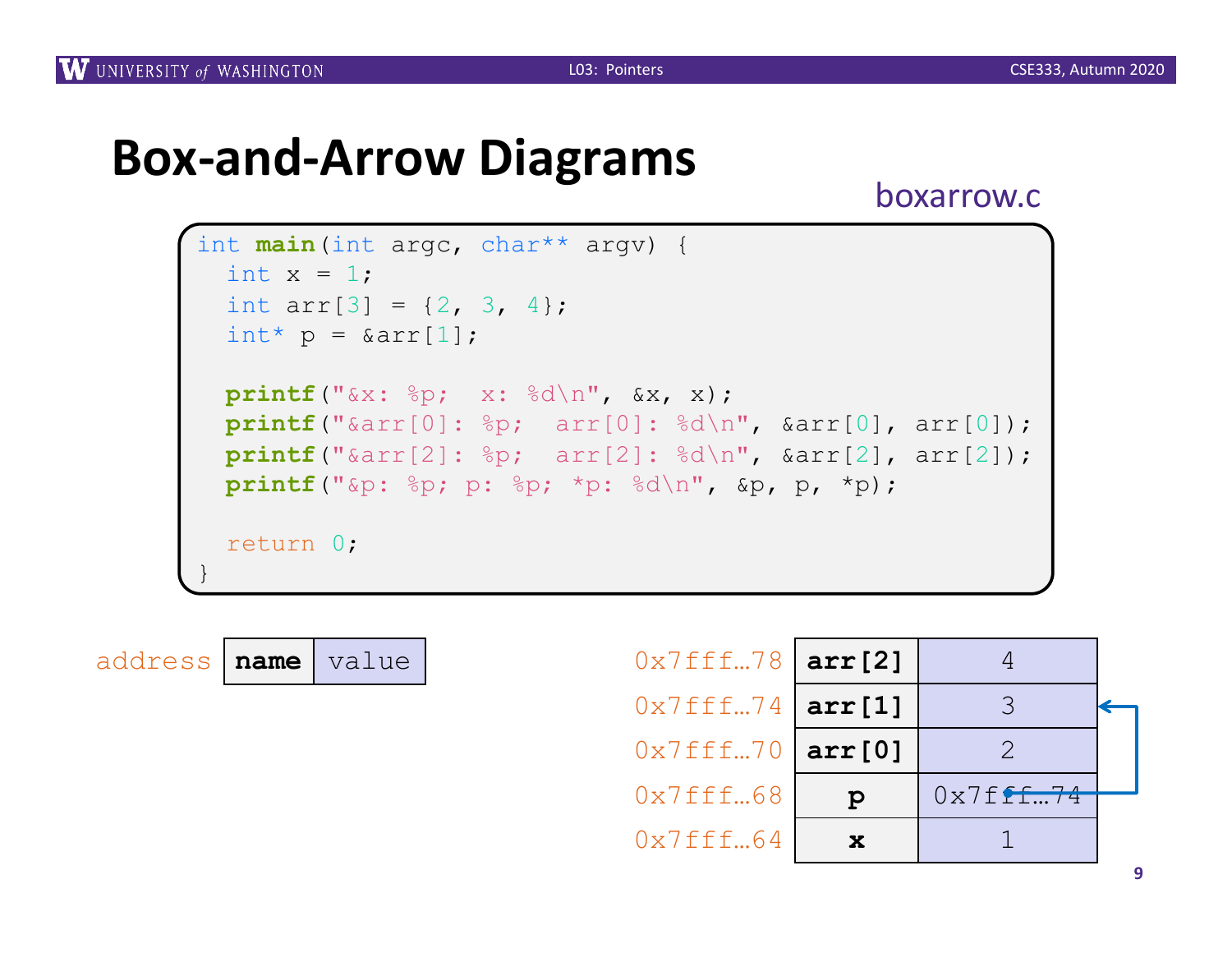# **Box-and-Arrow Diagrams** boxarrow.c

```
int main(int argc, char** argv) {
 int x = 1;
 int arr[3] = \{2, 3, 4\};
 int^* p = \delta arr[1];printf("&x: %p; x: %d\n", &x, x);
 printf("&arr[0]: %p; arr[0]: %d\n", &arr[0], arr[0]);
 printf("&arr[2]: %p; arr[2]: %d\n", &arr[2], arr[2]);
 printf("&p: %p; p: %p; *p: %d\n", &p, p, *p);
  return 0;
}
```


| $0 \times 7$ fff78   arr [2] |        |             |  |
|------------------------------|--------|-------------|--|
| $0 \times 7$ fff74   arr[1]  |        |             |  |
| 0x7fff70                     | arr[0] |             |  |
| 0x7fff68                     | р      | $0x7f$ ff74 |  |
| 0x7fff64                     |        |             |  |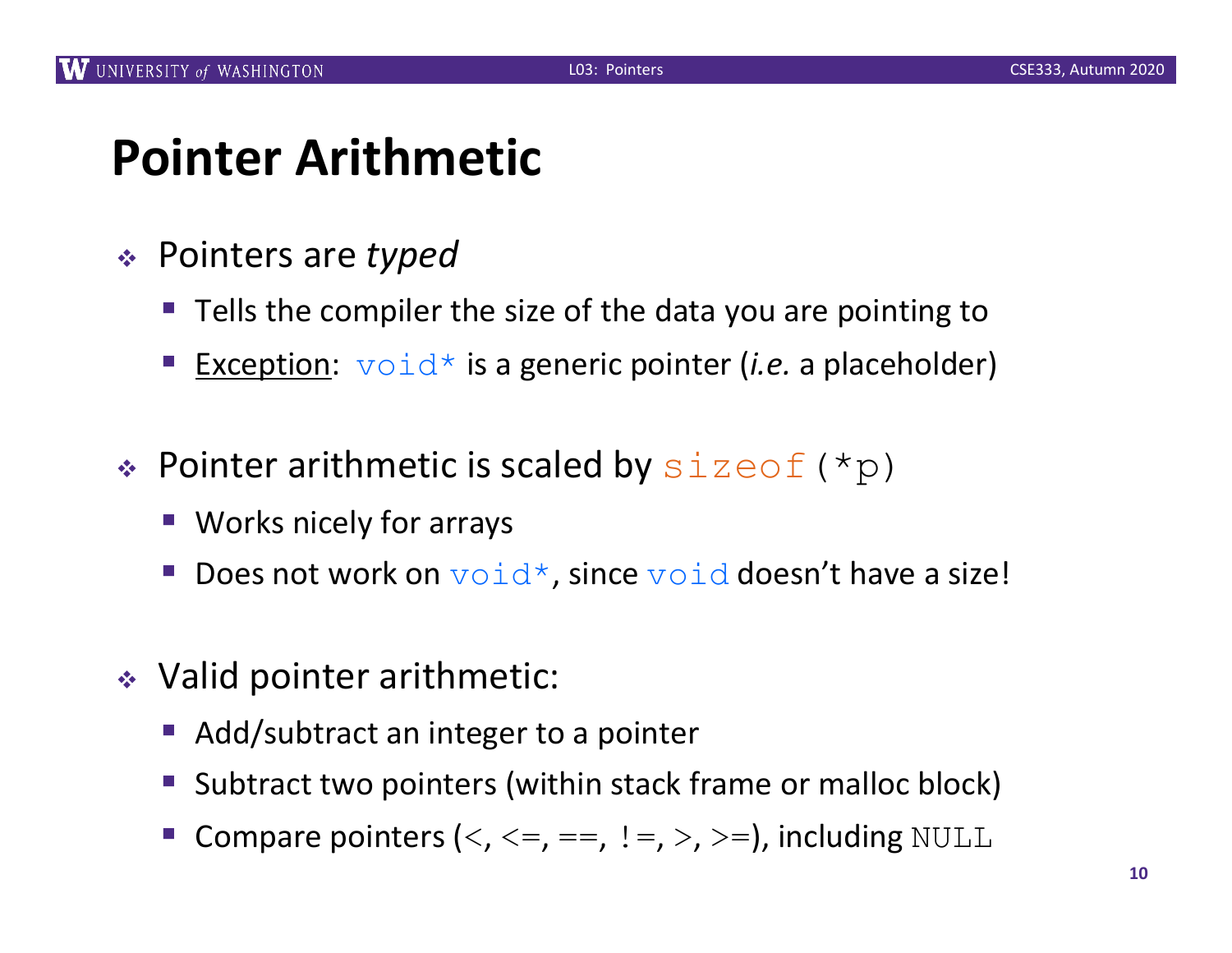### **Pointer Arithmetic**

- <sup>v</sup> Pointers are *typed*
	- Tells the compiler the size of the data you are pointing to
	- Exception:  $\text{void}^*$  is a generic pointer *(i.e.* a placeholder)
- $\triangleleft$  Pointer arithmetic is scaled by  $\text{size}(\star_{\text{p}})$ 
	- Works nicely for arrays
	- Does not work on  $\text{void}^*$ , since  $\text{void}$  doesn't have a size!
- $\div$  Valid pointer arithmetic:
	- Add/subtract an integer to a pointer
	- § Subtract two pointers (within stack frame or malloc block)
	- Compare pointers  $(<, <=, ==, !=, >, >=)$ , including NULL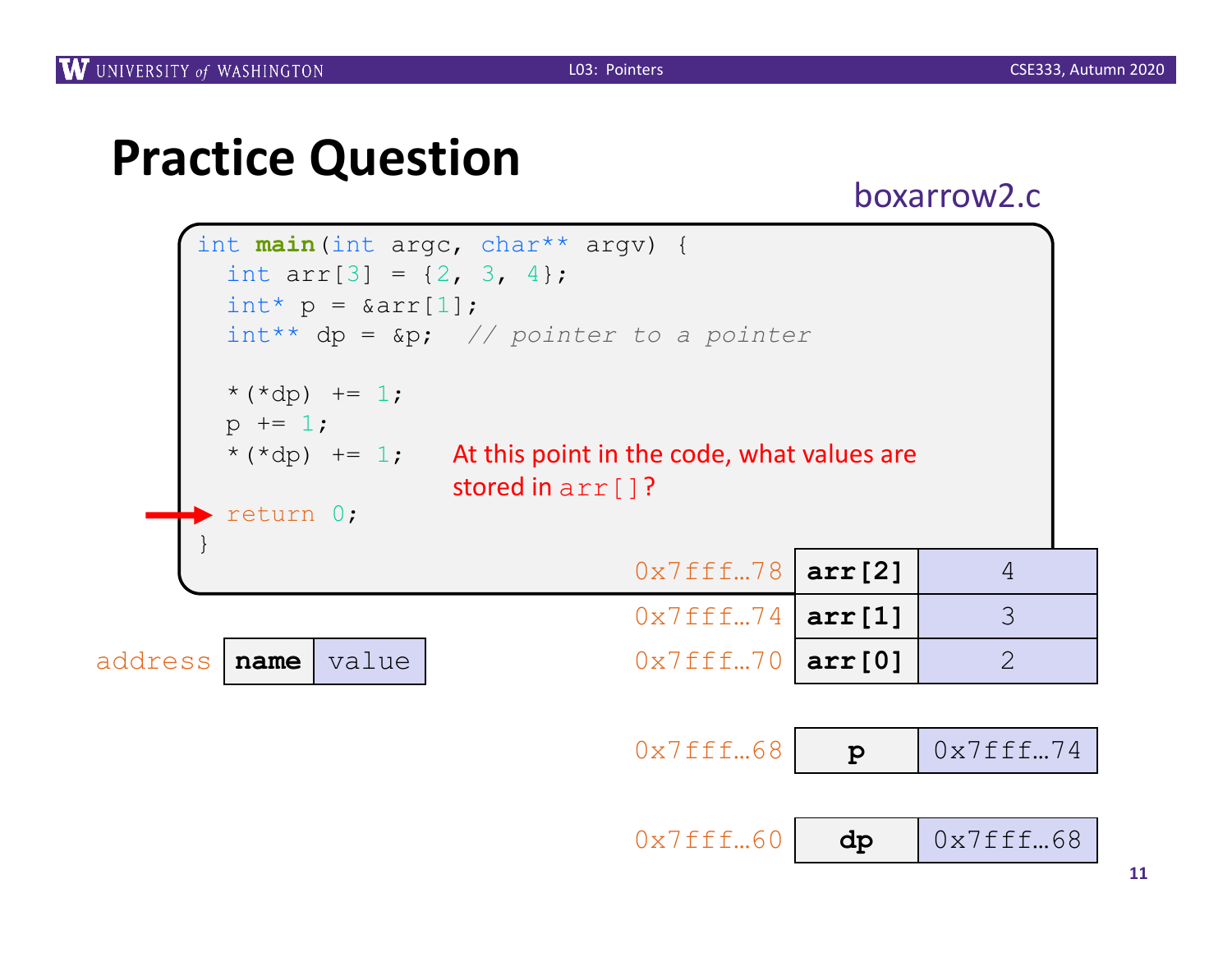### **Practice Question**

boxarrow2.c

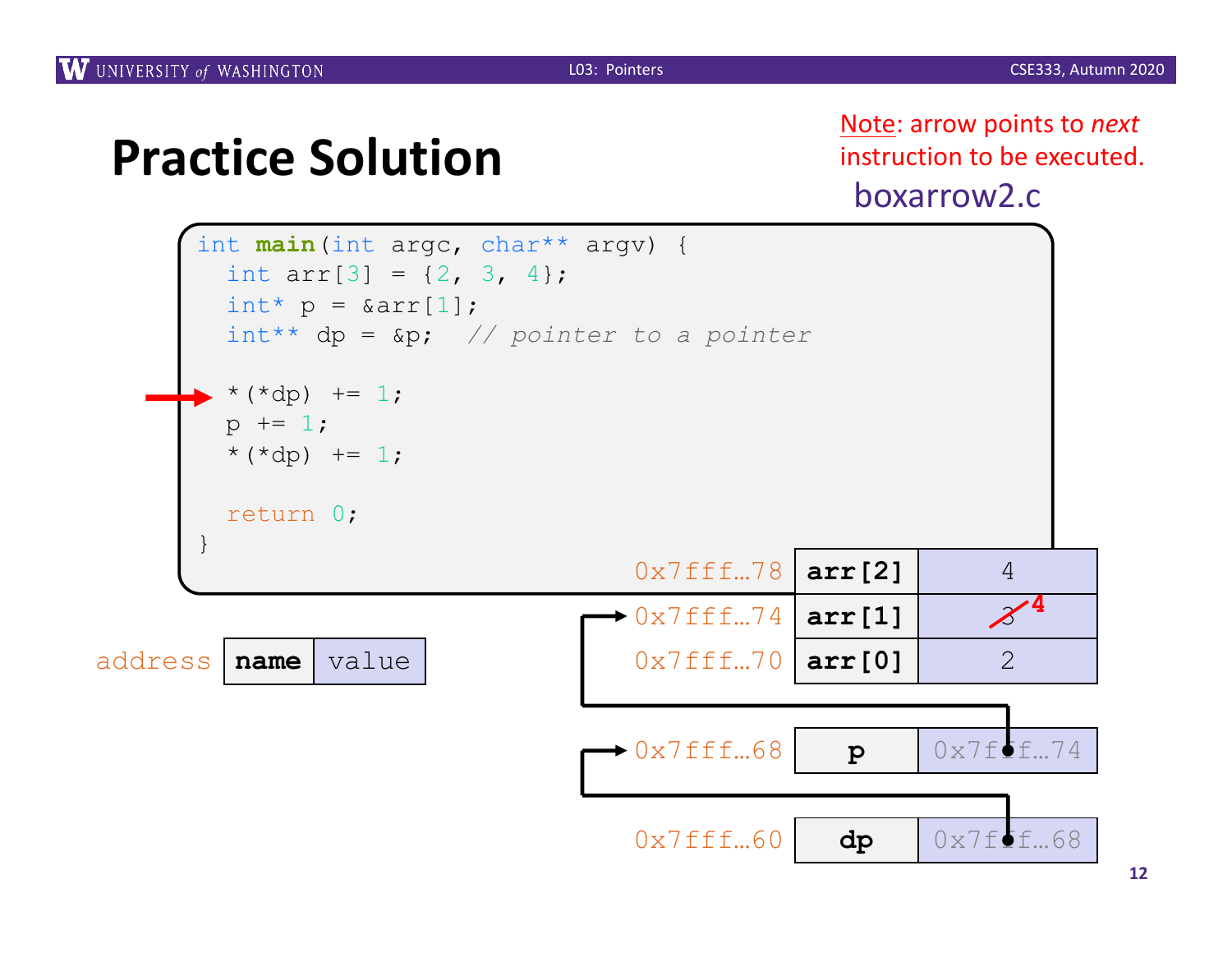boxarrow2.c Note: arrow points to *next* instruction to be executed.



**12**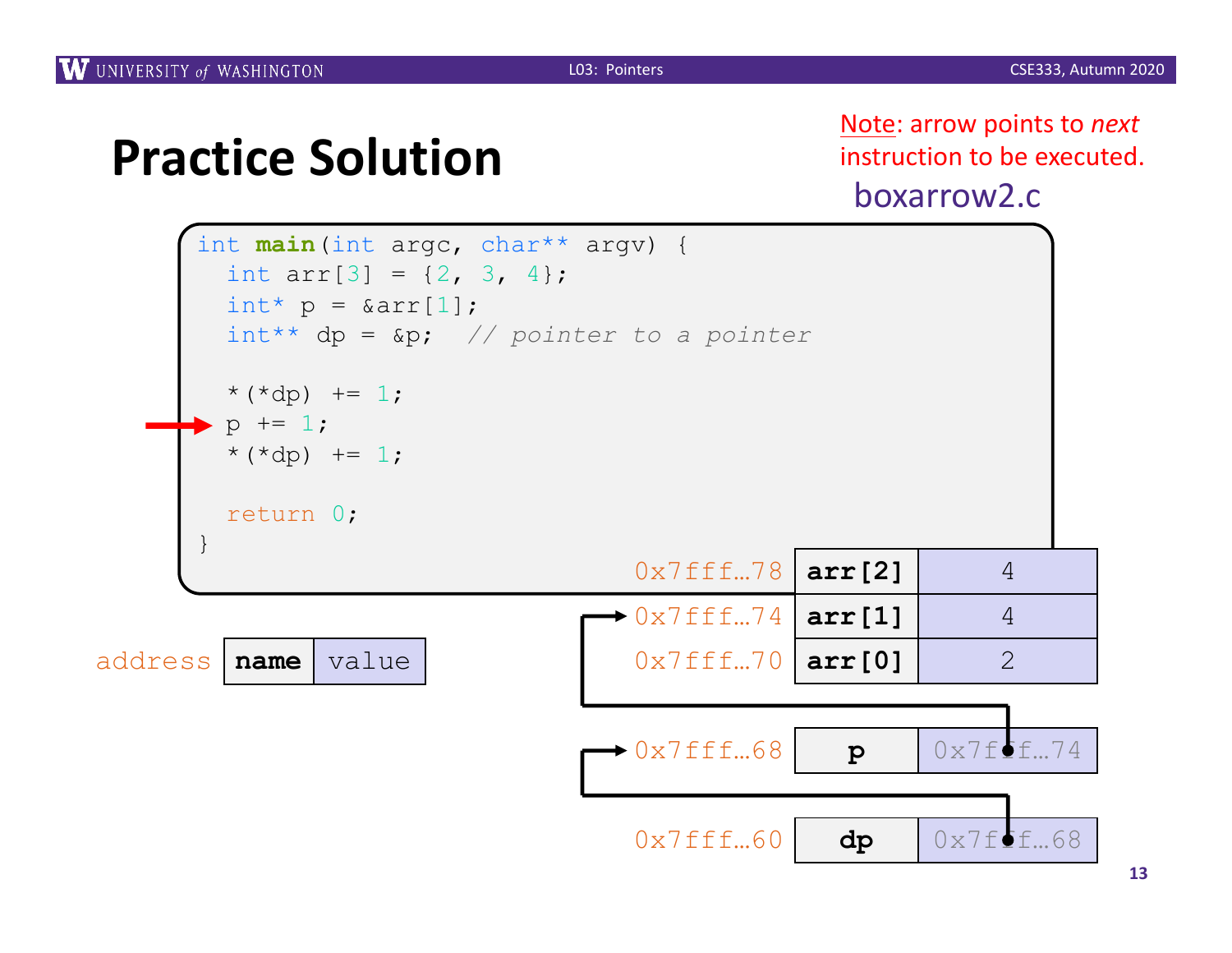boxarrow2.c Note: arrow points to *next* instruction to be executed.

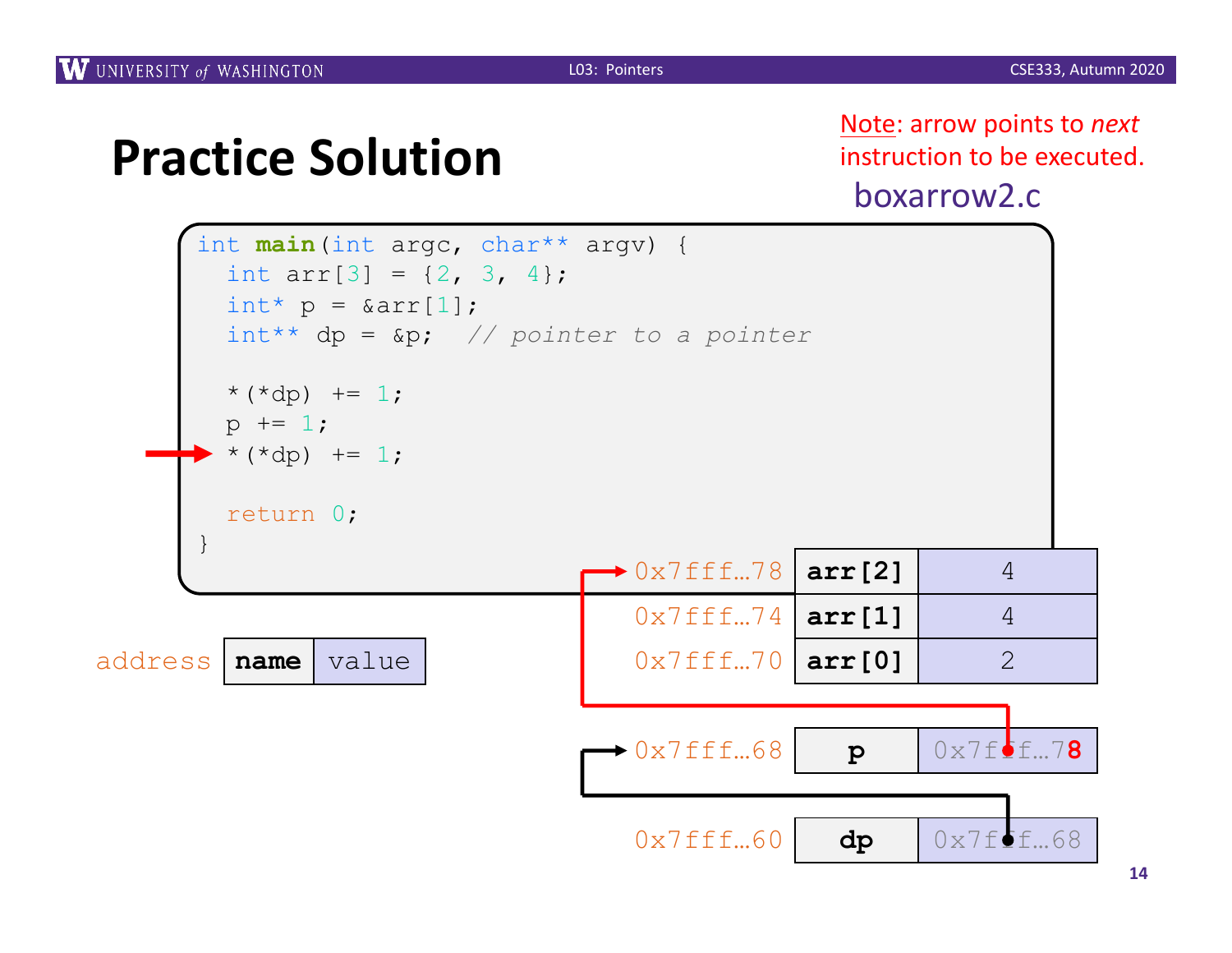boxarrow2.c Note: arrow points to *next* instruction to be executed.

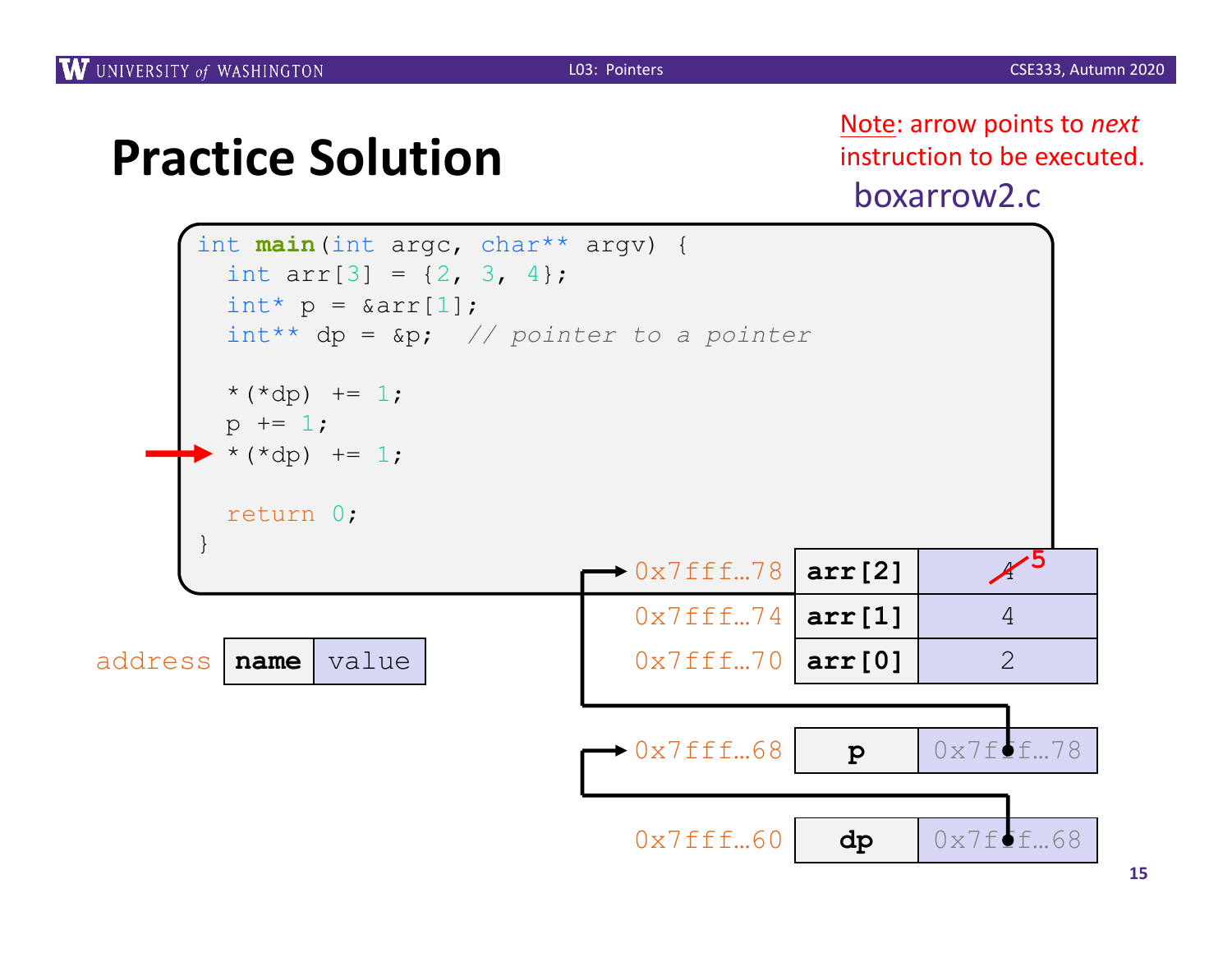boxarrow2.c Note: arrow points to *next* instruction to be executed.

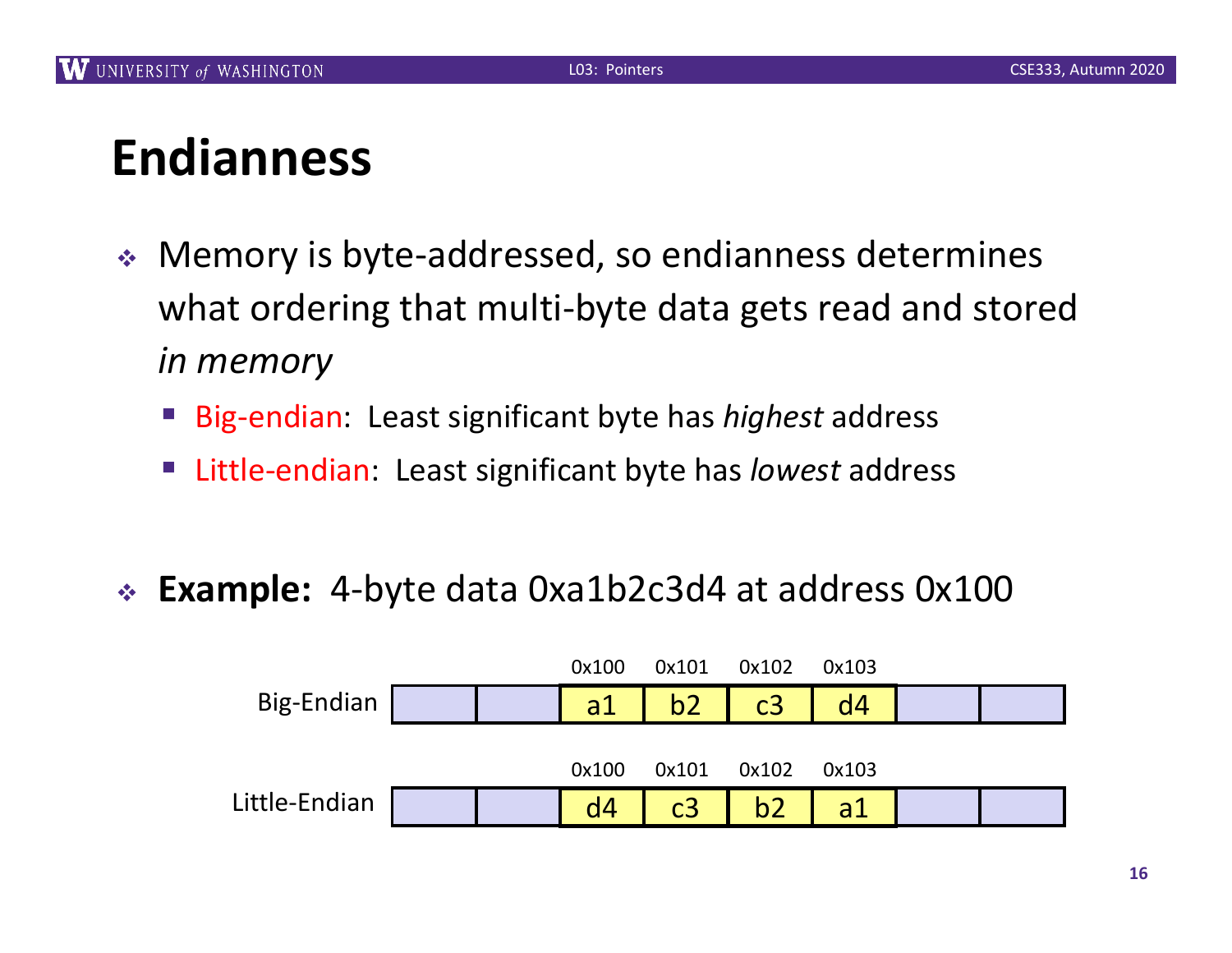# **Endianness**

- ◆ Memory is byte-addressed, so endianness determines what ordering that multi-byte data gets read and stored *in memory*
	- Big-endian: Least significant byte has *highest* address
	- Little-endian: Least significant byte has *lowest* address
- <sup>v</sup> **Example:** 4-byte data 0xa1b2c3d4 at address 0x100

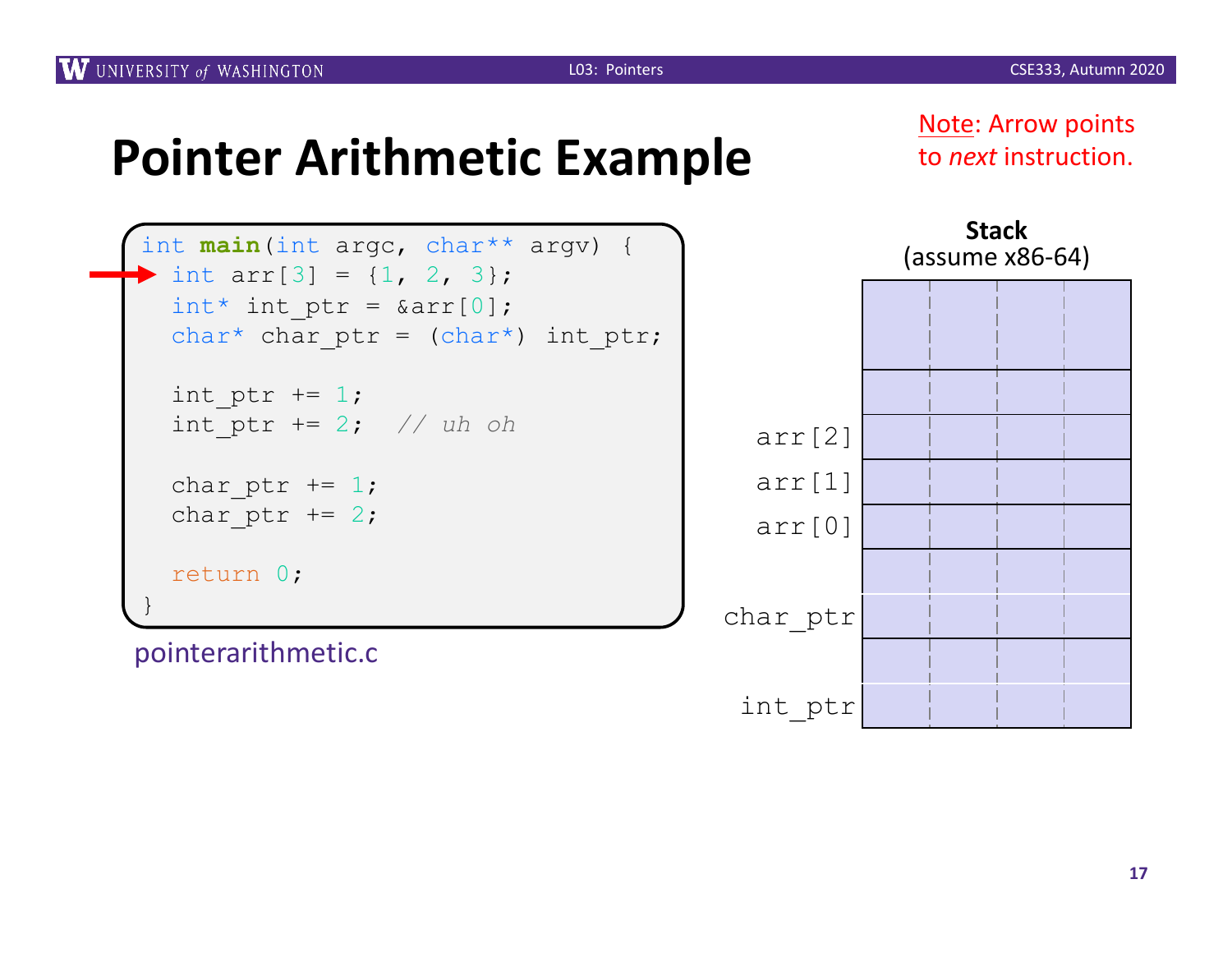**Note: Arrow points** to *next* instruction.

| int main (int argc, char** argv) {<br>int $arr[3] = \{1, 2, 3\}$ ;<br>int* int ptr = $\text{Sarr}[0]$ ; |  |
|---------------------------------------------------------------------------------------------------------|--|
| char* char ptr = $(char*)$ int ptr;                                                                     |  |
| int ptr $+= 1$ ;<br>int ptr += 2; // uh oh                                                              |  |
| char ptr $+= 1$ ;<br>char ptr $+= 2;$                                                                   |  |
| return 0;                                                                                               |  |

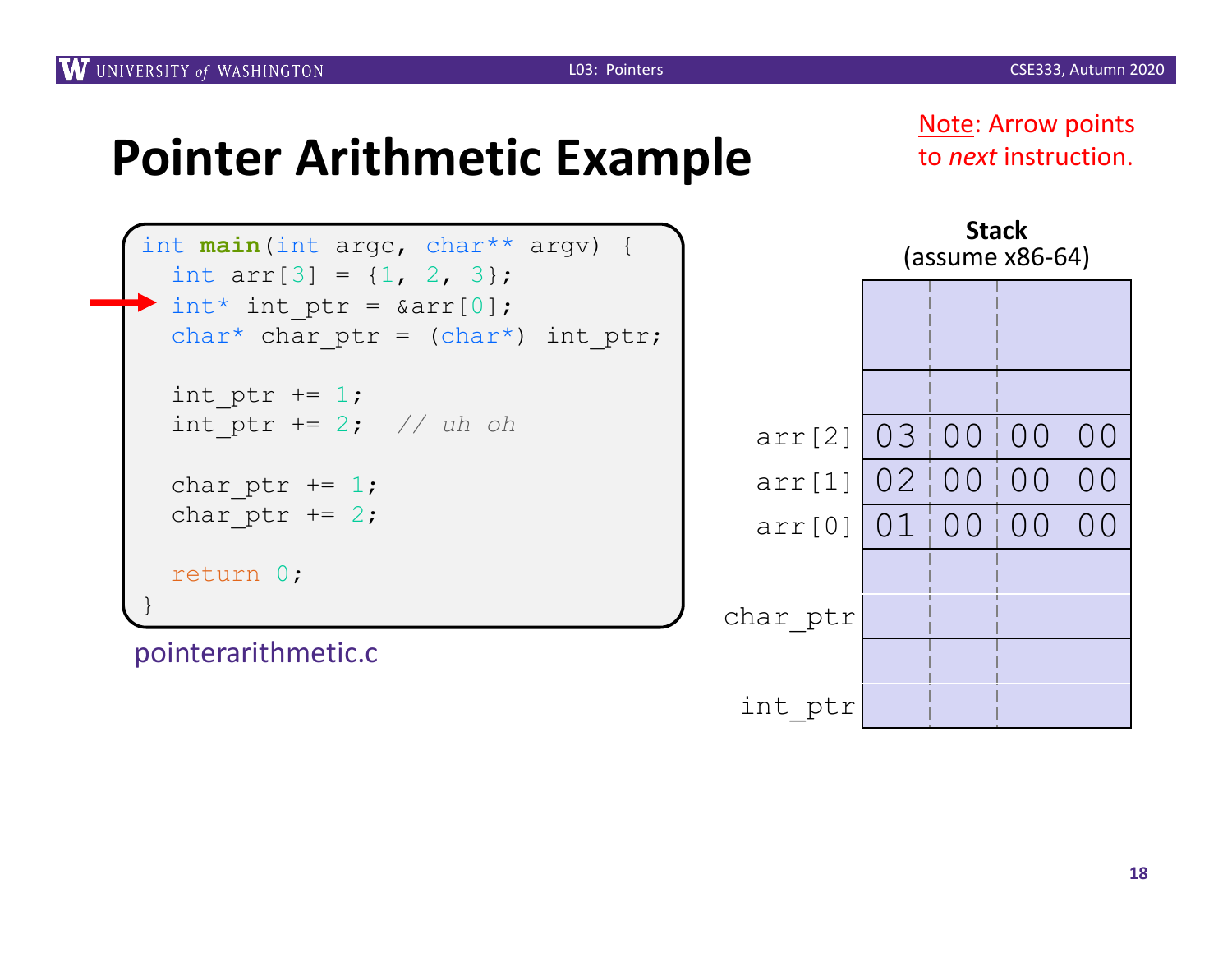Note: Arrow points to *next* instruction.

```
int main(int argc, char** argv) {
  int arr[3] = \{1, 2, 3\};
 int* int ptr = &array[0];char* char ptr = (char*) int ptr;
 int ptr += 1;int_ptr += 2; // uh oh
 char ptr += 1;char ptr += 2;return 0;
}
```
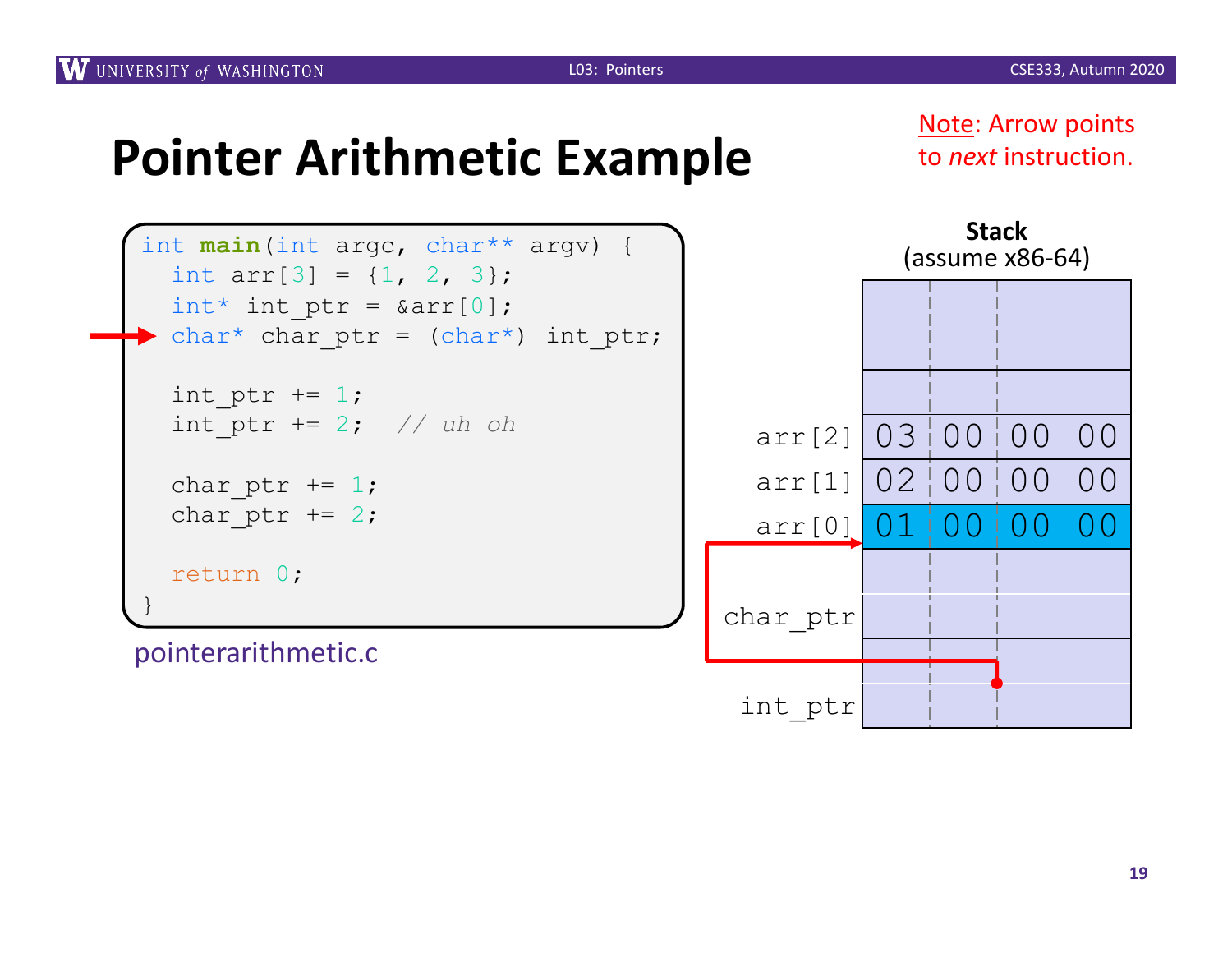Note: Arrow points to *next* instruction.



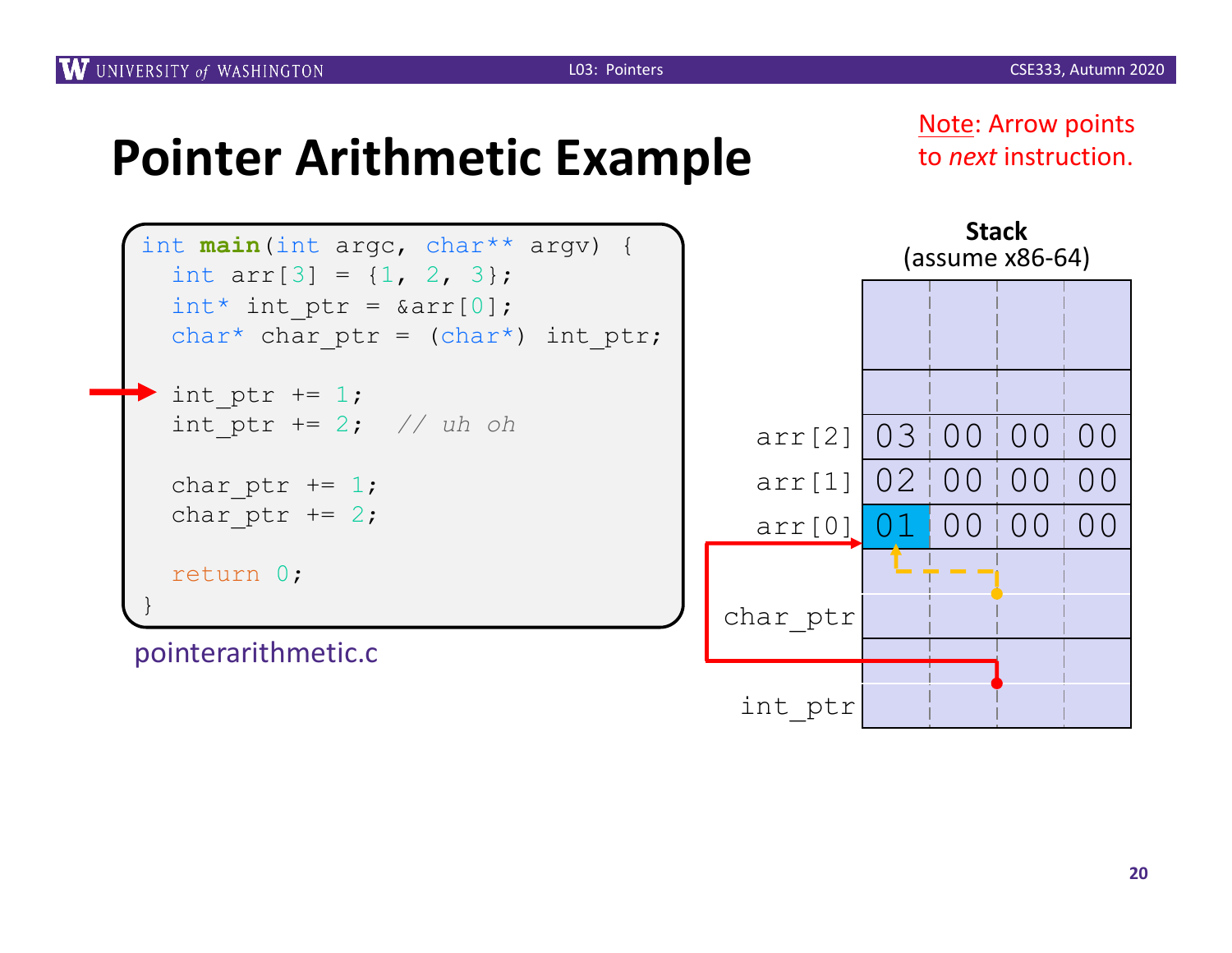Note: Arrow points to *next* instruction.



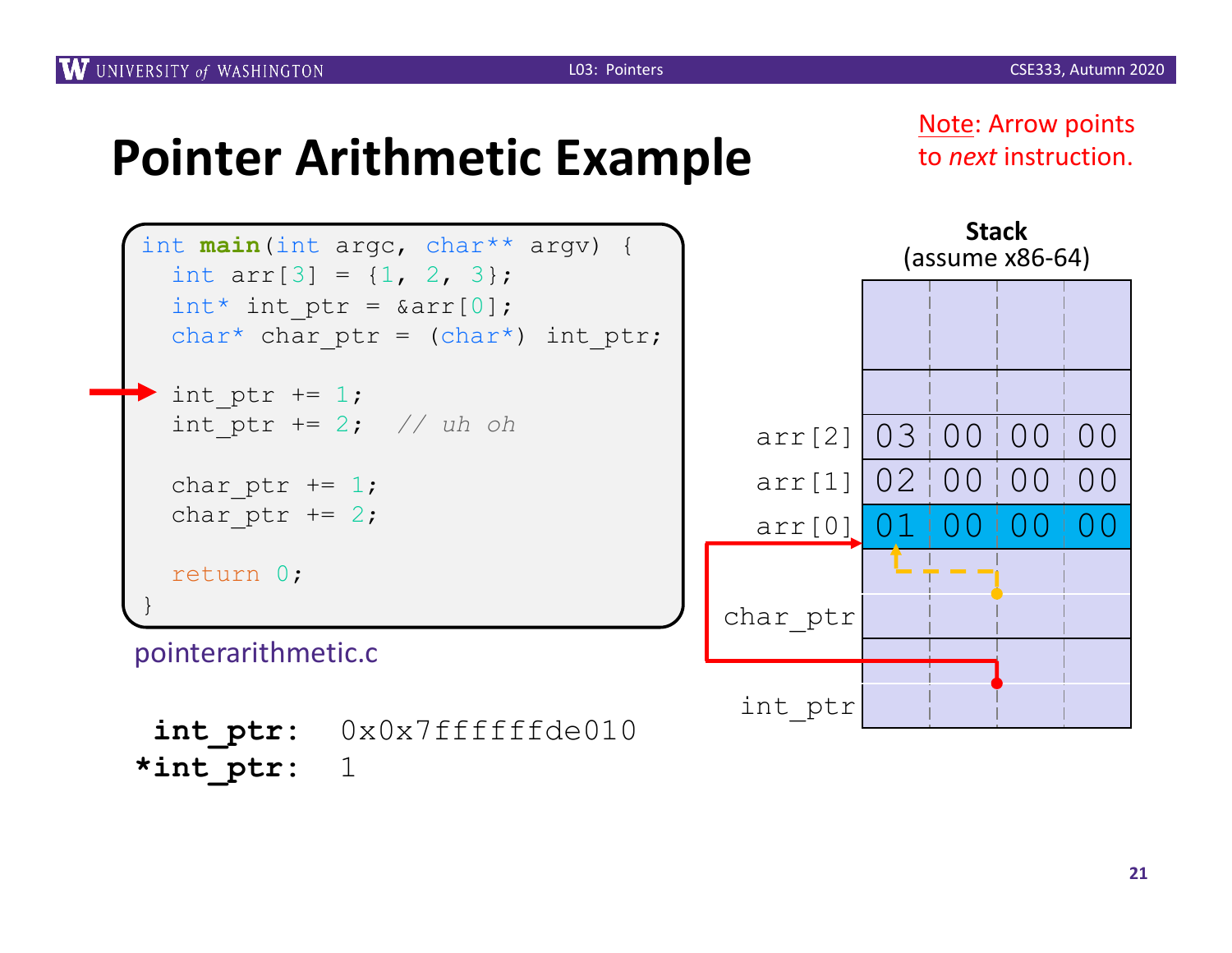Note: Arrow points to *next* instruction.

**Stack**



**int\_ptr:** 0x0x7ffffffde010 **\*int\_ptr:** 1

**21**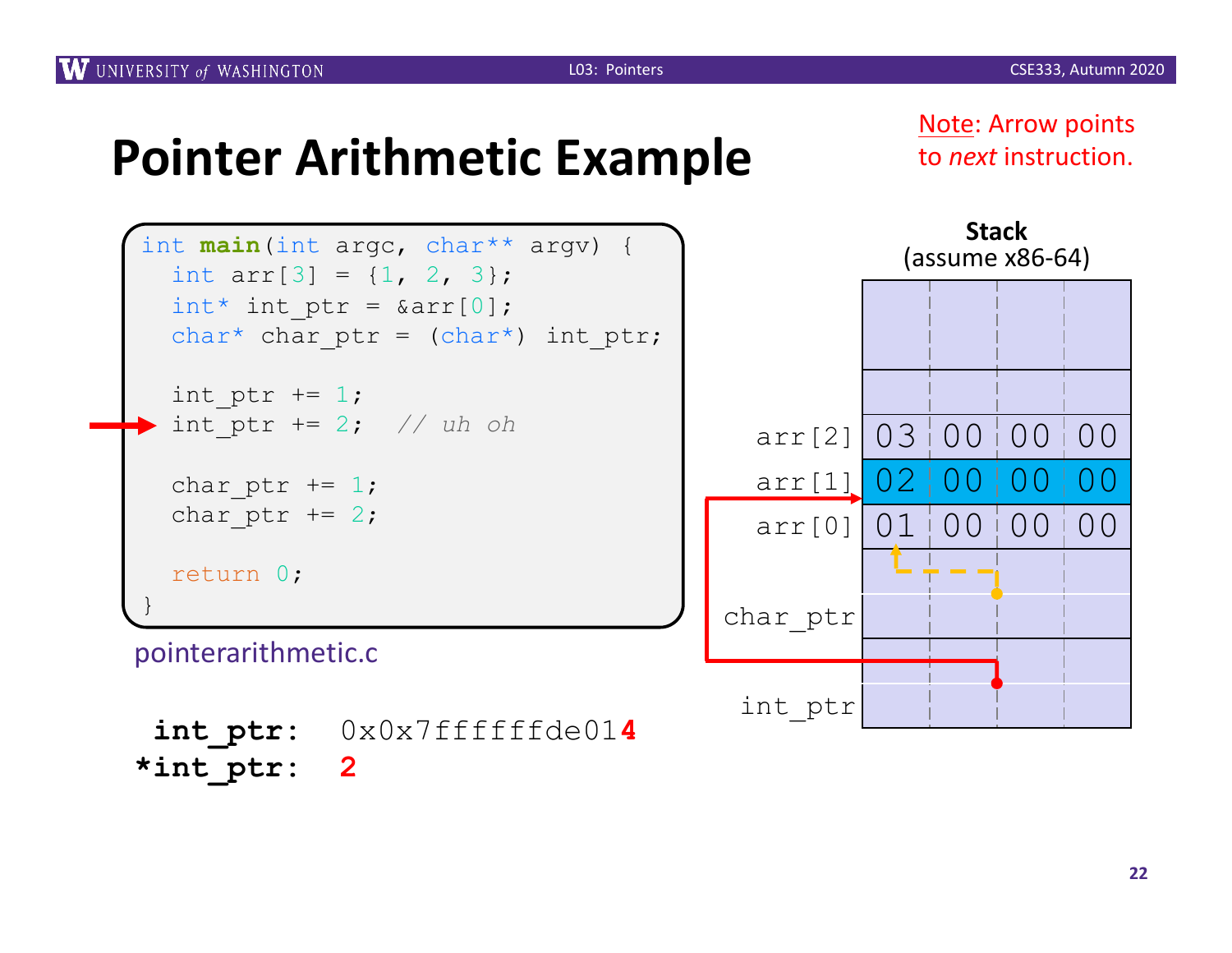Note: Arrow points to *next* instruction.

**Stack**





**int\_ptr:** 0x0x7ffffffde01**4 \*int\_ptr: 2**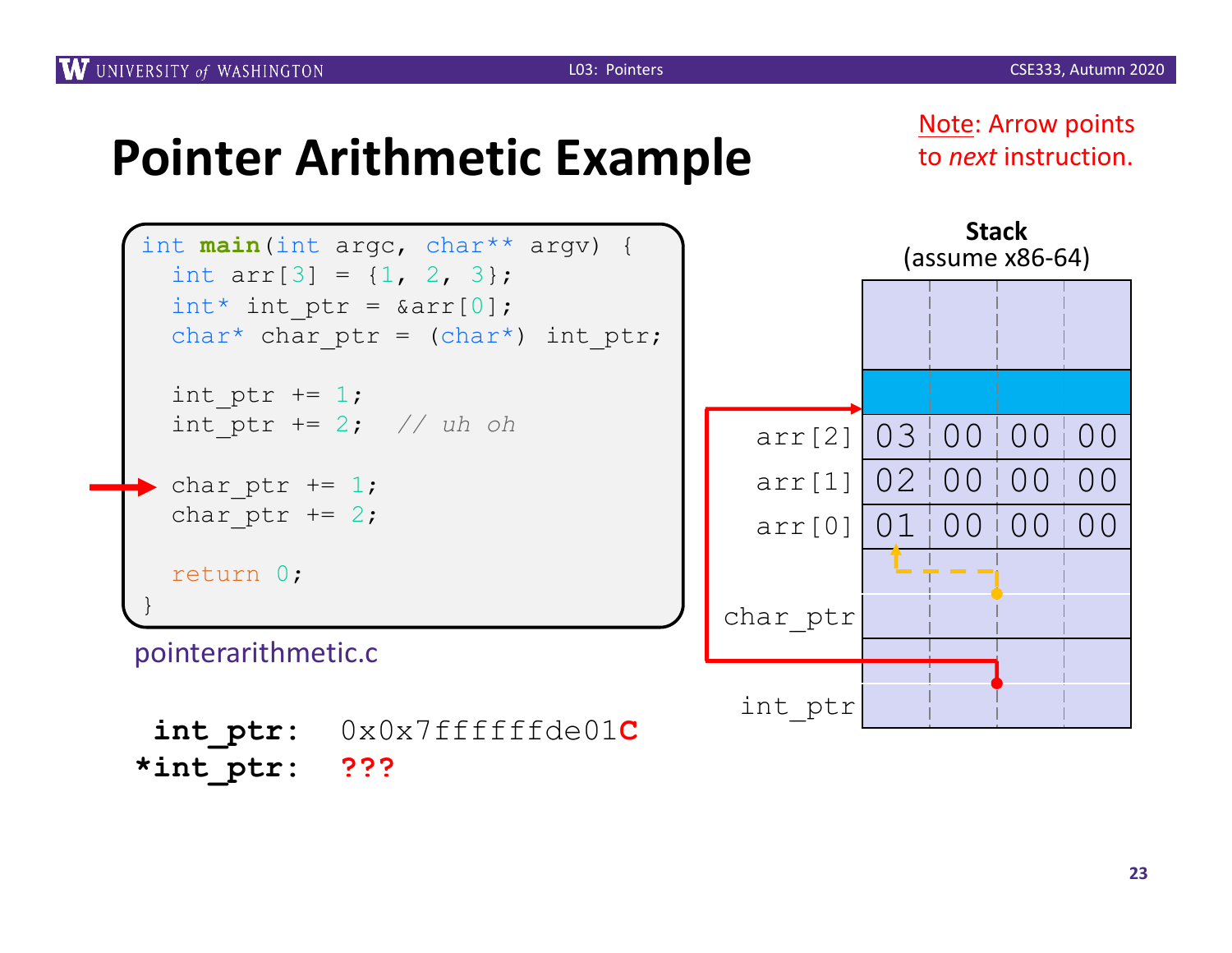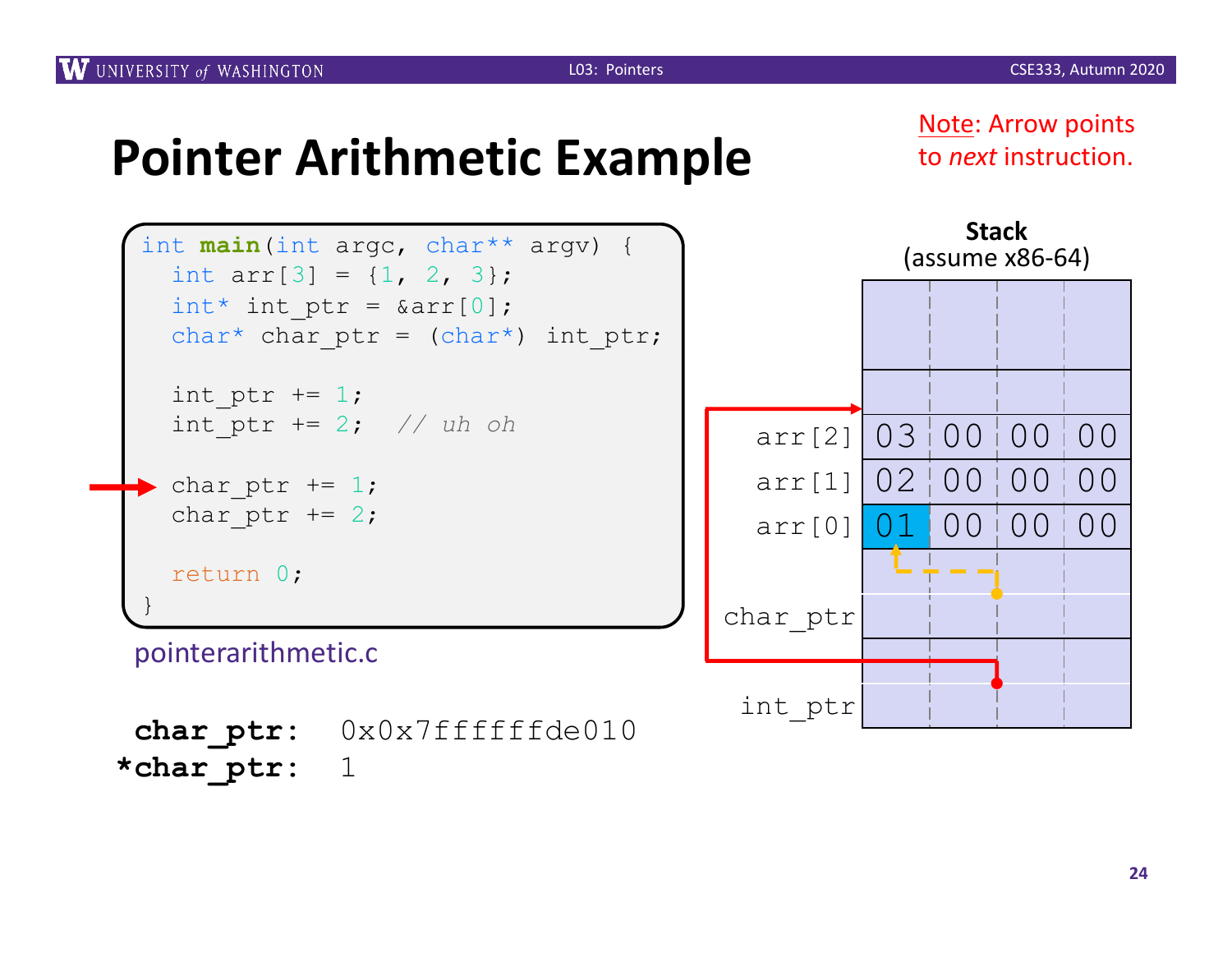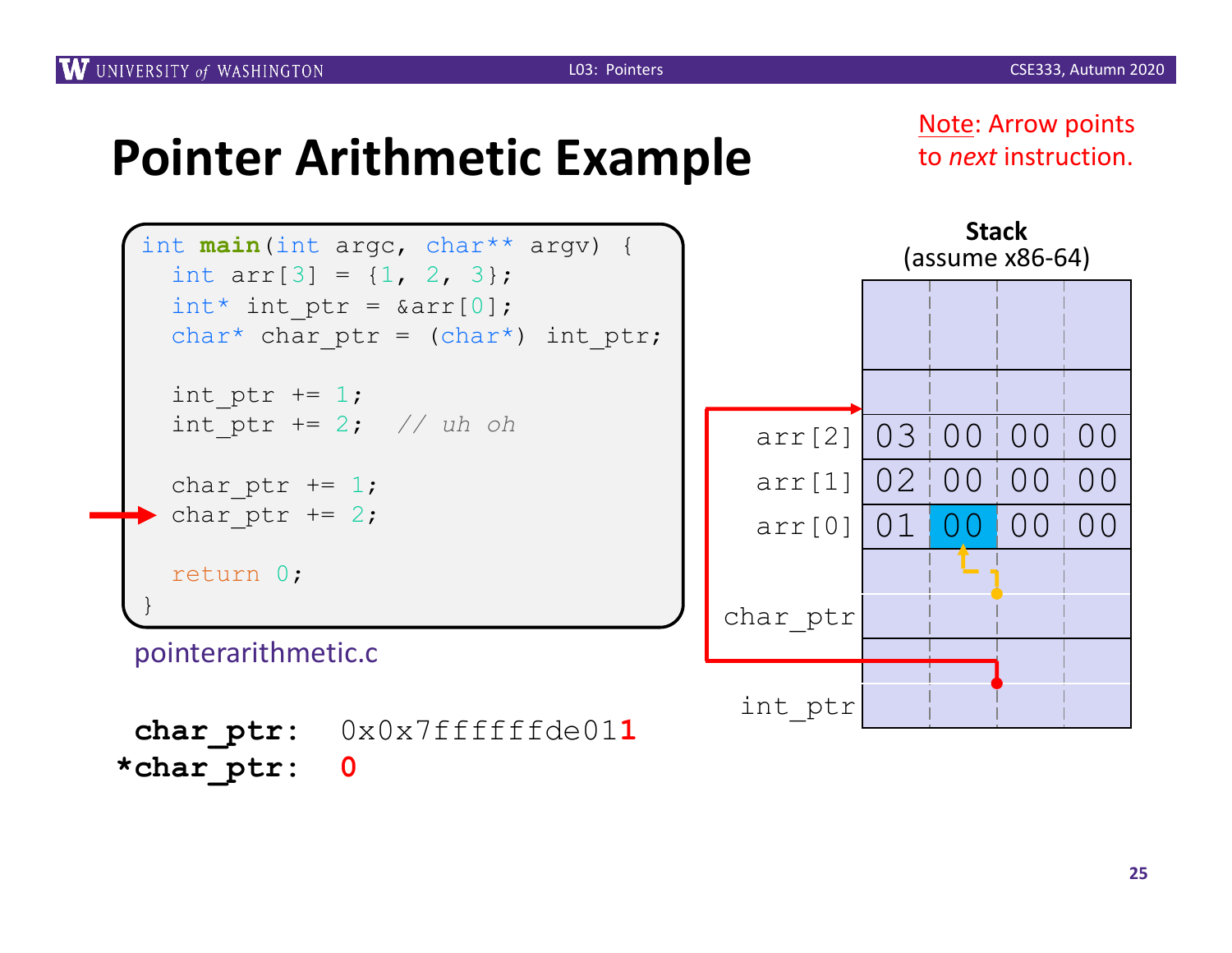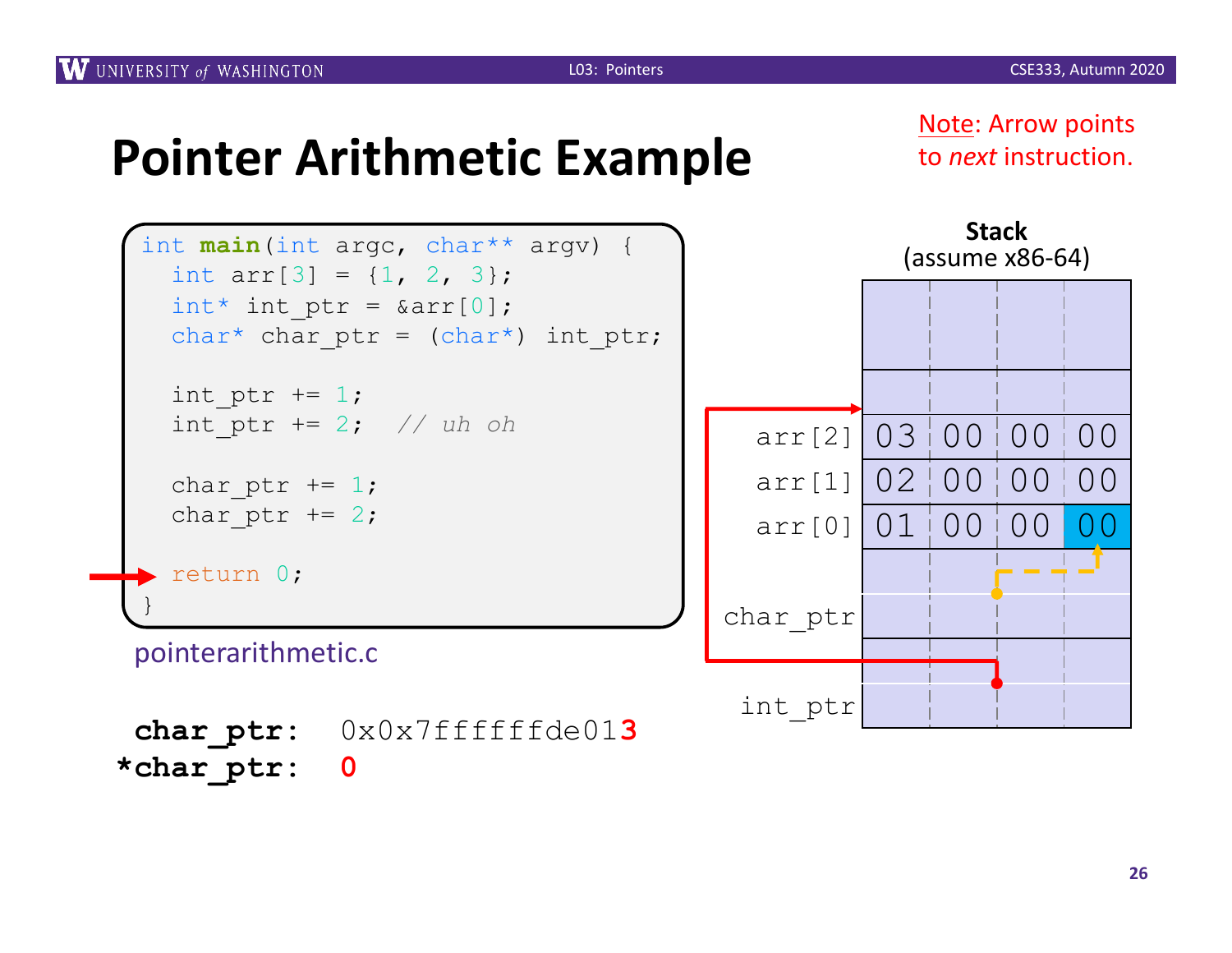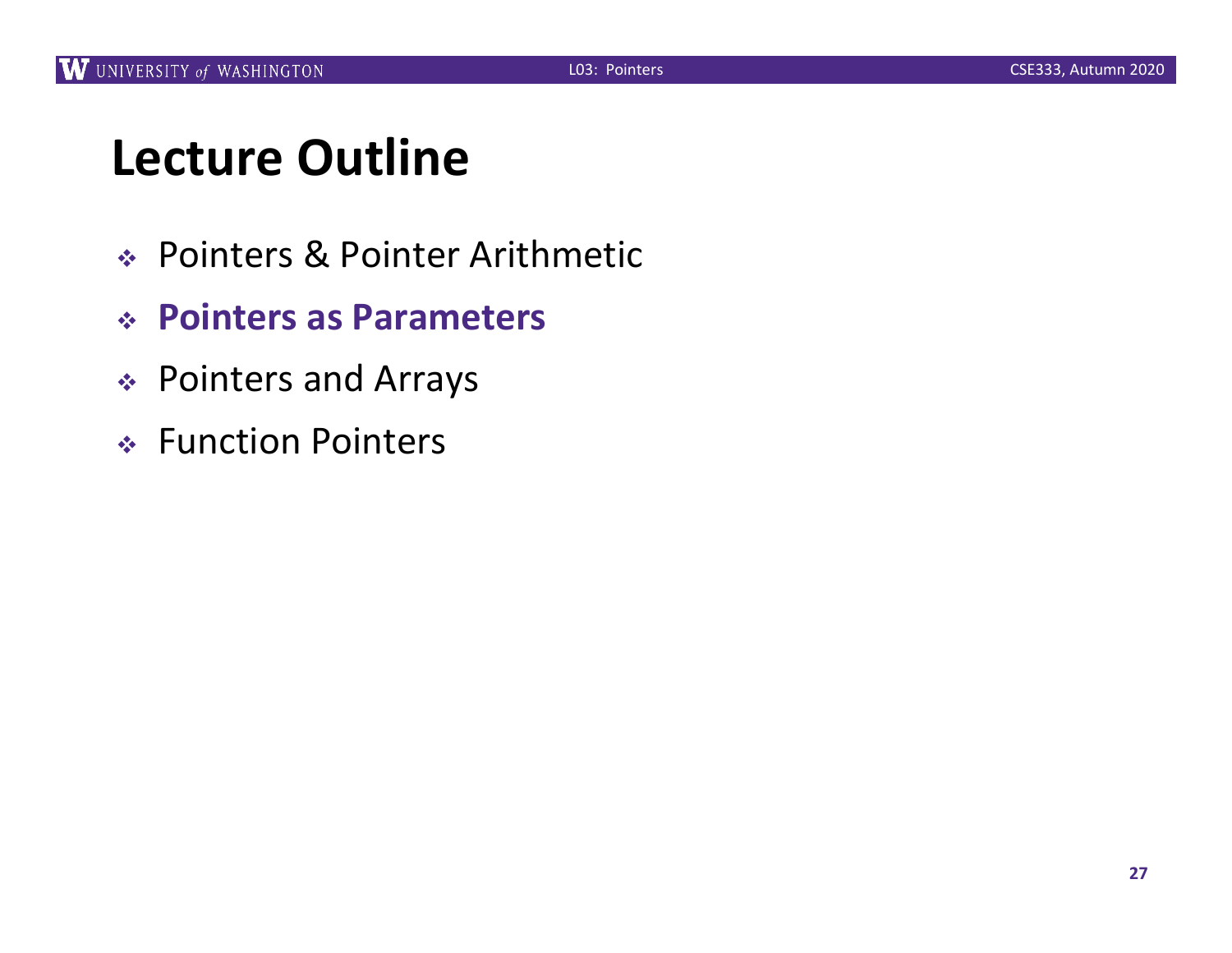### **Lecture Outline**

- <sup>v</sup> Pointers & Pointer Arithmetic
- <sup>v</sup> **Pointers as Parameters**
- <sup>v</sup> Pointers and Arrays
- ◆ Function Pointers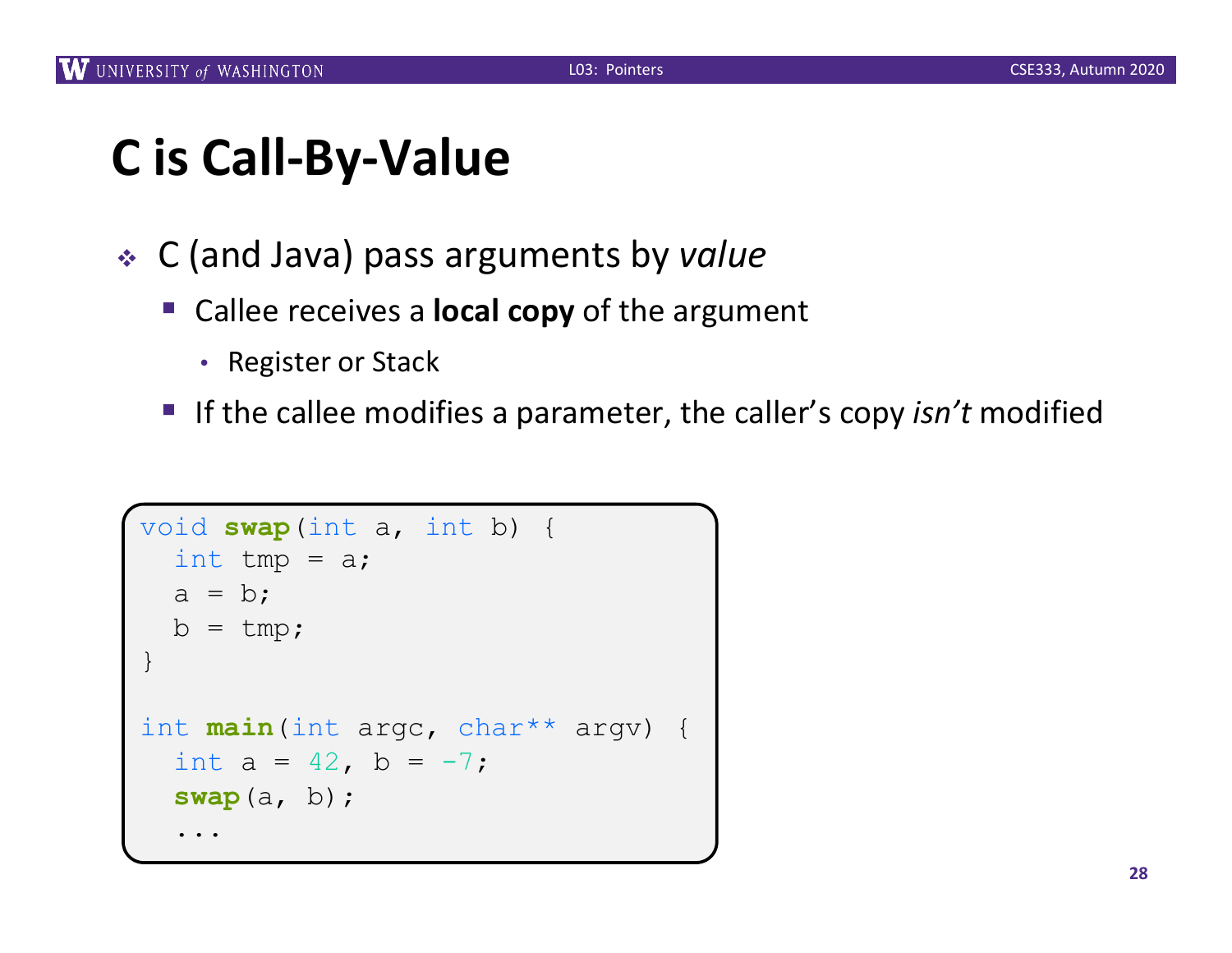# **C is Call-By-Value**

- <sup>v</sup> C (and Java) pass arguments by *value*
	- Callee receives a **local copy** of the argument
		- Register or Stack
	- If the callee modifies a parameter, the caller's copy *isn't* modified

```
void swap(int a, int b) {
  int tmp = a;
  a = b;b = tmp;}
int main(int argc, char** argv) {
  int a = 42, b = -7;
  swap(a, b);
  ...
```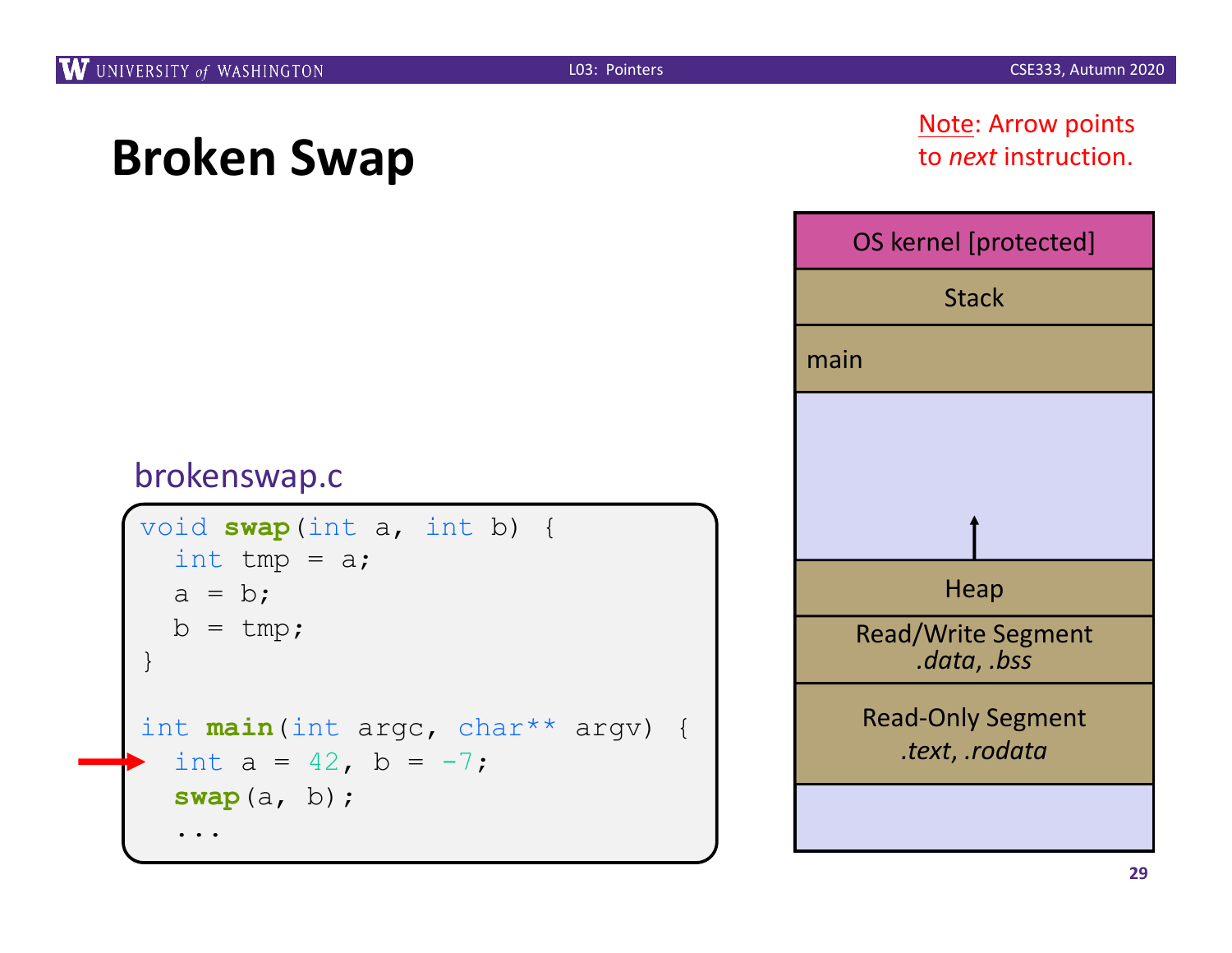#### Note: Arrow points to *next* instruction.



```
void swap(int a, int b) {
  int tmp = a;
  a = b;
  b = tmp;}
int main(int argc, char** argv) {
  int a = 42, b = -7;
  swap(a, b);
  ...
```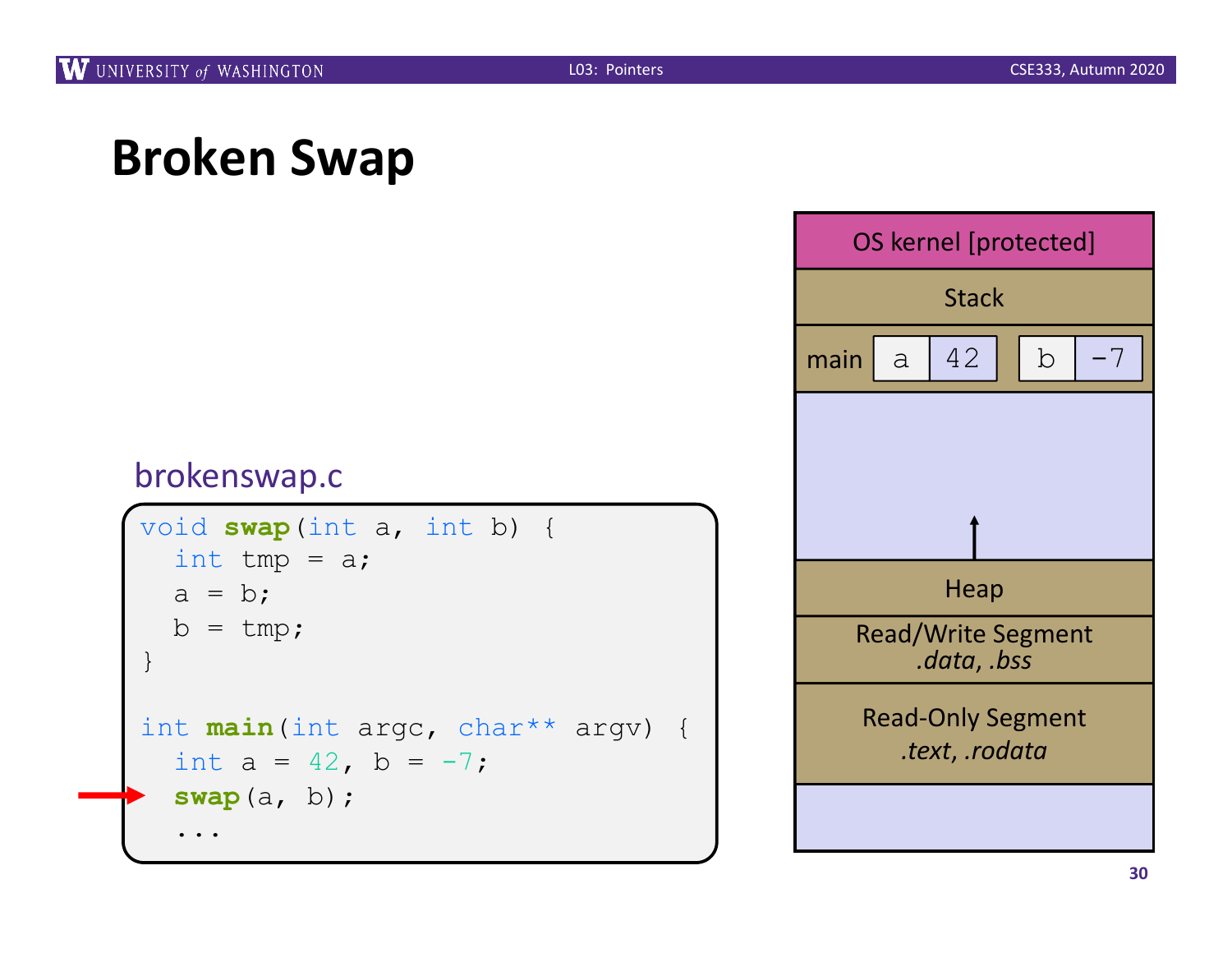```
void swap(int a, int b) {
  int tmp = a;
  a = b;
  b = tmp;}
int main(int argc, char** argv) {
  int a = 42, b = -7;
  swap(a, b);
  ...
```
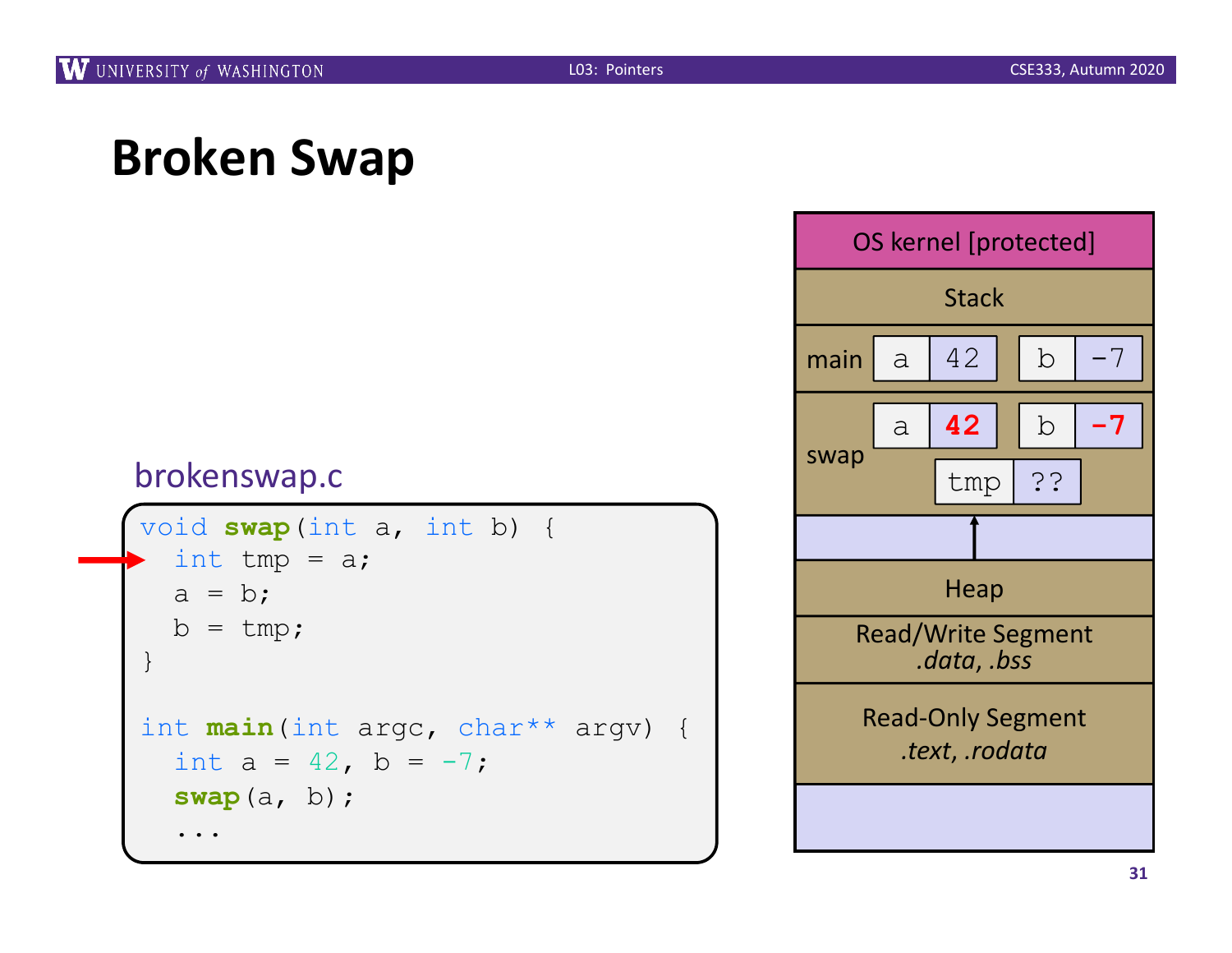```
void swap(int a, int b) {
  int tmp = a;
  a = b;b = tmp;}
int main(int argc, char** argv) {
  int a = 42, b = -7;
  swap(a, b);
  ...
```
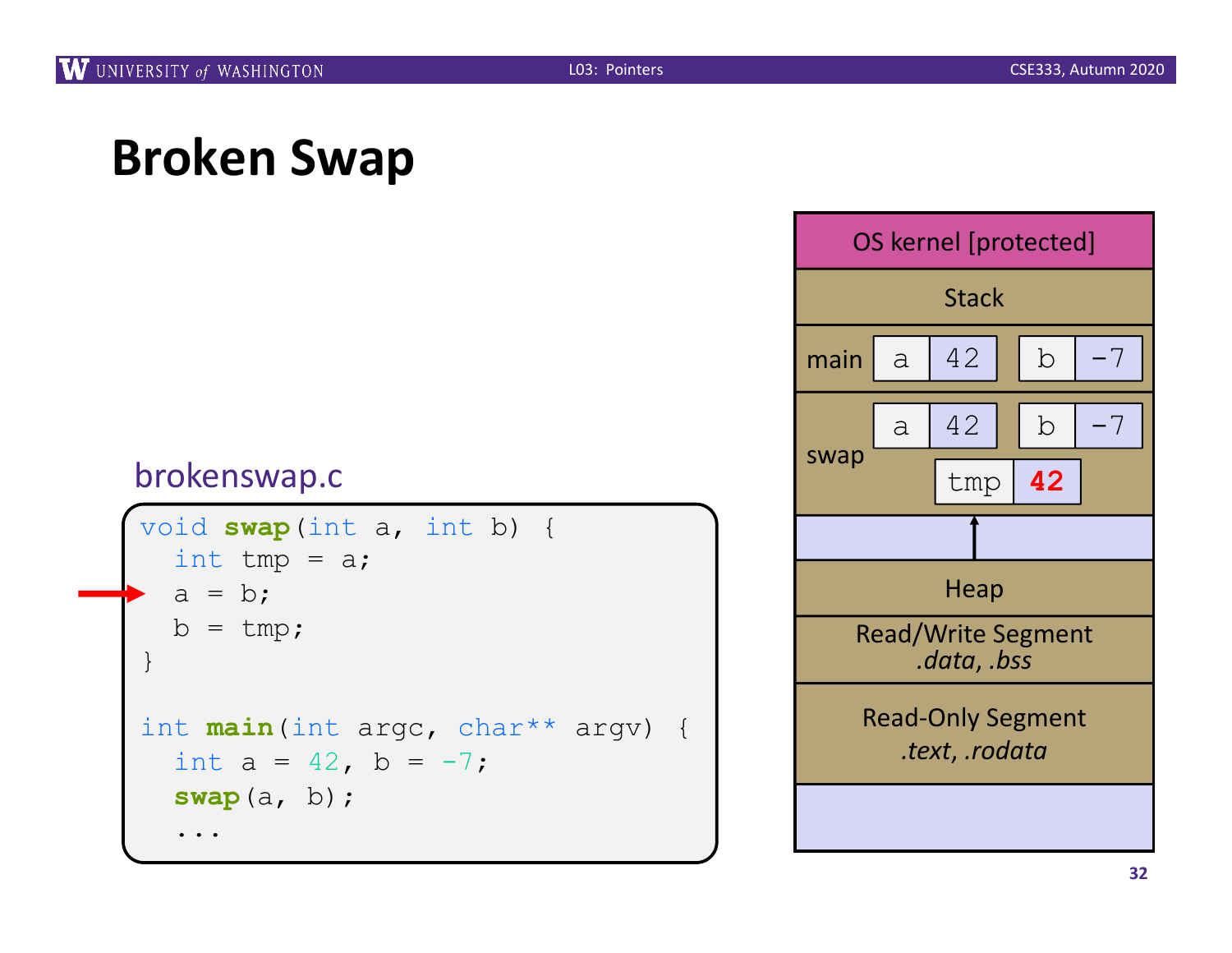```
void swap(int a, int b) {
  int tmp = a;
  a = b;
  b = tmp;}
int main(int argc, char** argv) {
  int a = 42, b = -7;
  swap(a, b);
  ...
```
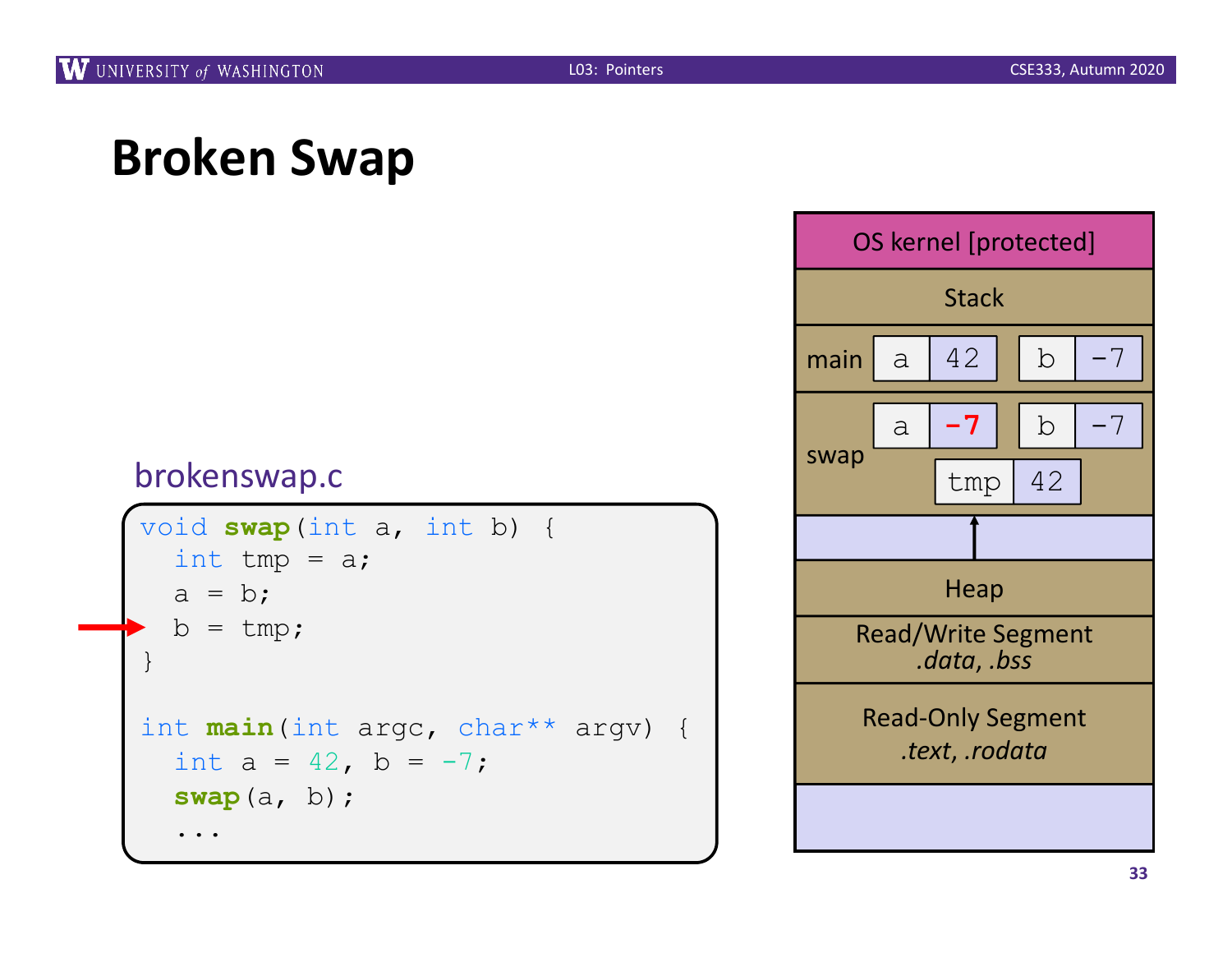```
void swap(int a, int b) {
  int tmp = a;
  a = b;
  b = tmp;}
int main(int argc, char** argv) {
  int a = 42, b = -7;
  swap(a, b);
  ...
```
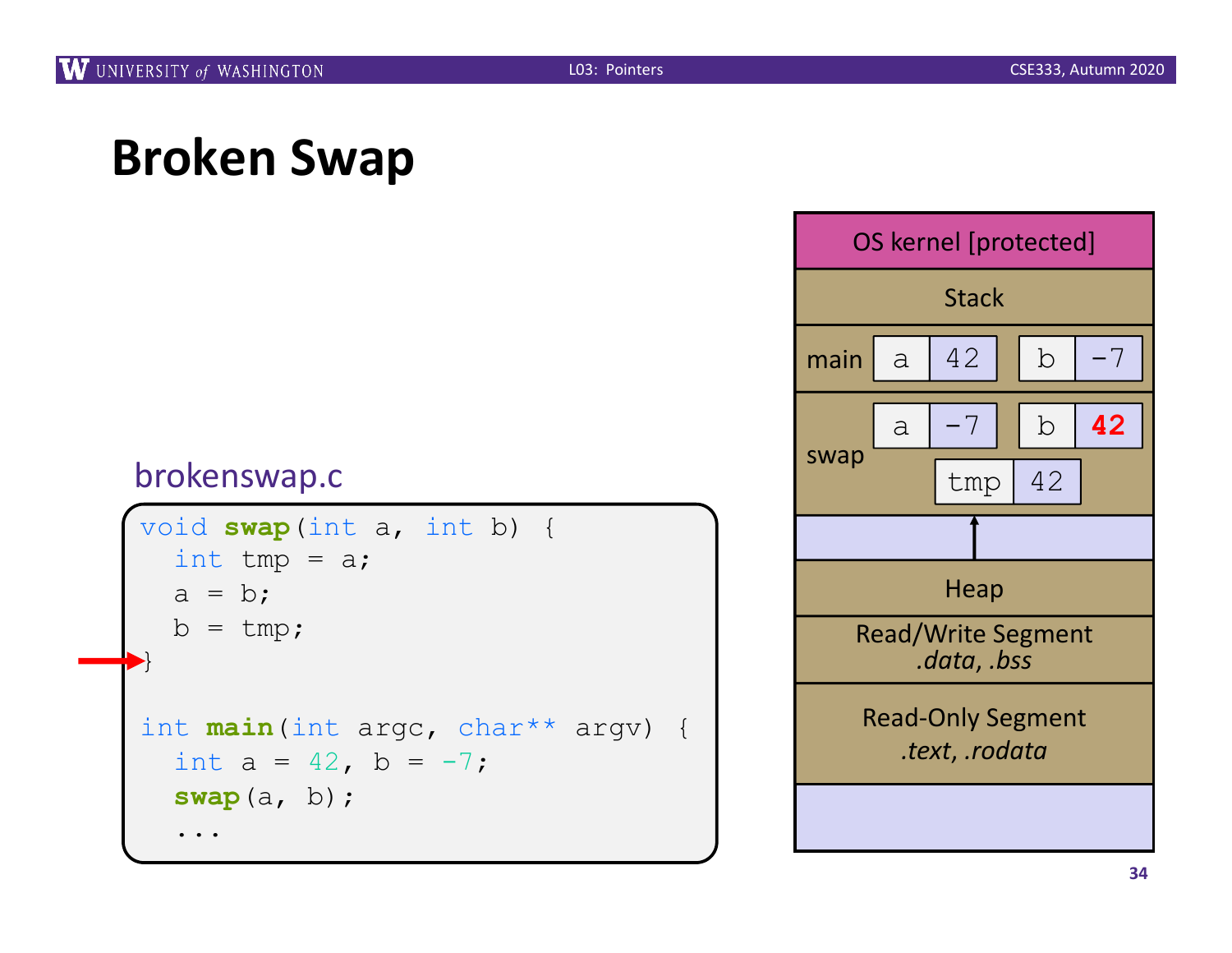```
void swap(int a, int b) {
  int tmp = a;
  a = b;
  b = tmp;}
int main(int argc, char** argv) {
  int a = 42, b = -7;
  swap(a, b);
  ...
```
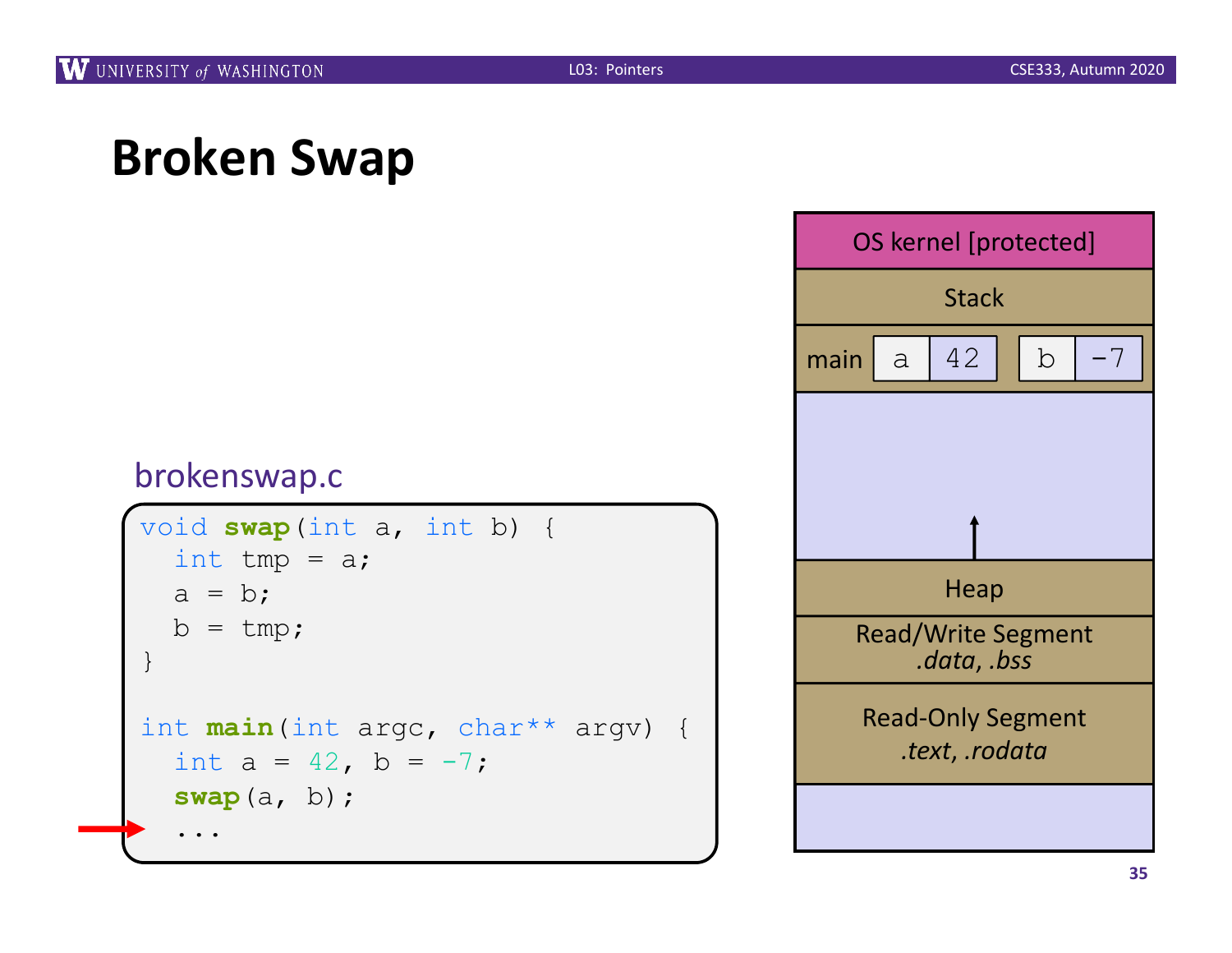```
void swap(int a, int b) {
  int tmp = a;
  a = b;
  b = tmp;}
int main(int argc, char** argv) {
  int a = 42, b = -7;
  swap(a, b);
  ...
```
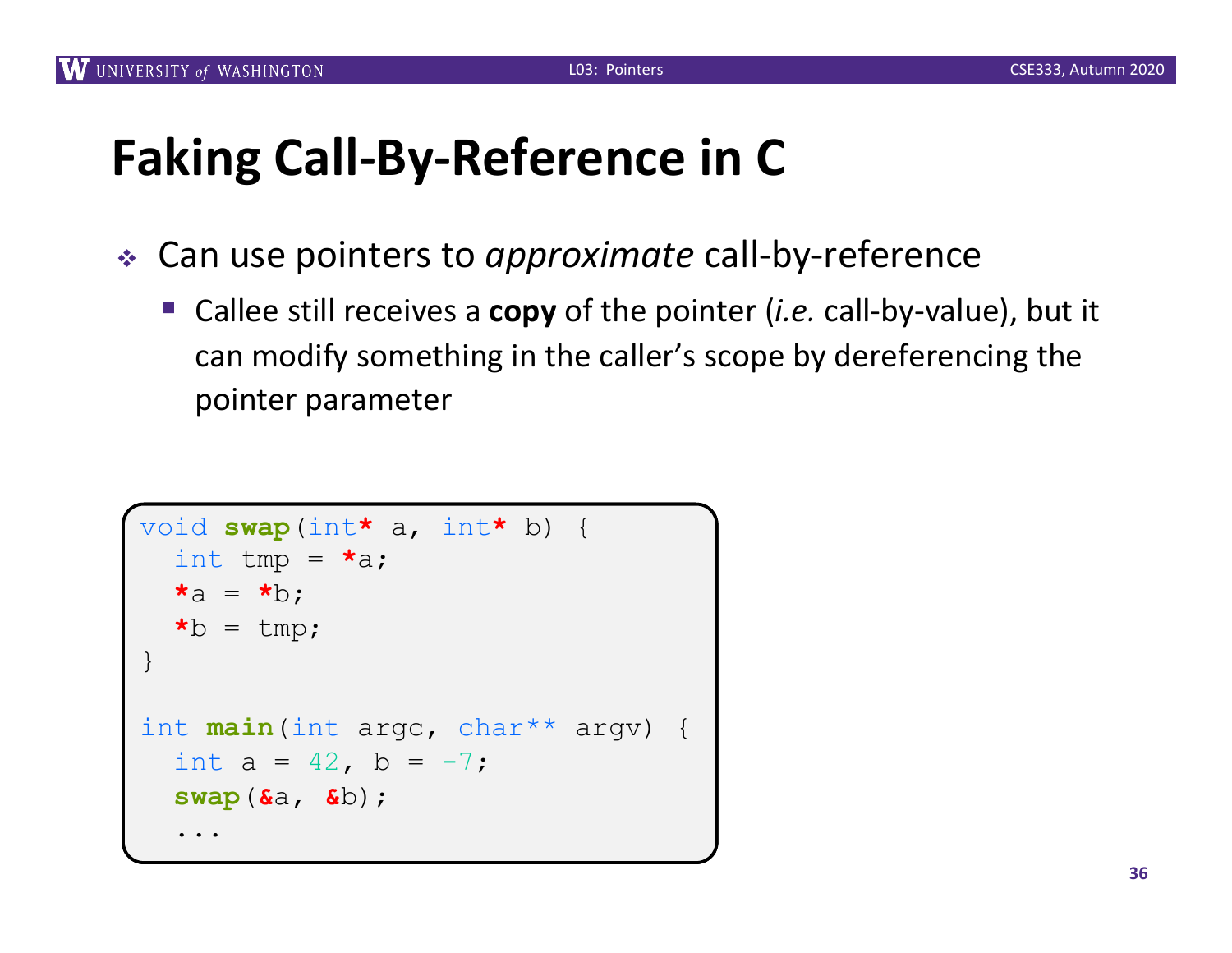# **Faking Call-By-Reference in C**

- <sup>v</sup> Can use pointers to *approximate* call-by-reference
	- Callee still receives a **copy** of the pointer (*i.e.* call-by-value), but it can modify something in the caller's scope by dereferencing the pointer parameter

```
void swap(int a, int b) {
* a, int* b) {
  int tmp = *a;
  \stara = \starb;
  \starb = tmp;
}
int main(int argc, char** argv) {
  int a = 42, b = -7;
  swap(\&a, \&b);...
```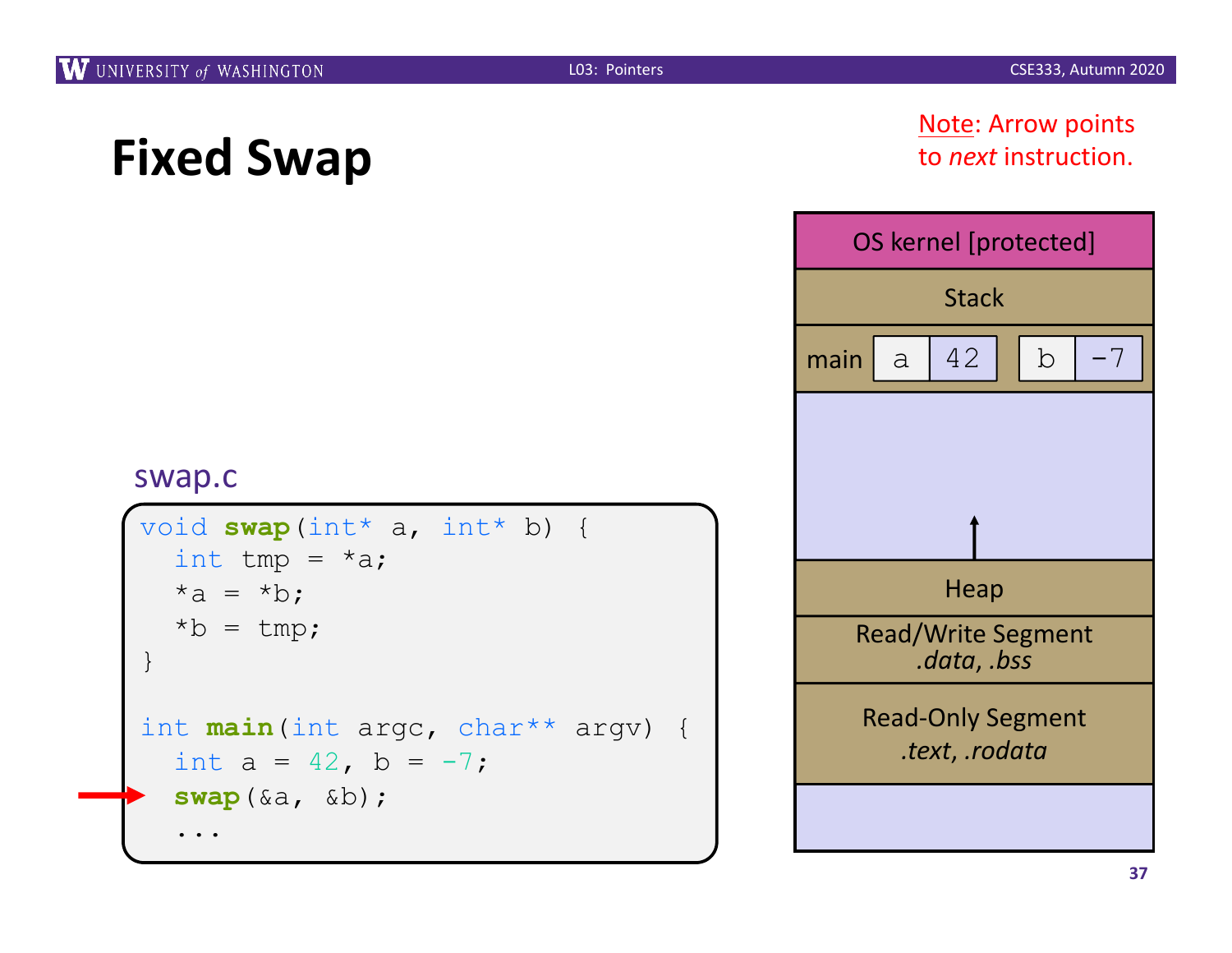#### Note: Arrow points to *next* instruction.



```
void swap(int* a, int* b) {
  int tmp = *a;
  *a = *b;
  *b = tmp;}
int main(int argc, char** argv) {
  int a = 42, b = -7;
  swap(&a, &b);
  ...
```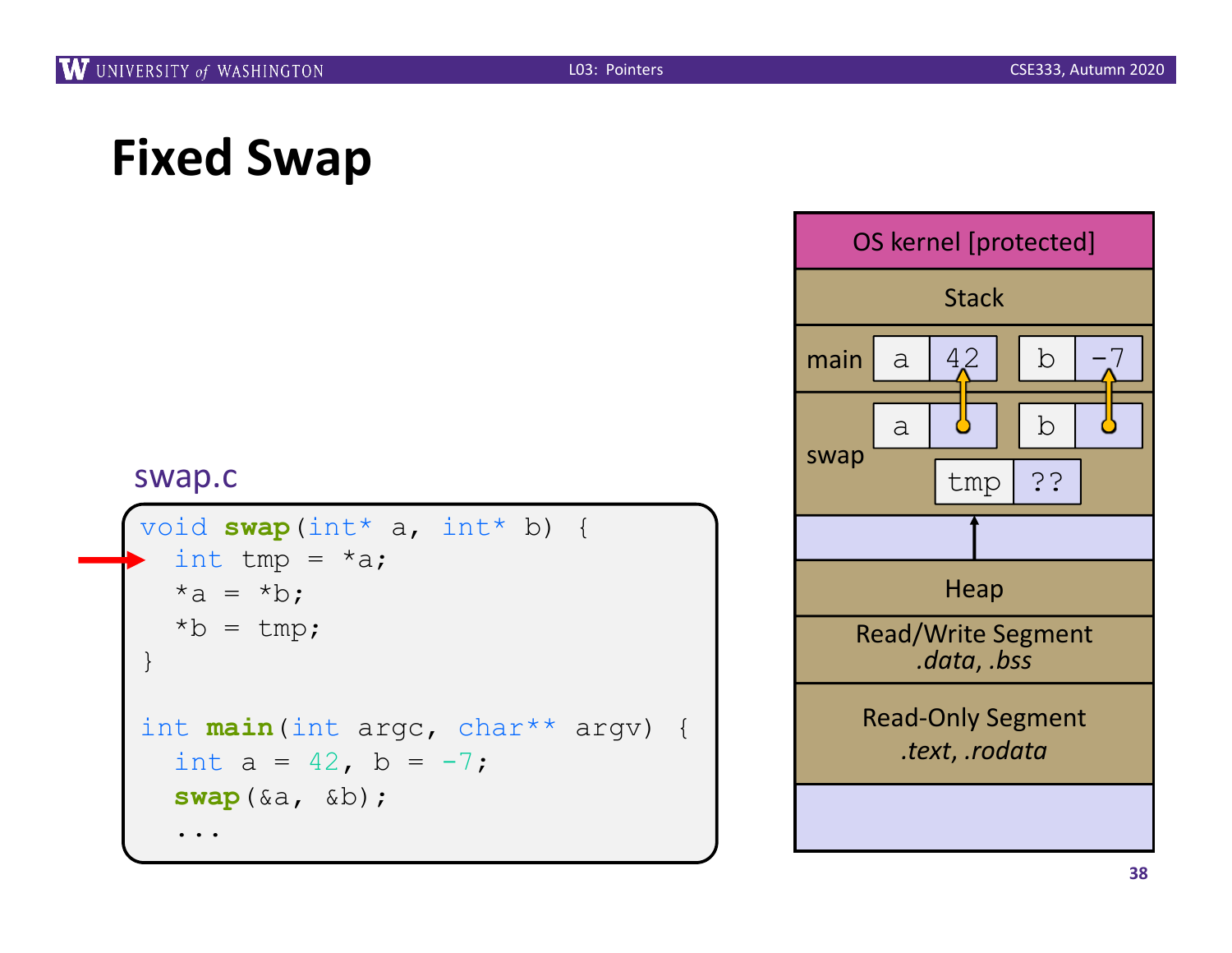```
void swap(int* a, int* b) {
  int tmp = *a;
  *a = *b;
  *b = tmp;}
int main(int argc, char** argv) {
  int a = 42, b = -7;
  swap(&a, &b);
  ...
```
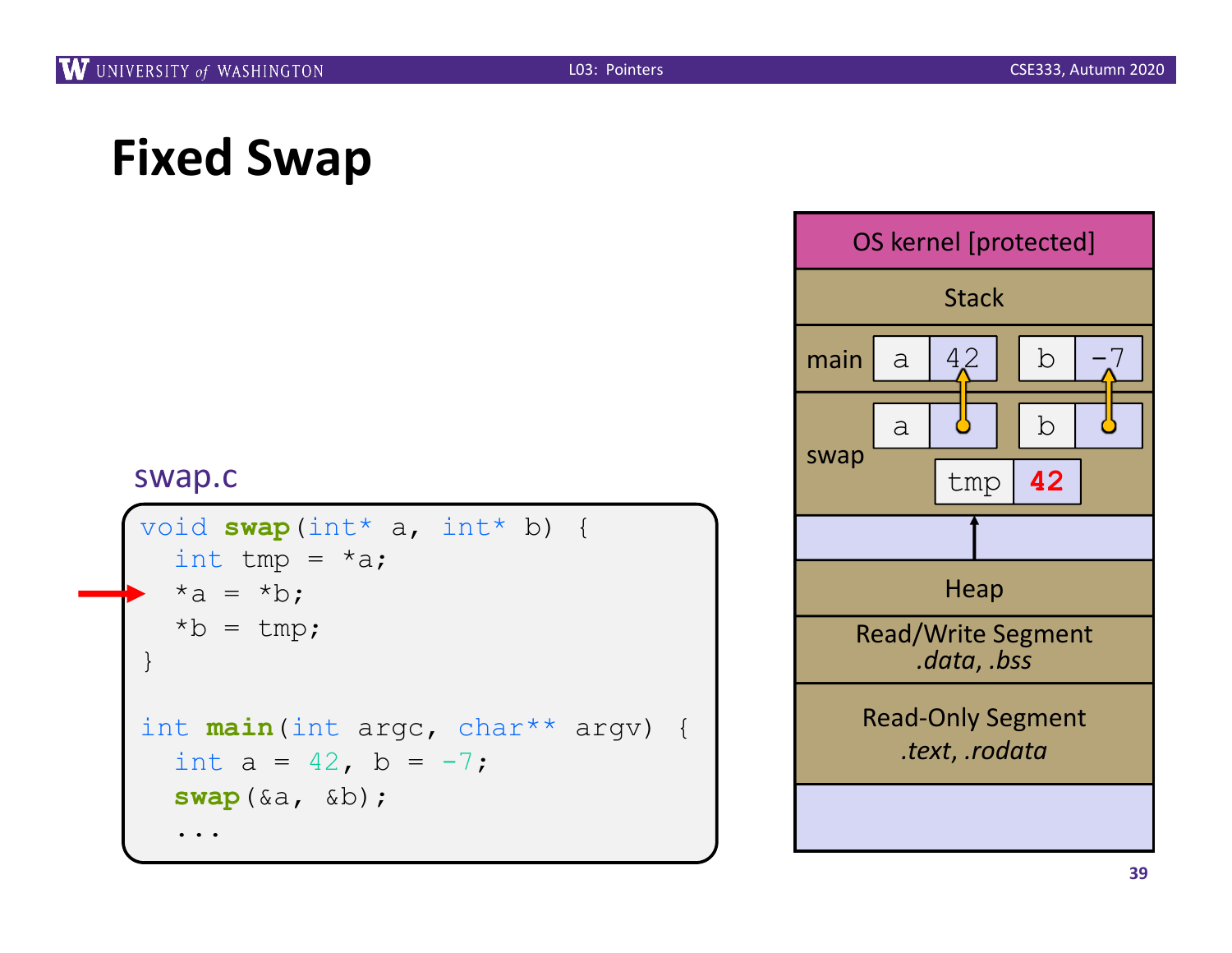```
void swap(int* a, int* b) {
  int tmp = *a;
  *a = *b;
  *b = tmp;}
int main(int argc, char** argv) {
  int a = 42, b = -7;
  swap(&a, &b);
  ...
```
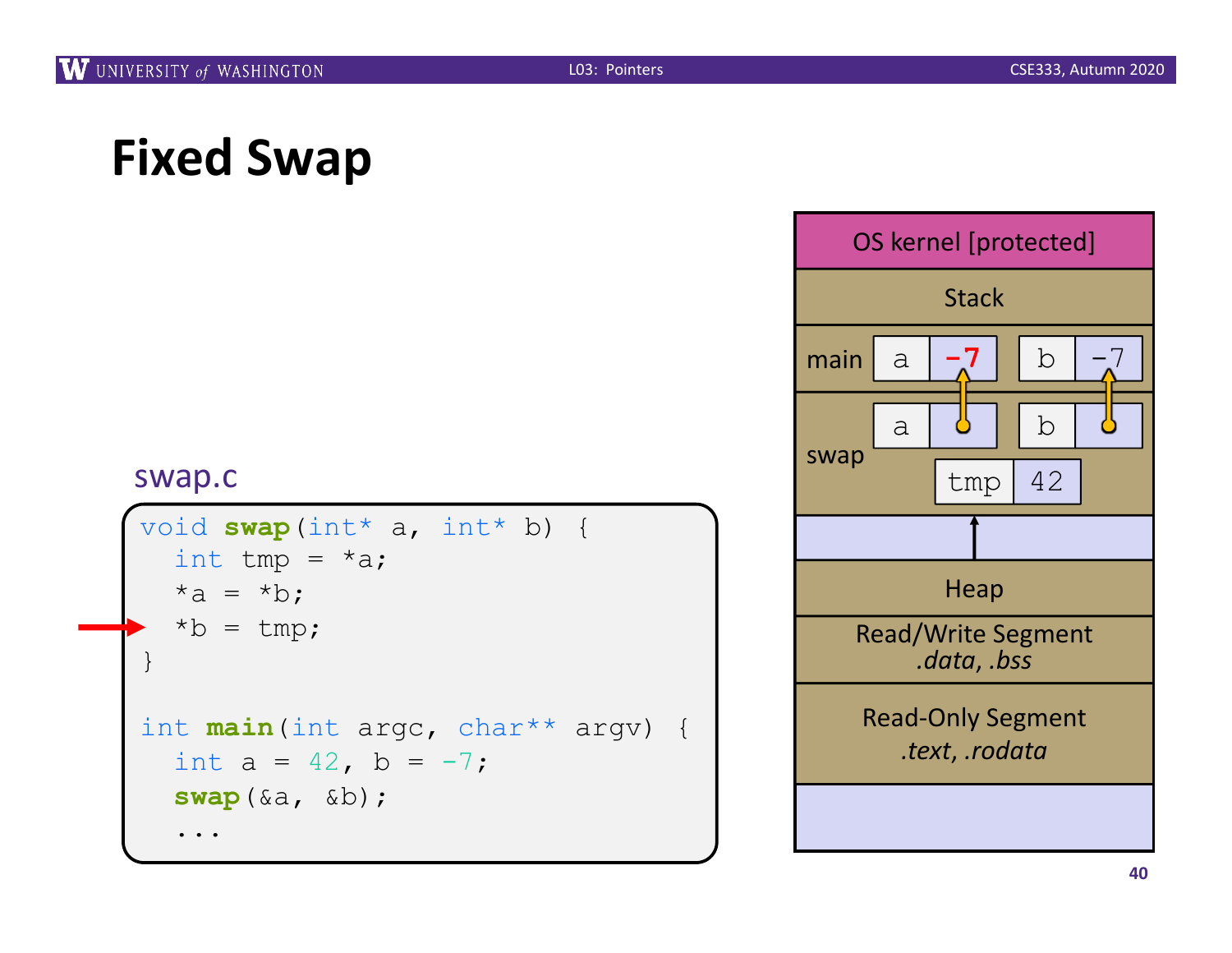```
void swap(int* a, int* b) {
  int tmp = *a;
  *a = *b;
  *b = tmp;}
int main(int argc, char** argv) {
  int a = 42, b = -7;
  swap(&a, &b);
  ...
```
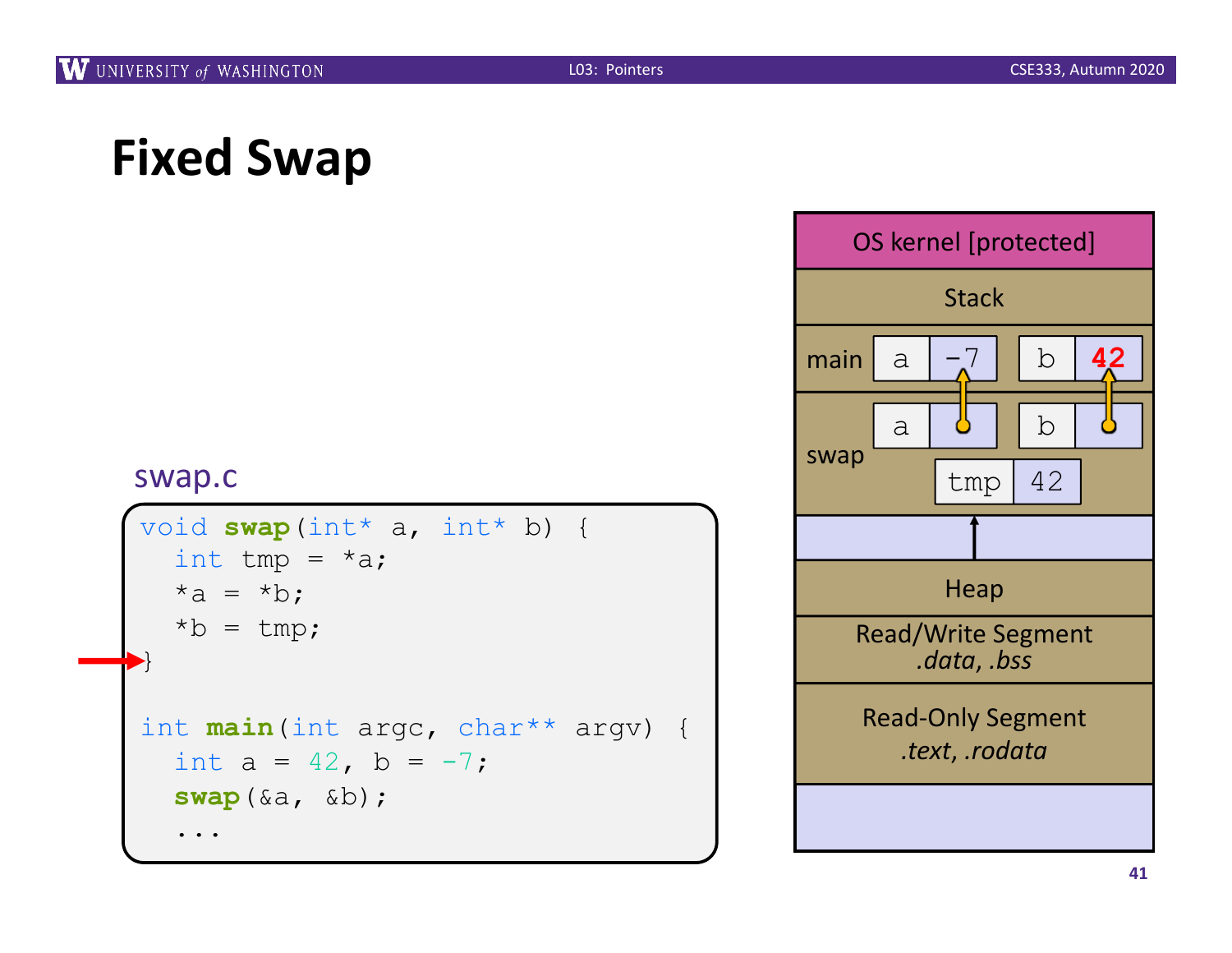```
void swap(int* a, int* b) {
  int tmp = *a;
  *a = *b;
  *b = \text{tmp};}
int main(int argc, char** argv) {
  int a = 42, b = -7;
  swap(&a, &b);
  ...
```
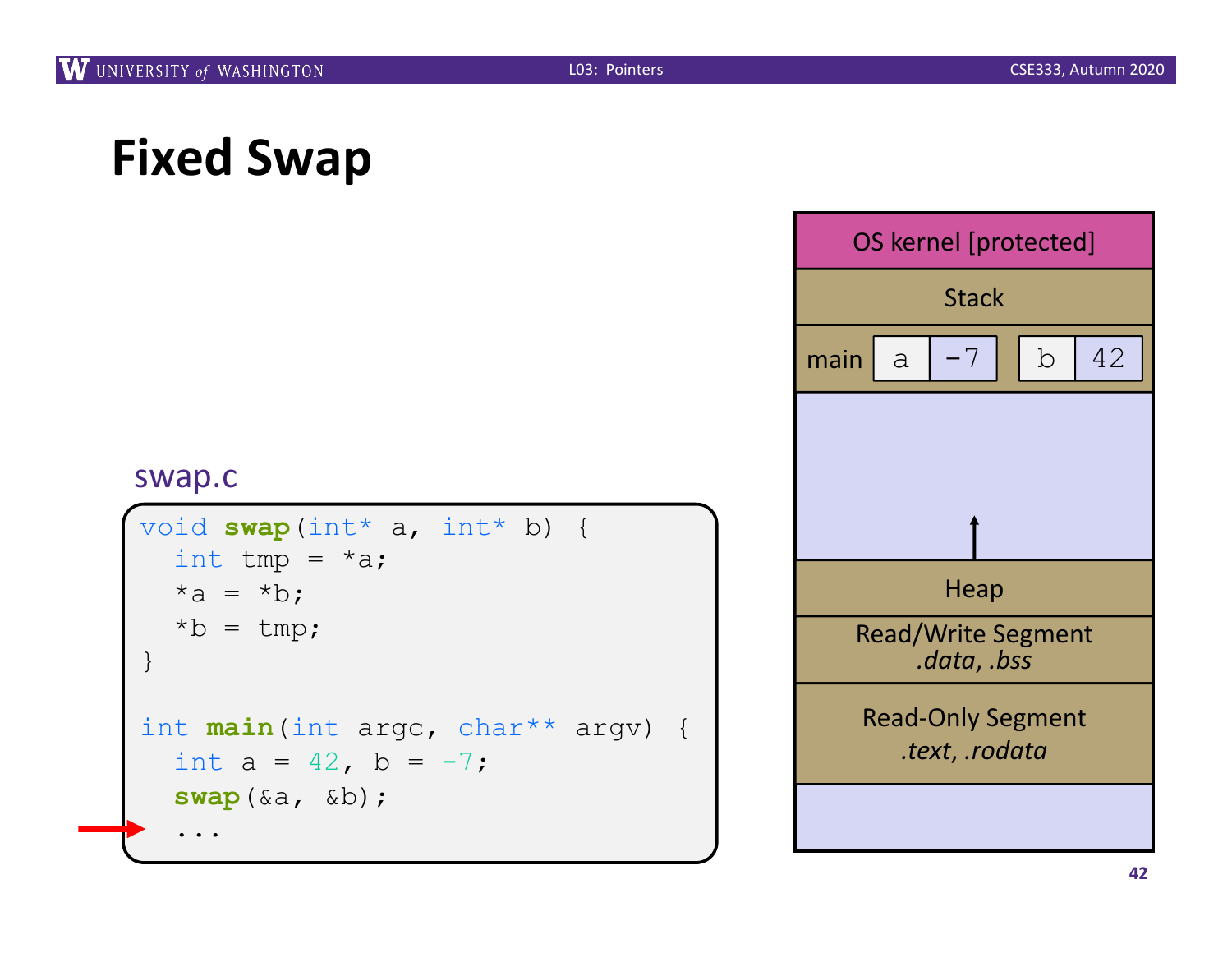```
void swap(int* a, int* b) {
  int tmp = *a;
  *a = *b;
  *b = \text{tmp};}
int main(int argc, char** argv) {
  int a = 42, b = -7;
  swap(&a, &b);
  ...
```
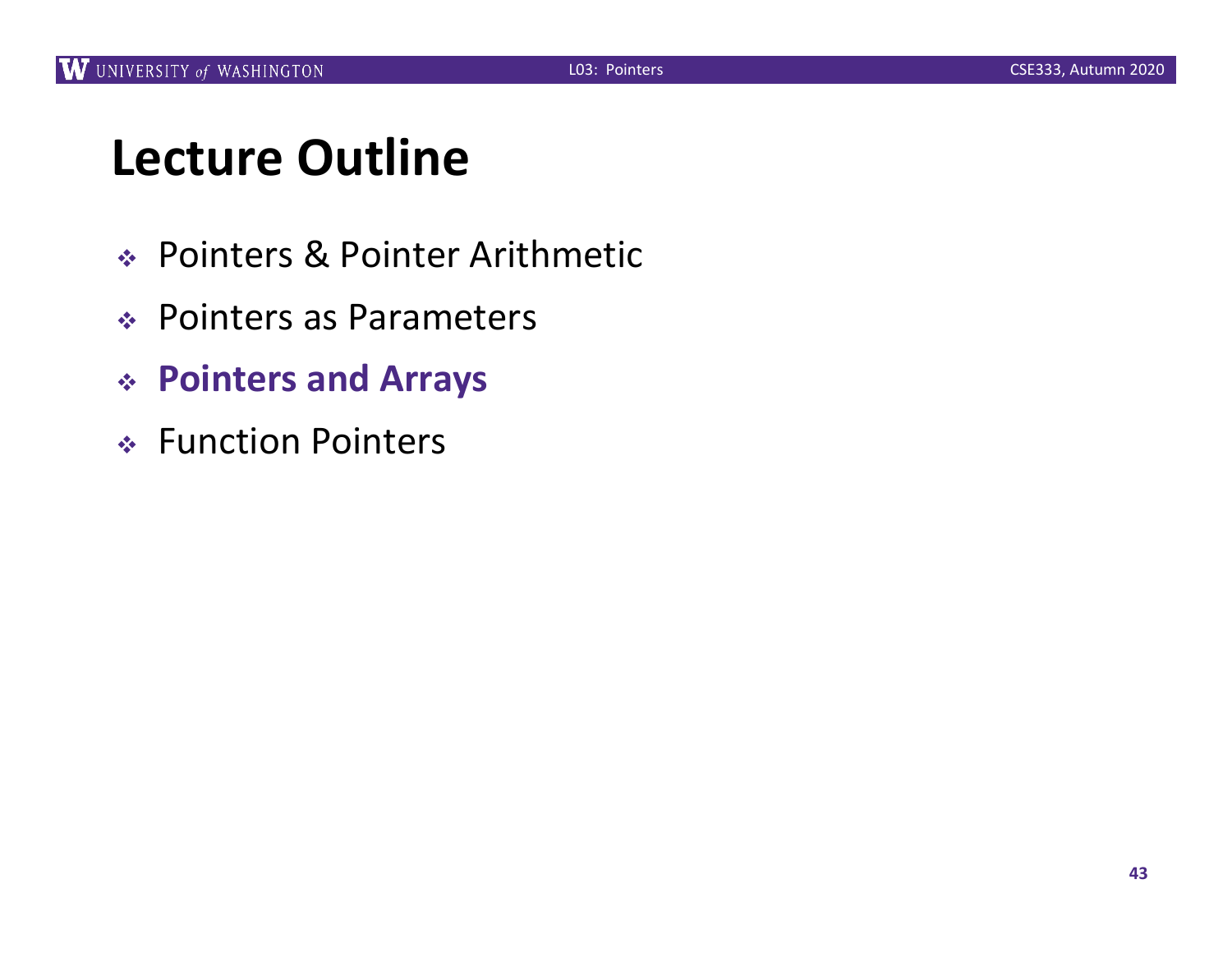### **Lecture Outline**

- <sup>v</sup> Pointers & Pointer Arithmetic
- ◆ Pointers as Parameters
- <sup>v</sup> **Pointers and Arrays**
- ◆ Function Pointers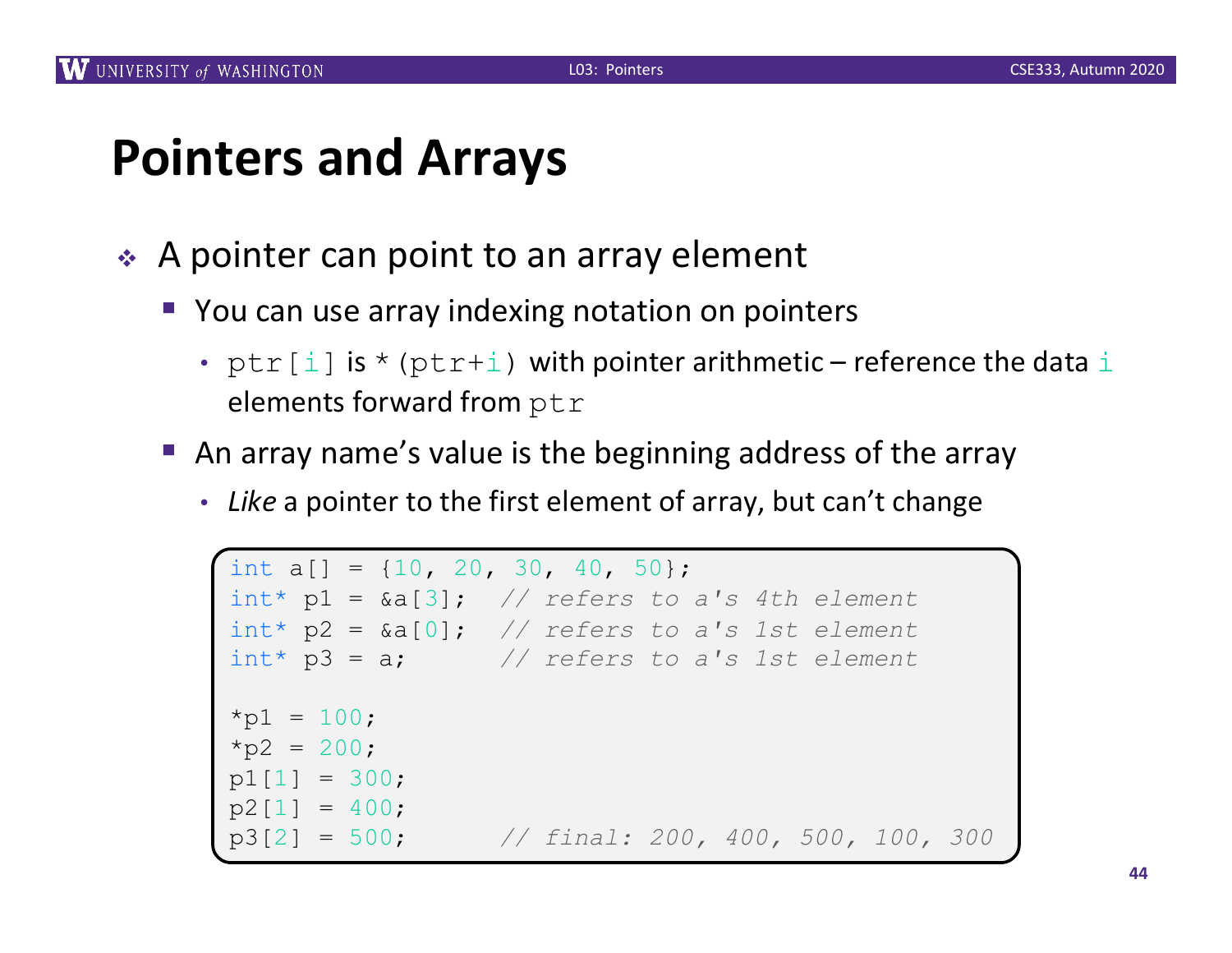### **Pointers and Arrays**

- $\triangle$  A pointer can point to an array element
	- You can use array indexing notation on pointers
		- $ptr[i]$  is \* ( $ptr+i$ ) with pointer arithmetic reference the data i elements forward from ptr
	- An array name's value is the beginning address of the array
		- *Like* a pointer to the first element of array, but can't change

```
int a[] = \{10, 20, 30, 40, 50\};
int* p1 = &a[3]; // refers to a's 4th element
int* p2 = &a[0]; // refers to a's 1st element
int* p3 = a; // refers to a's 1st element
*p1 = 100;
*p2 = 200;= 300;p2[1] = 400;
      p3[2] = 500; // final: 200, 400, 500, 100, 300
```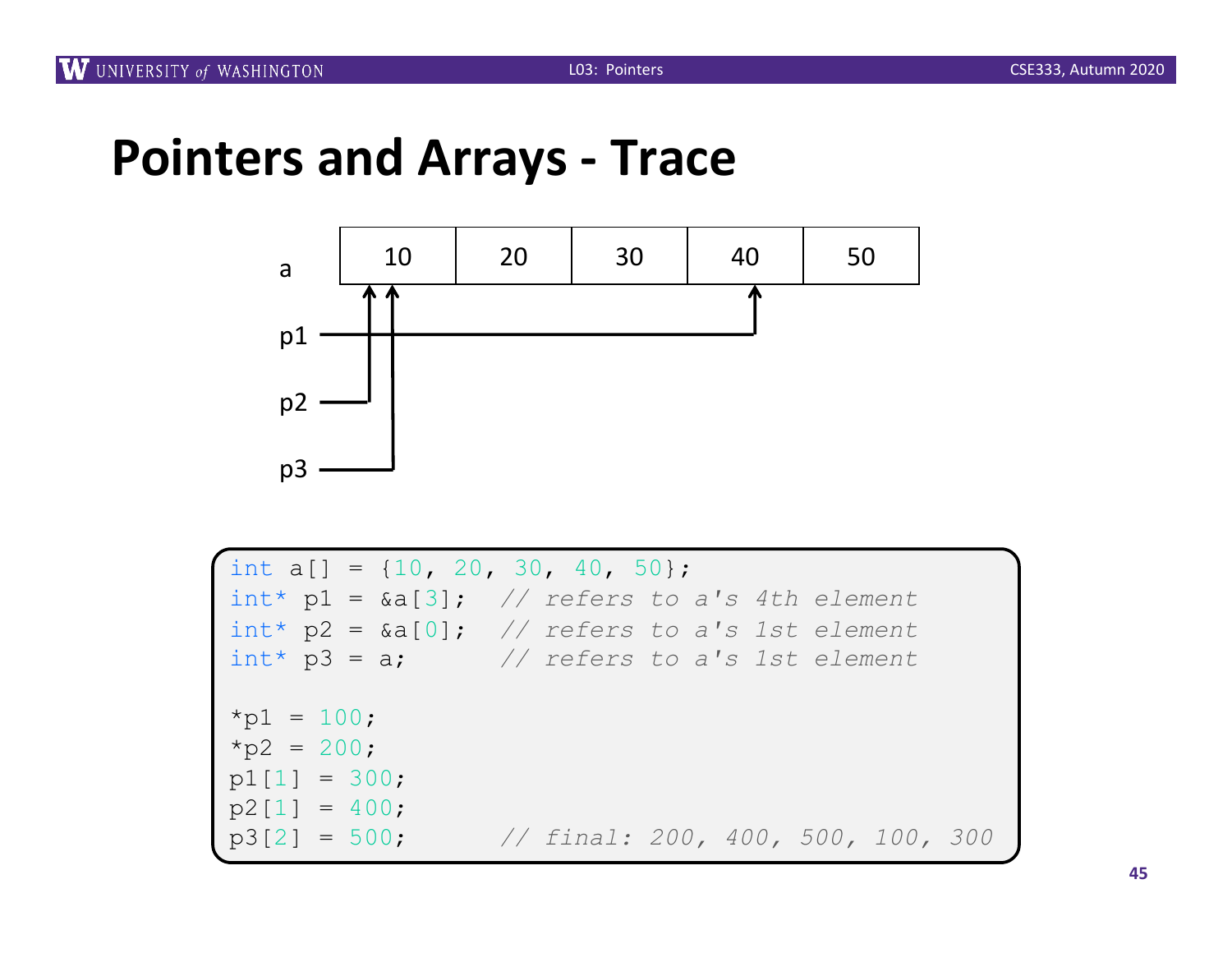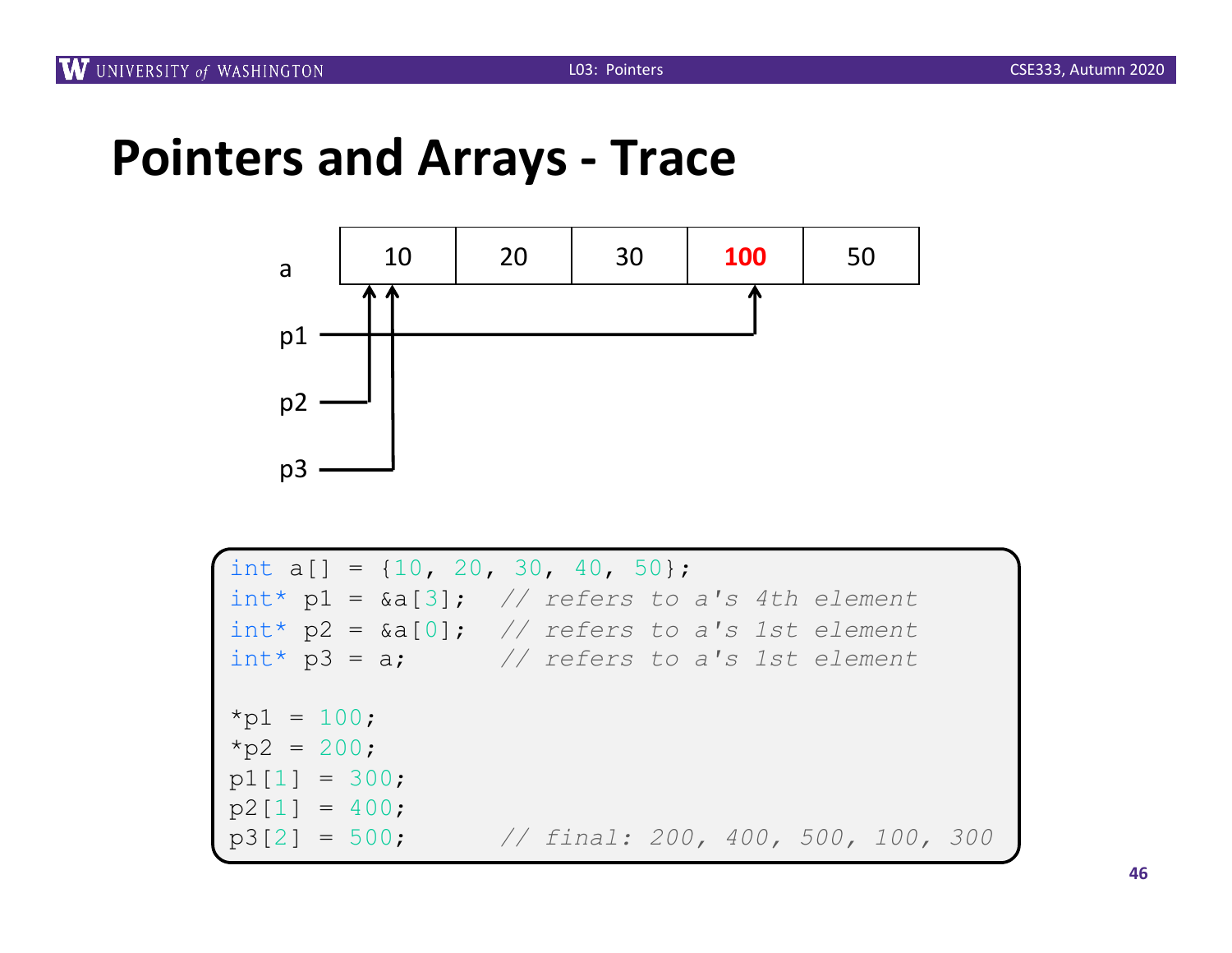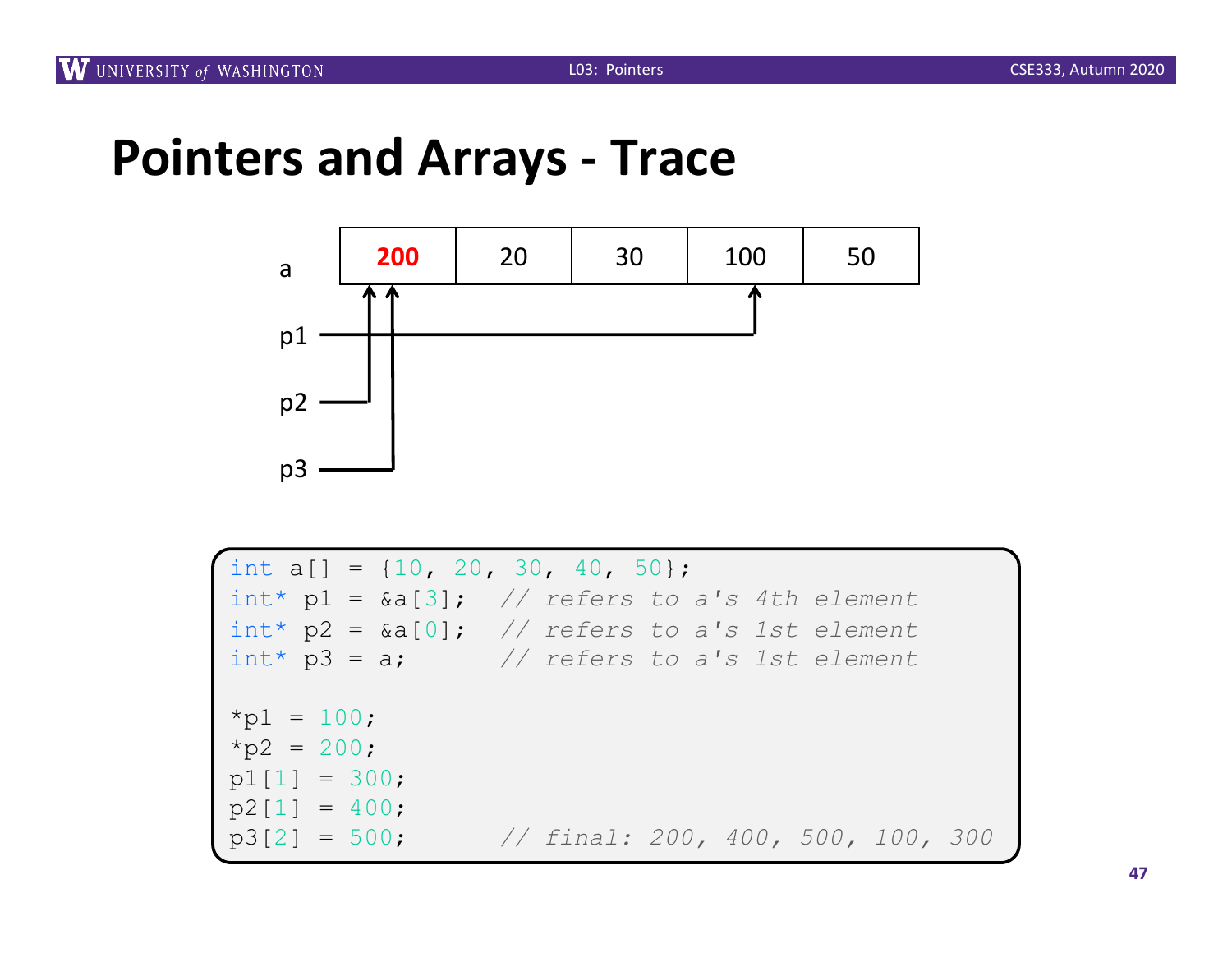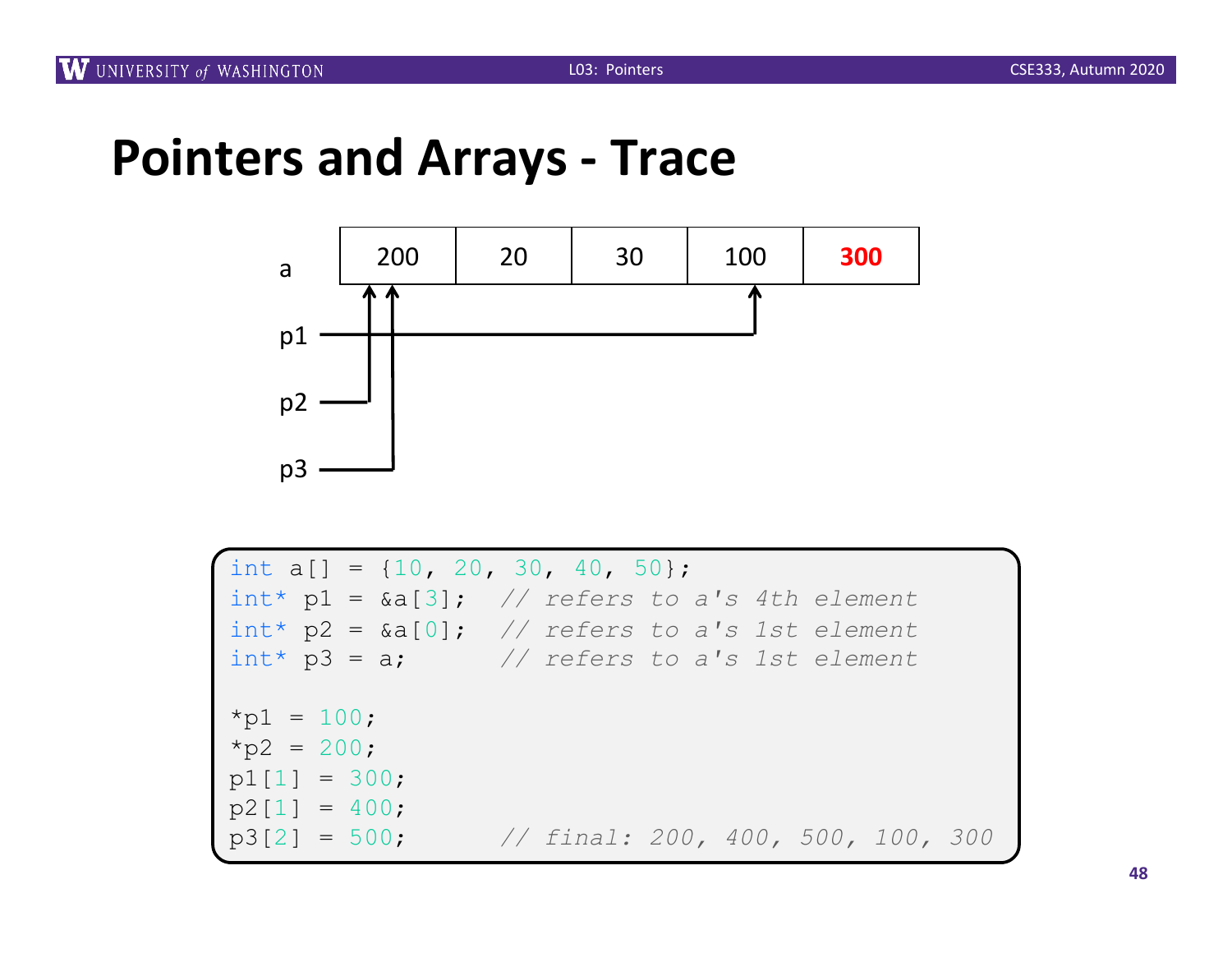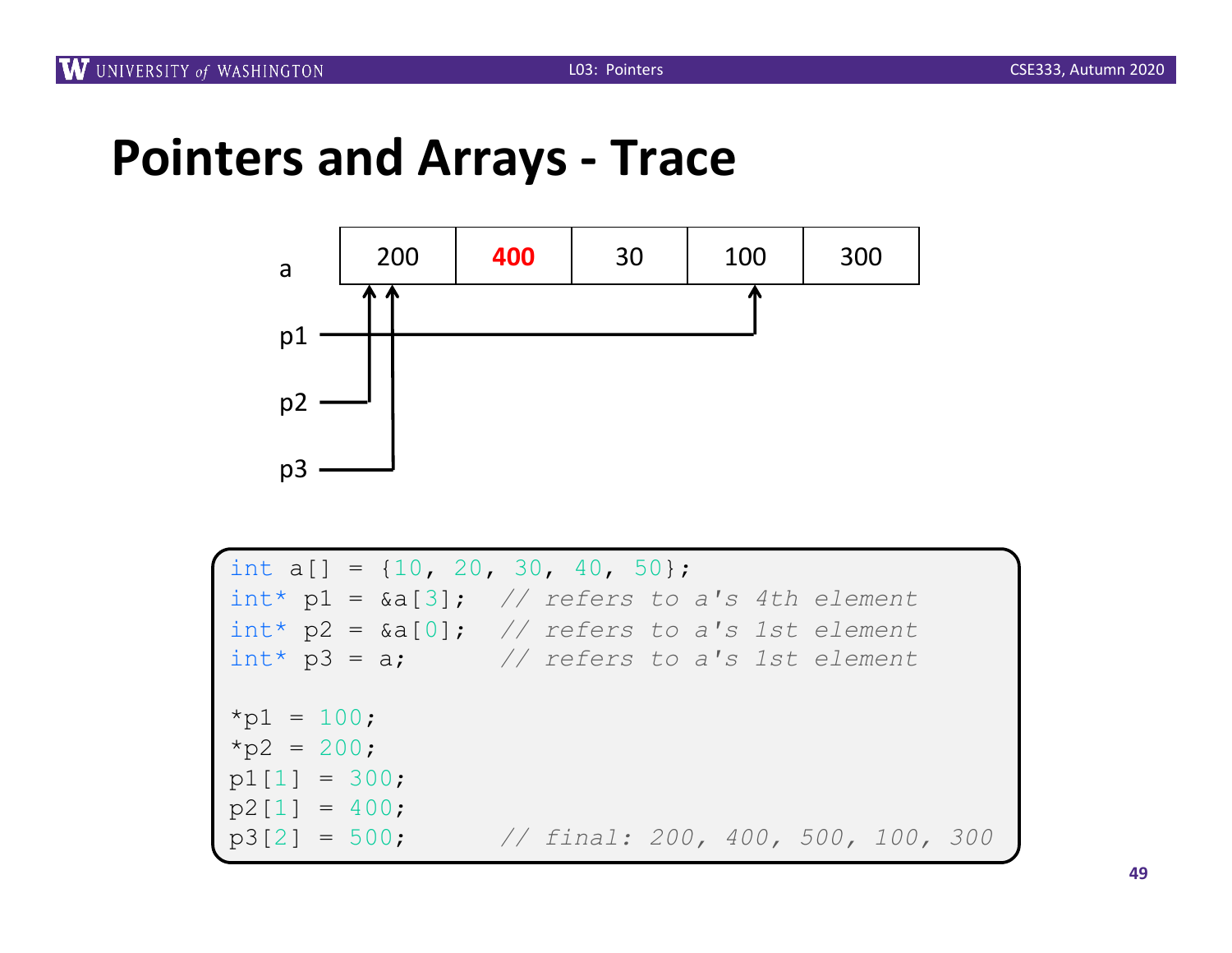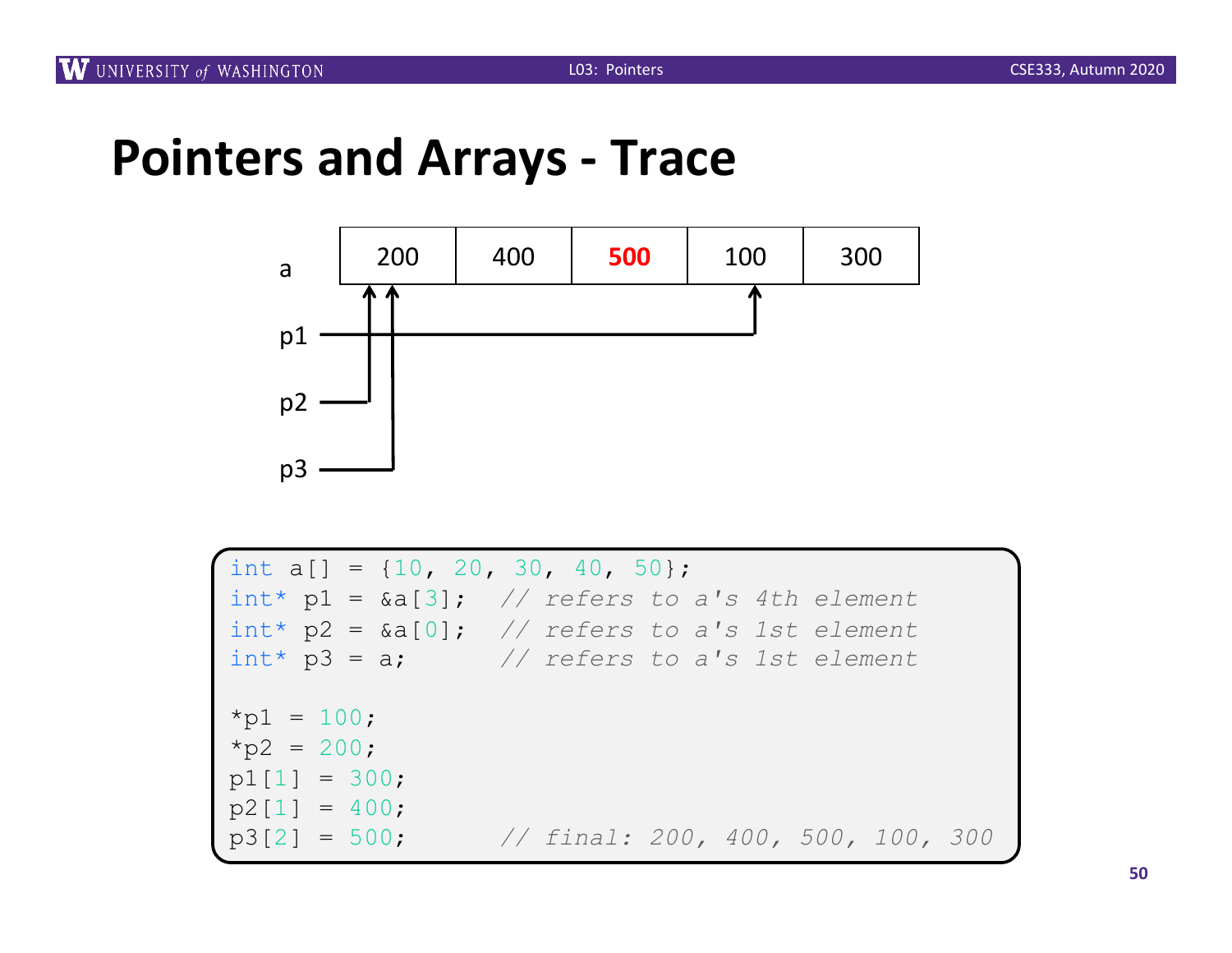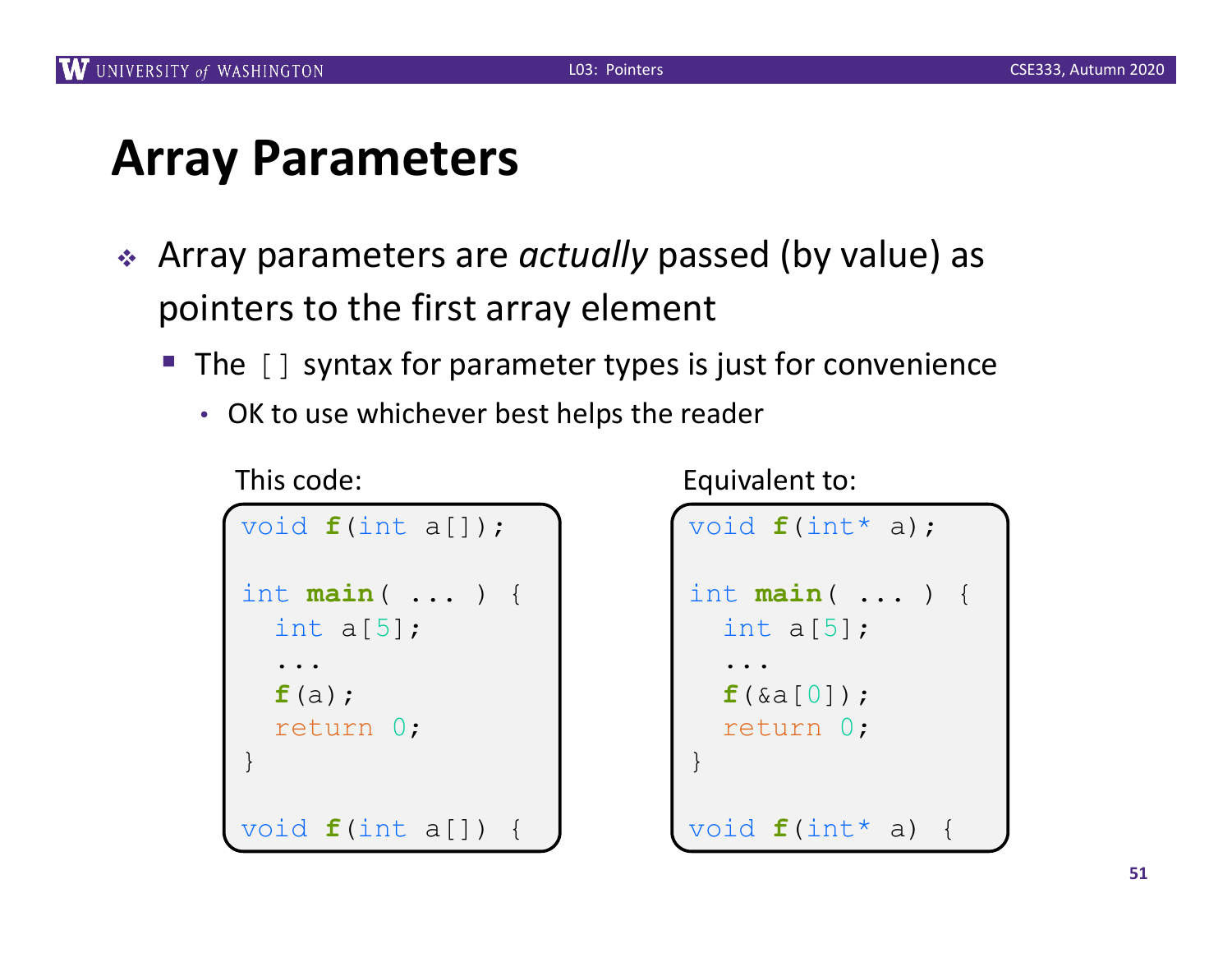### **Array Parameters**

- <sup>v</sup> Array parameters are *actually* passed (by value) as pointers to the first array element
	- The [] syntax for parameter types is just for convenience
		- OK to use whichever best helps the reader

```
void f(int a[]);
int main( ... ) {
  int a[5];
  ...
  f(a);
  return 0;
}
void f(int a[])
```
This code:

Equivalent to:

```
void f(int* a);
int main( ... ) {
  int a[5];
  ...
  f(&a[0]);
  return 0;
}
void f(int* a) {
```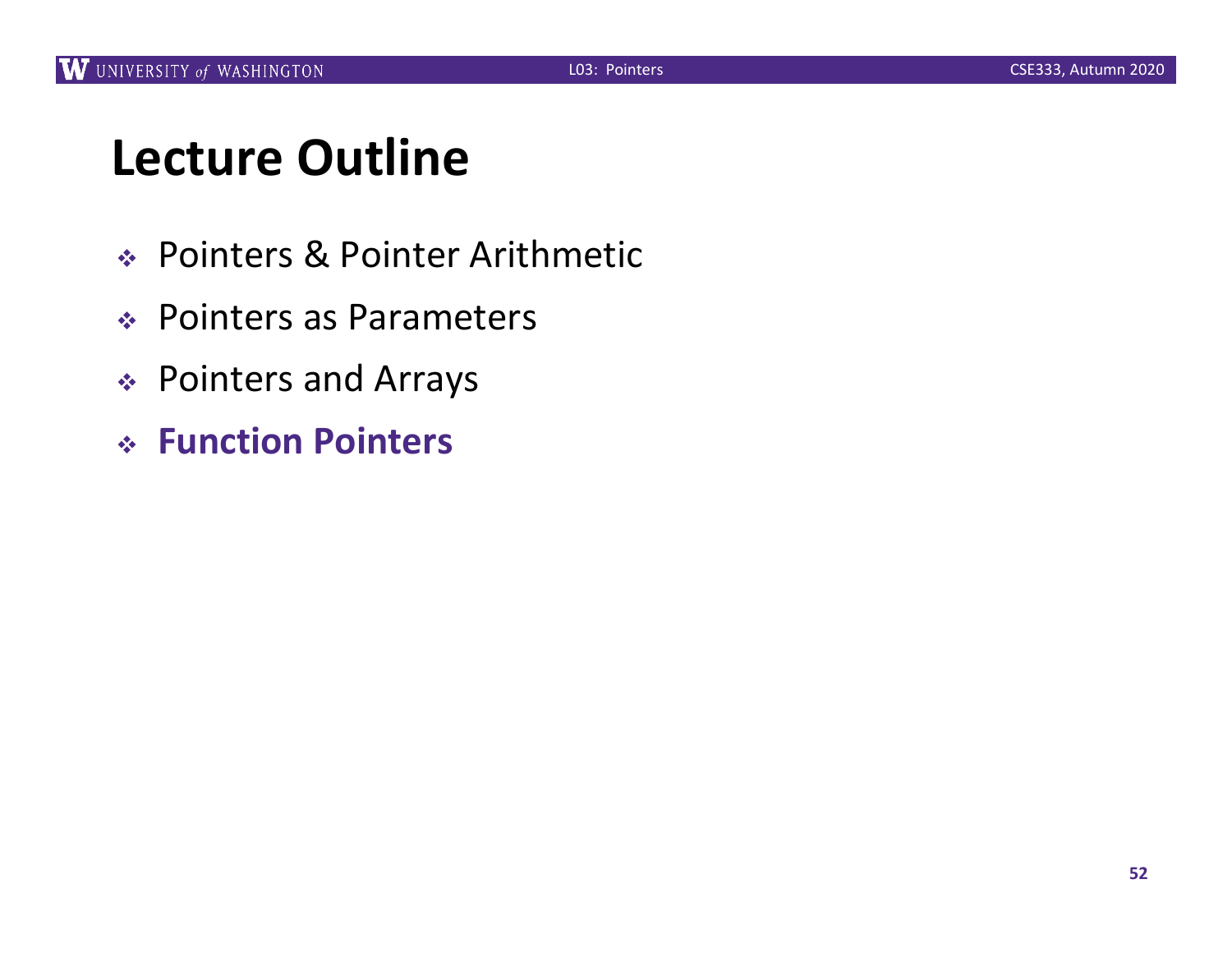### **Lecture Outline**

- <sup>v</sup> Pointers & Pointer Arithmetic
- ◆ Pointers as Parameters
- ◆ Pointers and Arrays
- <sup>v</sup> **Function Pointers**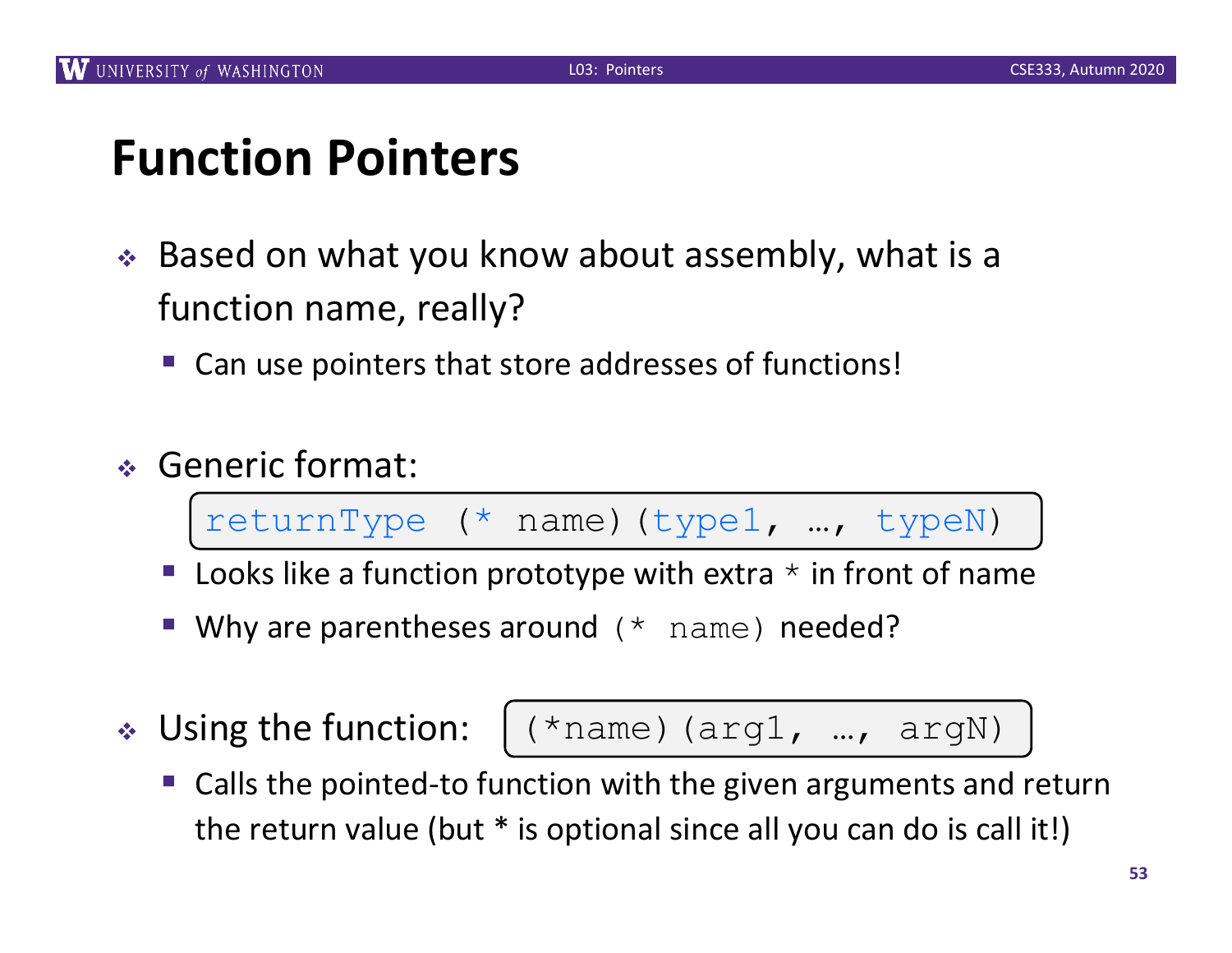### **Function Pointers**

- $\div$  Based on what you know about assembly, what is a function name, really?
	- Can use pointers that store addresses of functions!
- <sup>v</sup> Generic format:

returnType (\* name)(type1, …, typeN)

- Looks like a function prototype with extra  $*$  in front of name
- Why are parentheses around (\* name) needed?
- $\cdot$  Using the function:

$$
(*name) (arg1, ..., argN)
$$

Calls the pointed-to function with the given arguments and return the return value (but \* is optional since all you can do is call it!)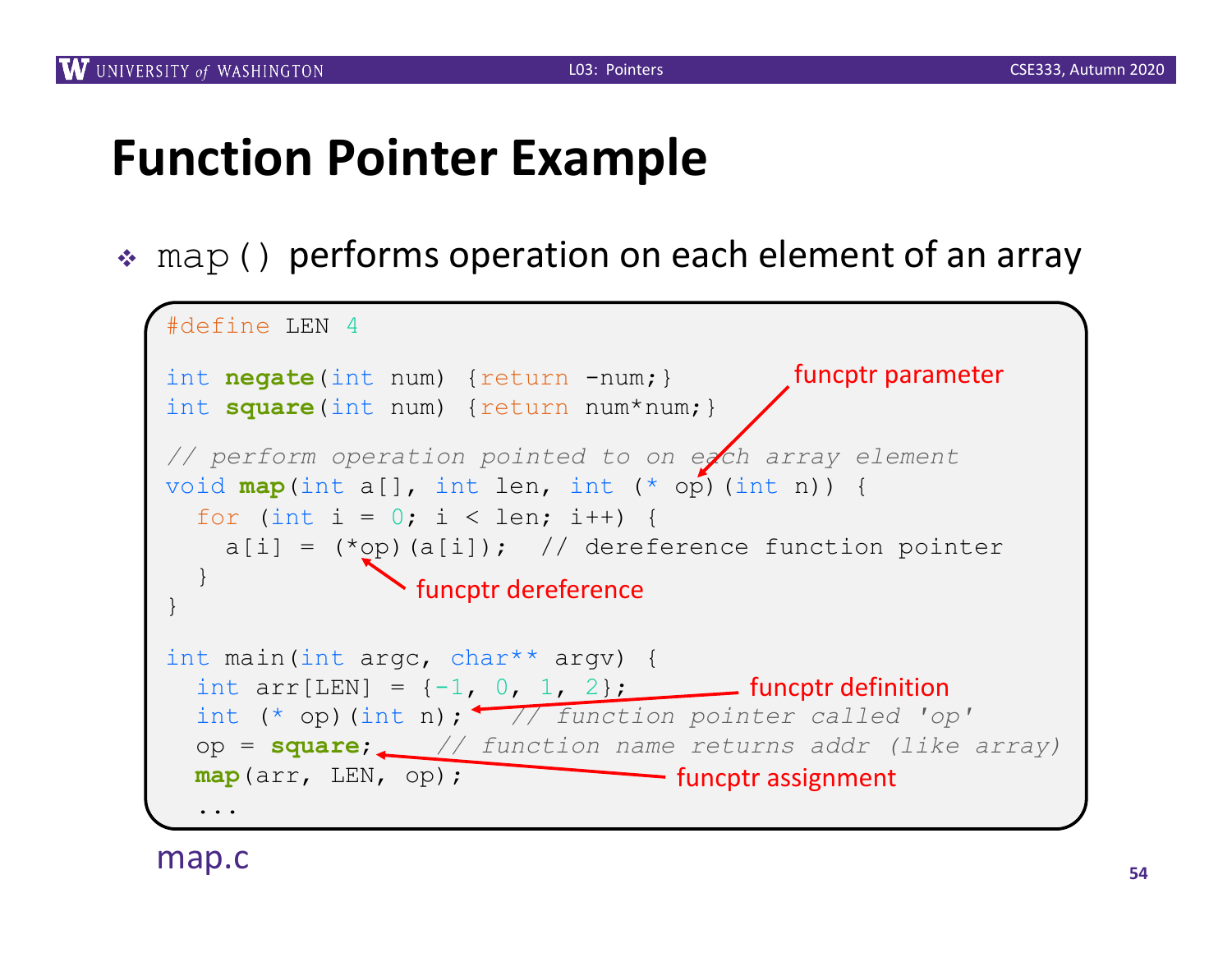### **Function Pointer Example**

 $\ast$  map () performs operation on each element of an array

```
#define LEN 4
int negate(int num) {return -num; }
int square(int num) {return num*num; }
// perform operation pointed to on each array element
void map(int a[], int len, int (* op)(int n)) {
  for (int i = 0; i < len; i++) {
    a[i] = (\star op)(a[i]); // dereference function pointer
  }
}
int main(int argc, char** argv) {
  int arr[LEN] = \{-1, 0, 1, 2\}; funcptr definition
  int (* op)(int n); // function pointer called 'op'
  op = square; // function name returns addr (like array)
  map(arr, LEN, op); 
  ...
                 funcptr dereference
                                 funcptr assignment
                                           funcptr parameter
```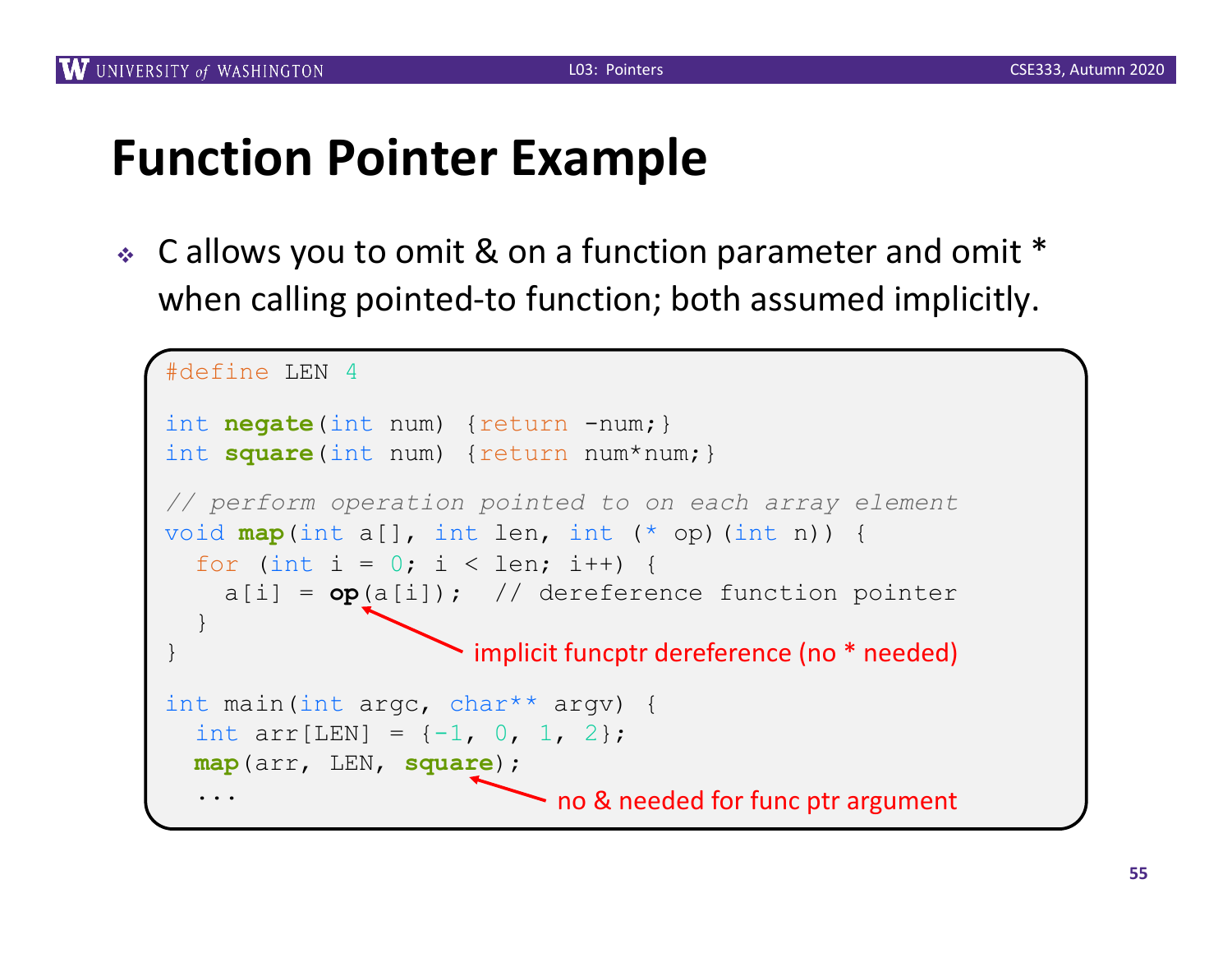### **Function Pointer Example**

 $\cdot$  C allows you to omit & on a function parameter and omit  $*$ when calling pointed-to function; both assumed implicitly.

```
#define LEN 4
int negate(int num) {return -num; }
int square(int num) {return num*num; }
// perform operation pointed to on each array element
void map(int a[], int len, int (* op)(int n)) {
  for (int i = 0; i < len; i++) {
    a[i] = op(a[i]); // dereference function pointer
  }
}
int main(int argc, char** argv) {
  int arr[LEN] = \{-1, 0, 1, 2\};
  map(arr, LEN, square);
  ...
                      implicit funcptr dereference (no * needed)
                           no & needed for func ptr argument
```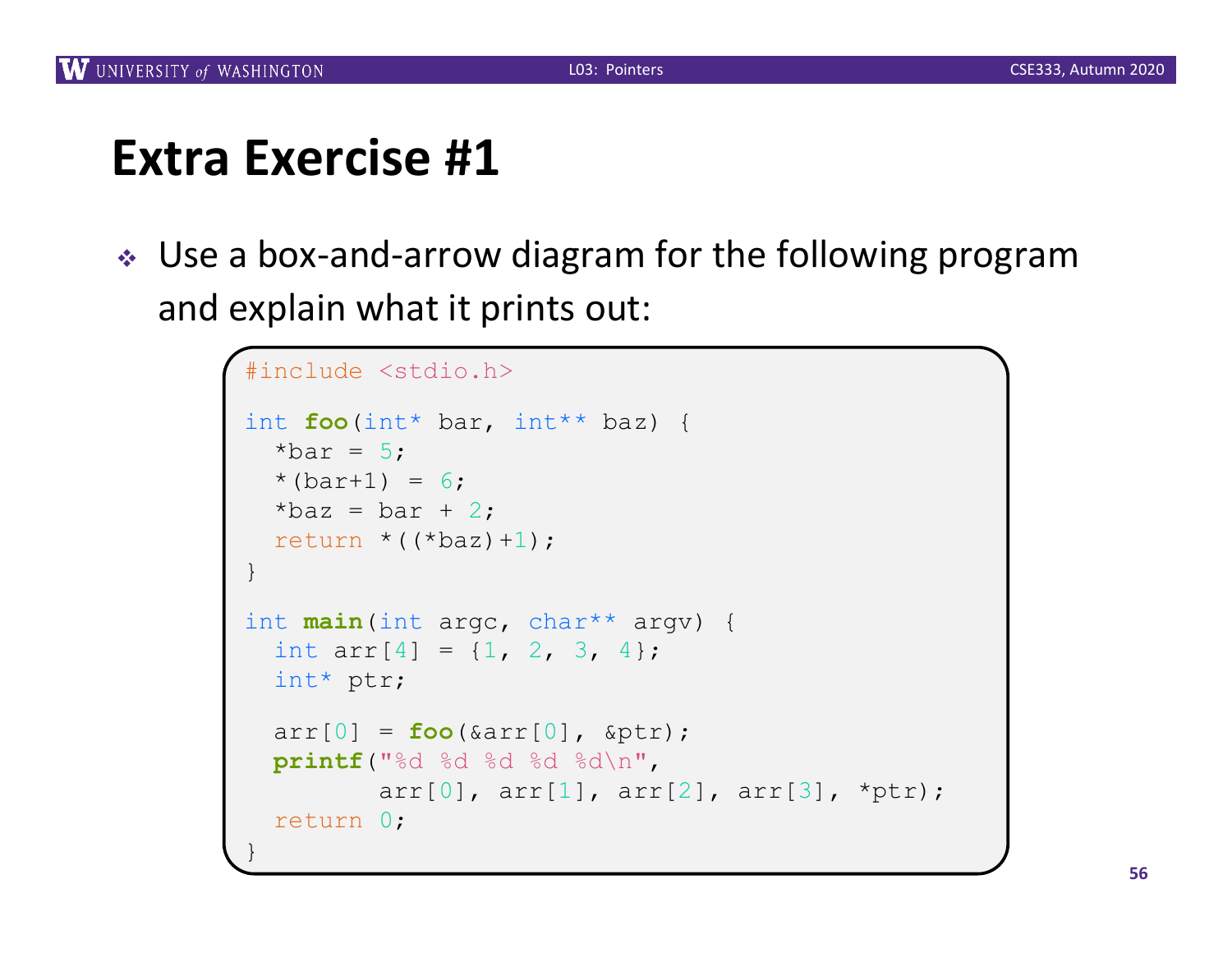↓ Use a box-and-arrow diagram for the following program and explain what it prints out:

```
#include <stdio.h>
int foo(int* bar, int** baz) {
  *bar = 5:* (bar+1) = 6;*baz = bar + 2;
  return *((*baz)+1);}
int main(int argc, char** argv) {
  int arr[4] = \{1, 2, 3, 4\};
  int* ptr;
  arr[0] = foo(\& arr[0], \& ptr);printf("%d %d %d %d %d\n", 
         arr[0], arr[1], arr[2], arr[3], *ptr);
  return 0;
}
```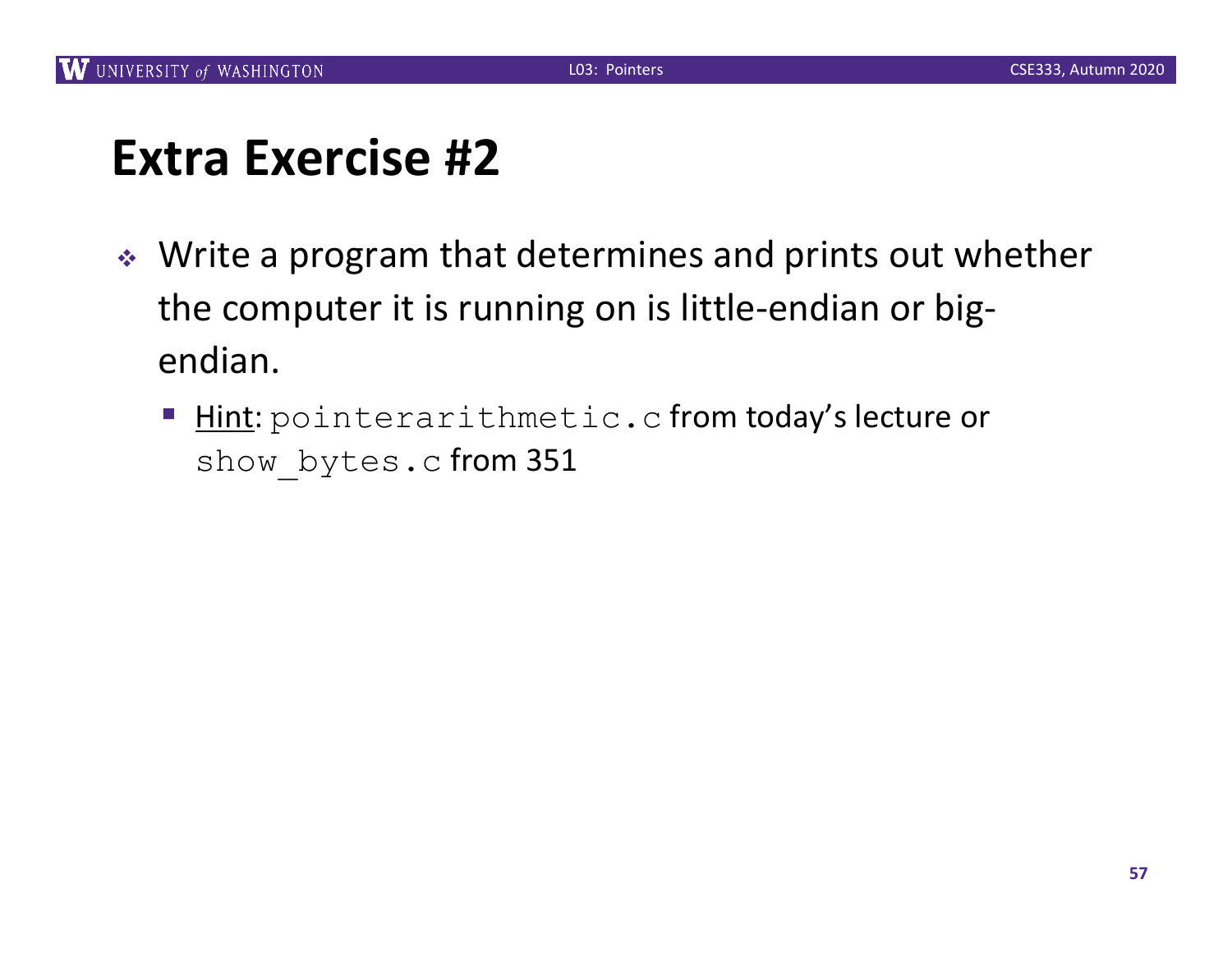- ◆ Write a program that determines and prints out whether the computer it is running on is little-endian or bigendian.
	- Hint: pointerarithmetic.c from today's lecture or show bytes.c from 351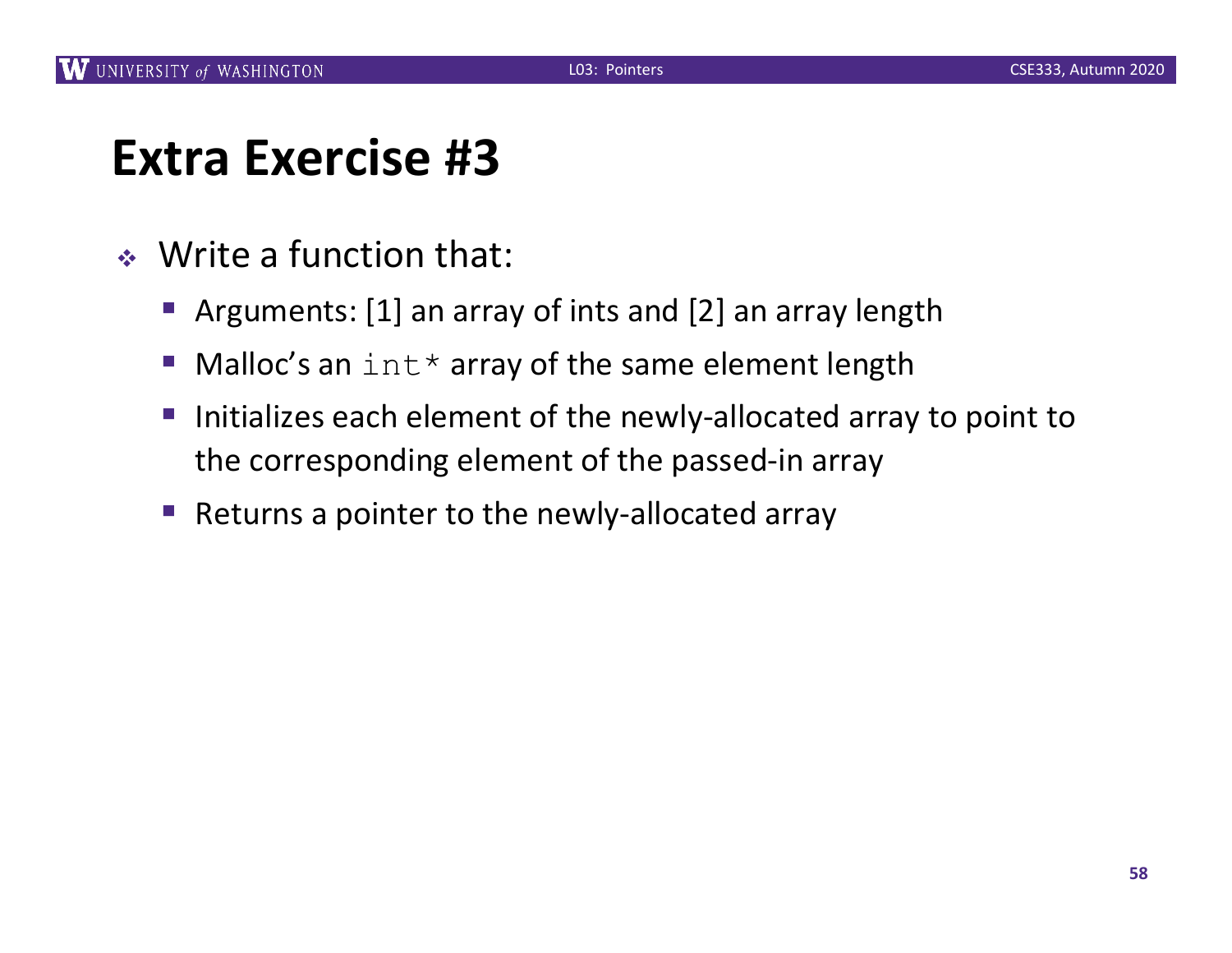- $\triangleleft$  Write a function that:
	- Arguments: [1] an array of ints and [2] an array length
	- Malloc's an  $int*$  array of the same element length
	- Initializes each element of the newly-allocated array to point to the corresponding element of the passed-in array
	- Returns a pointer to the newly-allocated array